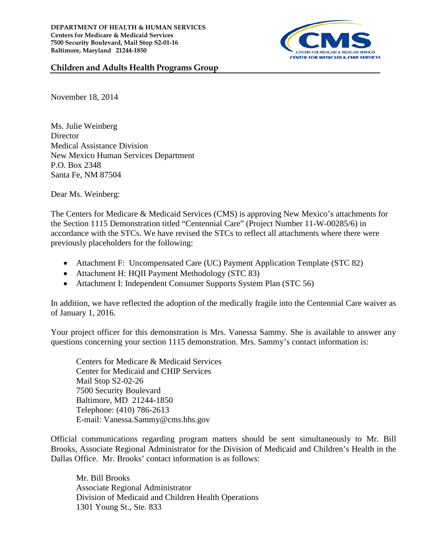

## **Children and Adults Health Programs Group**

November 18, 2014

Ms. Julie Weinberg **Director** Medical Assistance Division New Mexico Human Services Department P.O. Box 2348 Santa Fe, NM 87504

Dear Ms. Weinberg:

The Centers for Medicare & Medicaid Services (CMS) is approving New Mexico's attachments for the Section 1115 Demonstration titled "Centennial Care" (Project Number 11-W-00285/6) in accordance with the STCs. We have revised the STCs to reflect all attachments where there were previously placeholders for the following:

- Attachment F: Uncompensated Care (UC) Payment Application Template (STC 82)
- Attachment H: HQII Payment Methodology (STC 83)
- Attachment I: Independent Consumer Supports System Plan (STC 56)

In addition, we have reflected the adoption of the medically fragile into the Centennial Care waiver as of January 1, 2016.

Your project officer for this demonstration is Mrs. Vanessa Sammy. She is available to answer any questions concerning your section 1115 demonstration. Mrs. Sammy's contact information is:

Centers for Medicare & Medicaid Services Center for Medicaid and CHIP Services Mail Stop S2-02-26 7500 Security Boulevard Baltimore, MD 21244-1850 Telephone: (410) 786-2613 E-mail: Vanessa.Sammy@cms.hhs.gov

Official communications regarding program matters should be sent simultaneously to Mr. Bill Brooks, Associate Regional Administrator for the Division of Medicaid and Children's Health in the Dallas Office. Mr. Brooks' contact information is as follows:

Mr. Bill Brooks Associate Regional Administrator Division of Medicaid and Children Health Operations 1301 Young St., Ste. 833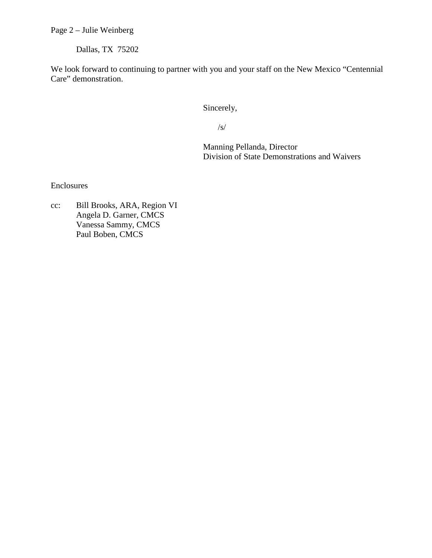Page 2 – Julie Weinberg

Dallas, TX 75202

We look forward to continuing to partner with you and your staff on the New Mexico "Centennial Care" demonstration.

Sincerely,

/s/

Manning Pellanda, Director Division of State Demonstrations and Waivers

Enclosures

cc: Bill Brooks, ARA, Region VI Angela D. Garner, CMCS Vanessa Sammy, CMCS Paul Boben, CMCS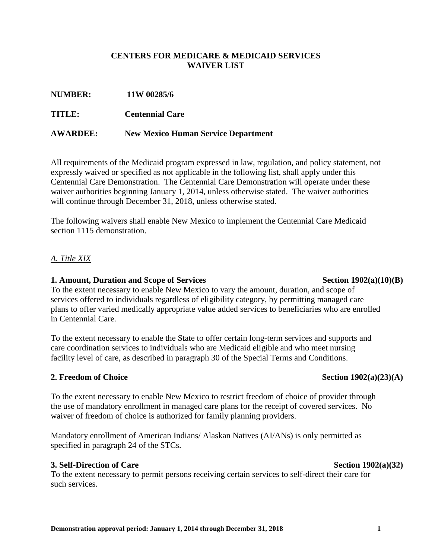### **CENTERS FOR MEDICARE & MEDICAID SERVICES WAIVER LIST**

| TITLE:          | <b>Centennial Care</b>                     |
|-----------------|--------------------------------------------|
| <b>AWARDEE:</b> | <b>New Mexico Human Service Department</b> |

**NUMBER: 11W 00285/6**

All requirements of the Medicaid program expressed in law, regulation, and policy statement, not expressly waived or specified as not applicable in the following list, shall apply under this Centennial Care Demonstration. The Centennial Care Demonstration will operate under these waiver authorities beginning January 1, 2014, unless otherwise stated. The waiver authorities will continue through December 31, 2018, unless otherwise stated.

The following waivers shall enable New Mexico to implement the Centennial Care Medicaid section 1115 demonstration.

# *A. Title XIX*

## **1. Amount, Duration and Scope of Services Section 1902(a)(10)(B)**

To the extent necessary to enable New Mexico to vary the amount, duration, and scope of services offered to individuals regardless of eligibility category, by permitting managed care plans to offer varied medically appropriate value added services to beneficiaries who are enrolled in Centennial Care.

To the extent necessary to enable the State to offer certain long-term services and supports and care coordination services to individuals who are Medicaid eligible and who meet nursing facility level of care, as described in paragraph 30 of the Special Terms and Conditions.

# **2. Freedom of Choice Section 1902(a)(23)(A)**

To the extent necessary to enable New Mexico to restrict freedom of choice of provider through the use of mandatory enrollment in managed care plans for the receipt of covered services. No waiver of freedom of choice is authorized for family planning providers.

Mandatory enrollment of American Indians/ Alaskan Natives (AI/ANs) is only permitted as specified in paragraph 24 of the STCs.

# **3. Self-Direction of Care** Section 1902(a)(32)

To the extent necessary to permit persons receiving certain services to self-direct their care for such services.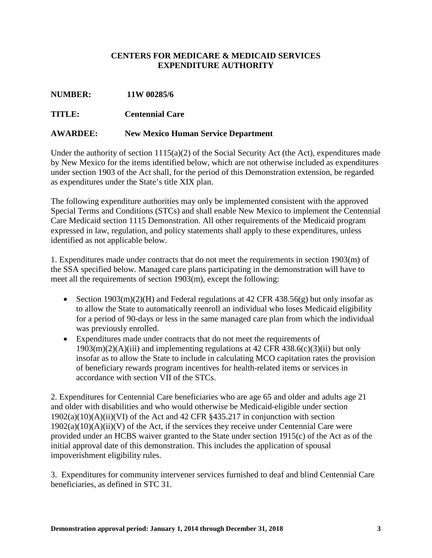# **CENTERS FOR MEDICARE & MEDICAID SERVICES EXPENDITURE AUTHORITY**

| <b>NUMBER:</b> | 11W 00285/6 |
|----------------|-------------|
|                |             |

# **TITLE: Centennial Care**

## **AWARDEE: New Mexico Human Service Department**

Under the authority of section 1115(a)(2) of the Social Security Act (the Act), expenditures made by New Mexico for the items identified below, which are not otherwise included as expenditures under section 1903 of the Act shall, for the period of this Demonstration extension, be regarded as expenditures under the State's title XIX plan.

The following expenditure authorities may only be implemented consistent with the approved Special Terms and Conditions (STCs) and shall enable New Mexico to implement the Centennial Care Medicaid section 1115 Demonstration. All other requirements of the Medicaid program expressed in law, regulation, and policy statements shall apply to these expenditures, unless identified as not applicable below.

1. Expenditures made under contracts that do not meet the requirements in section 1903(m) of the SSA specified below. Managed care plans participating in the demonstration will have to meet all the requirements of section 1903(m), except the following:

- Section  $1903(m)(2)(H)$  and Federal regulations at 42 CFR 438.56(g) but only insofar as to allow the State to automatically reenroll an individual who loses Medicaid eligibility for a period of 90-days or less in the same managed care plan from which the individual was previously enrolled.
- Expenditures made under contracts that do not meet the requirements of  $1903(m)(2)(A)(iii)$  and implementing regulations at 42 CFR 438.6(c)(3)(ii) but only insofar as to allow the State to include in calculating MCO capitation rates the provision of beneficiary rewards program incentives for health-related items or services in accordance with section VII of the STCs.

2. Expenditures for Centennial Care beneficiaries who are age 65 and older and adults age 21 and older with disabilities and who would otherwise be Medicaid-eligible under section 1902(a)(10)(A)(ii)(VI) of the Act and 42 CFR §435.217 in conjunction with section  $1902(a)(10)(A)(ii)(V)$  of the Act, if the services they receive under Centennial Care were provided under an HCBS waiver granted to the State under section 1915(c) of the Act as of the initial approval date of this demonstration. This includes the application of spousal impoverishment eligibility rules.

3. Expenditures for community intervener services furnished to deaf and blind Centennial Care beneficiaries, as defined in STC 31.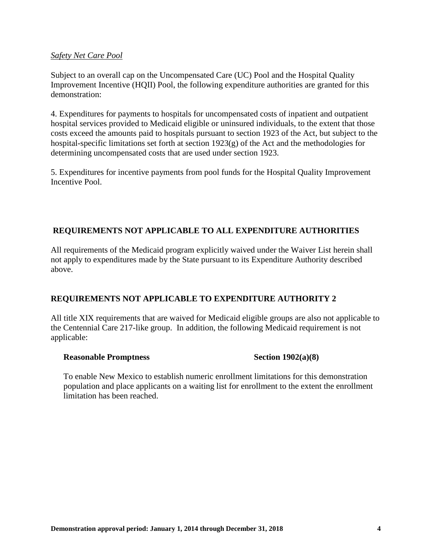### *Safety Net Care Pool*

Subject to an overall cap on the Uncompensated Care (UC) Pool and the Hospital Quality Improvement Incentive (HQII) Pool, the following expenditure authorities are granted for this demonstration:

4. Expenditures for payments to hospitals for uncompensated costs of inpatient and outpatient hospital services provided to Medicaid eligible or uninsured individuals, to the extent that those costs exceed the amounts paid to hospitals pursuant to section 1923 of the Act, but subject to the hospital-specific limitations set forth at section 1923(g) of the Act and the methodologies for determining uncompensated costs that are used under section 1923.

5. Expenditures for incentive payments from pool funds for the Hospital Quality Improvement Incentive Pool.

# **REQUIREMENTS NOT APPLICABLE TO ALL EXPENDITURE AUTHORITIES**

All requirements of the Medicaid program explicitly waived under the Waiver List herein shall not apply to expenditures made by the State pursuant to its Expenditure Authority described above.

# **REQUIREMENTS NOT APPLICABLE TO EXPENDITURE AUTHORITY 2**

All title XIX requirements that are waived for Medicaid eligible groups are also not applicable to the Centennial Care 217-like group. In addition, the following Medicaid requirement is not applicable:

### **Reasonable Promptness** Section 1902(a)(8)

To enable New Mexico to establish numeric enrollment limitations for this demonstration population and place applicants on a waiting list for enrollment to the extent the enrollment limitation has been reached.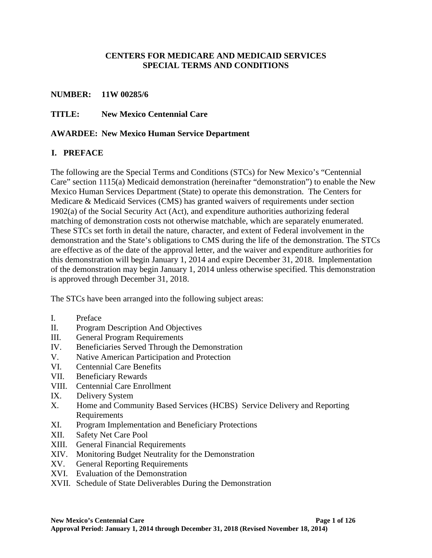## **CENTERS FOR MEDICARE AND MEDICAID SERVICES SPECIAL TERMS AND CONDITIONS**

### **NUMBER: 11W 00285/6**

**TITLE: New Mexico Centennial Care**

## **AWARDEE: New Mexico Human Service Department**

# **I. PREFACE**

The following are the Special Terms and Conditions (STCs) for New Mexico's "Centennial Care" section 1115(a) Medicaid demonstration (hereinafter "demonstration") to enable the New Mexico Human Services Department (State) to operate this demonstration. The Centers for Medicare & Medicaid Services (CMS) has granted waivers of requirements under section 1902(a) of the Social Security Act (Act), and expenditure authorities authorizing federal matching of demonstration costs not otherwise matchable, which are separately enumerated. These STCs set forth in detail the nature, character, and extent of Federal involvement in the demonstration and the State's obligations to CMS during the life of the demonstration. The STCs are effective as of the date of the approval letter, and the waiver and expenditure authorities for this demonstration will begin January 1, 2014 and expire December 31, 2018. Implementation of the demonstration may begin January 1, 2014 unless otherwise specified. This demonstration is approved through December 31, 2018.

The STCs have been arranged into the following subject areas:

- I. Preface
- II. Program Description And Objectives
- III. General Program Requirements
- IV. Beneficiaries Served Through the Demonstration
- V. Native American Participation and Protection
- VI. Centennial Care Benefits
- VII. Beneficiary Rewards
- VIII. Centennial Care Enrollment
- IX. Delivery System
- X. Home and Community Based Services (HCBS) Service Delivery and Reporting Requirements
- XI. Program Implementation and Beneficiary Protections
- XII. Safety Net Care Pool
- XIII. General Financial Requirements
- XIV. Monitoring Budget Neutrality for the Demonstration
- XV. General Reporting Requirements
- XVI. Evaluation of the Demonstration
- XVII. Schedule of State Deliverables During the Demonstration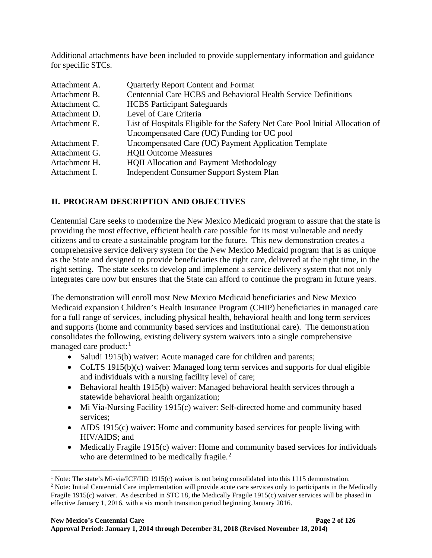Additional attachments have been included to provide supplementary information and guidance for specific STCs.

| <b>Quarterly Report Content and Format</b>                                    |
|-------------------------------------------------------------------------------|
| Centennial Care HCBS and Behavioral Health Service Definitions                |
| <b>HCBS</b> Participant Safeguards                                            |
| Level of Care Criteria                                                        |
| List of Hospitals Eligible for the Safety Net Care Pool Initial Allocation of |
| Uncompensated Care (UC) Funding for UC pool                                   |
| Uncompensated Care (UC) Payment Application Template                          |
| <b>HQII Outcome Measures</b>                                                  |
| <b>HQII Allocation and Payment Methodology</b>                                |
| Independent Consumer Support System Plan                                      |
|                                                                               |

# **II. PROGRAM DESCRIPTION AND OBJECTIVES**

Centennial Care seeks to modernize the New Mexico Medicaid program to assure that the state is providing the most effective, efficient health care possible for its most vulnerable and needy citizens and to create a sustainable program for the future. This new demonstration creates a comprehensive service delivery system for the New Mexico Medicaid program that is as unique as the State and designed to provide beneficiaries the right care, delivered at the right time, in the right setting. The state seeks to develop and implement a service delivery system that not only integrates care now but ensures that the State can afford to continue the program in future years.

The demonstration will enroll most New Mexico Medicaid beneficiaries and New Mexico Medicaid expansion Children's Health Insurance Program (CHIP) beneficiaries in managed care for a full range of services, including physical health, behavioral health and long term services and supports (home and community based services and institutional care). The demonstration consolidates the following, existing delivery system waivers into a single comprehensive managed care product: $<sup>1</sup>$  $<sup>1</sup>$  $<sup>1</sup>$ </sup>

- Salud! 1915(b) waiver: Acute managed care for children and parents;
- CoLTS 1915(b)(c) waiver: Managed long term services and supports for dual eligible and individuals with a nursing facility level of care;
- Behavioral health 1915(b) waiver: Managed behavioral health services through a statewide behavioral health organization;
- Mi Via-Nursing Facility 1915(c) waiver: Self-directed home and community based services;
- AIDS 1915(c) waiver: Home and community based services for people living with HIV/AIDS; and
- Medically Fragile 1915(c) waiver: Home and community based services for individuals who are determined to be medically fragile.<sup>[2](#page-7-1)</sup>

<sup>&</sup>lt;sup>1</sup> Note: The state's Mi-via/ICF/IID 1915(c) waiver is not being consolidated into this 1115 demonstration.  $\overline{a}$ 

<span id="page-7-1"></span><span id="page-7-0"></span><sup>&</sup>lt;sup>2</sup> Note: Initial Centennial Care implementation will provide acute care services only to participants in the Medically Fragile 1915(c) waiver. As described in ST[C 18,](#page-15-0) the Medically Fragile 1915(c) waiver services will be phased in effective January 1, 2016, with a six month transition period beginning January 2016.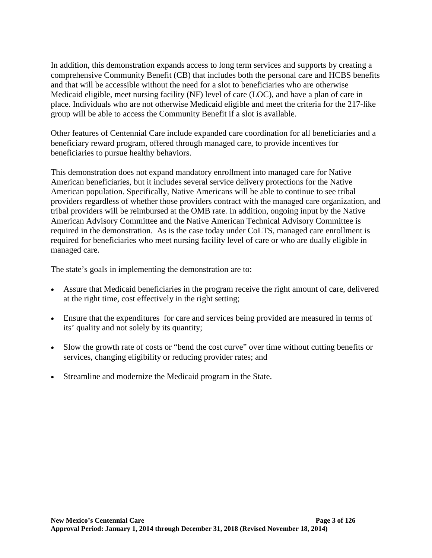In addition, this demonstration expands access to long term services and supports by creating a comprehensive Community Benefit (CB) that includes both the personal care and HCBS benefits and that will be accessible without the need for a slot to beneficiaries who are otherwise Medicaid eligible, meet nursing facility (NF) level of care (LOC), and have a plan of care in place. Individuals who are not otherwise Medicaid eligible and meet the criteria for the 217-like group will be able to access the Community Benefit if a slot is available.

Other features of Centennial Care include expanded care coordination for all beneficiaries and a beneficiary reward program, offered through managed care, to provide incentives for beneficiaries to pursue healthy behaviors.

This demonstration does not expand mandatory enrollment into managed care for Native American beneficiaries, but it includes several service delivery protections for the Native American population. Specifically, Native Americans will be able to continue to see tribal providers regardless of whether those providers contract with the managed care organization, and tribal providers will be reimbursed at the OMB rate. In addition, ongoing input by the Native American Advisory Committee and the Native American Technical Advisory Committee is required in the demonstration. As is the case today under CoLTS, managed care enrollment is required for beneficiaries who meet nursing facility level of care or who are dually eligible in managed care.

The state's goals in implementing the demonstration are to:

- Assure that Medicaid beneficiaries in the program receive the right amount of care, delivered at the right time, cost effectively in the right setting;
- Ensure that the expenditures for care and services being provided are measured in terms of its' quality and not solely by its quantity;
- Slow the growth rate of costs or "bend the cost curve" over time without cutting benefits or services, changing eligibility or reducing provider rates; and
- Streamline and modernize the Medicaid program in the State.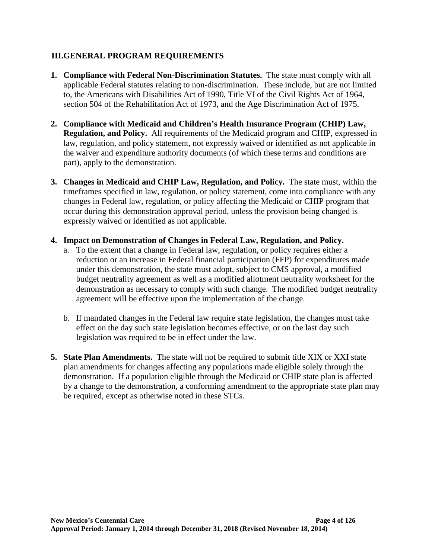# **III.GENERAL PROGRAM REQUIREMENTS**

- **1. Compliance with Federal Non-Discrimination Statutes.** The state must comply with all applicable Federal statutes relating to non-discrimination. These include, but are not limited to, the Americans with Disabilities Act of 1990, Title VI of the Civil Rights Act of 1964, section 504 of the Rehabilitation Act of 1973, and the Age Discrimination Act of 1975.
- **2. Compliance with Medicaid and Children's Health Insurance Program (CHIP) Law, Regulation, and Policy.** All requirements of the Medicaid program and CHIP, expressed in law, regulation, and policy statement, not expressly waived or identified as not applicable in the waiver and expenditure authority documents (of which these terms and conditions are part), apply to the demonstration.
- **3. Changes in Medicaid and CHIP Law, Regulation, and Policy.** The state must, within the timeframes specified in law, regulation, or policy statement, come into compliance with any changes in Federal law, regulation, or policy affecting the Medicaid or CHIP program that occur during this demonstration approval period, unless the provision being changed is expressly waived or identified as not applicable.
- **4. Impact on Demonstration of Changes in Federal Law, Regulation, and Policy.** 
	- a. To the extent that a change in Federal law, regulation, or policy requires either a reduction or an increase in Federal financial participation (FFP) for expenditures made under this demonstration, the state must adopt, subject to CMS approval, a modified budget neutrality agreement as well as a modified allotment neutrality worksheet for the demonstration as necessary to comply with such change. The modified budget neutrality agreement will be effective upon the implementation of the change.
	- b. If mandated changes in the Federal law require state legislation, the changes must take effect on the day such state legislation becomes effective, or on the last day such legislation was required to be in effect under the law.
- **5. State Plan Amendments.** The state will not be required to submit title XIX or XXI state plan amendments for changes affecting any populations made eligible solely through the demonstration. If a population eligible through the Medicaid or CHIP state plan is affected by a change to the demonstration, a conforming amendment to the appropriate state plan may be required, except as otherwise noted in these STCs.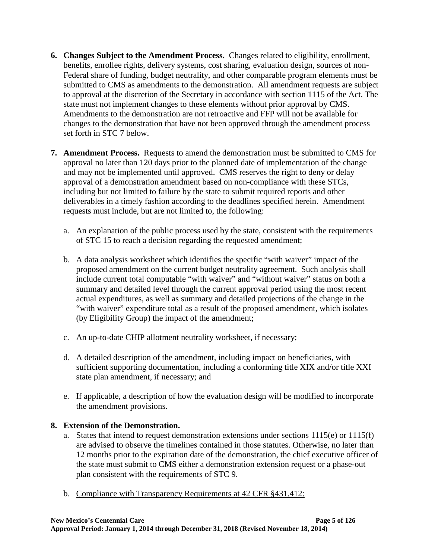- **6. Changes Subject to the Amendment Process.** Changes related to eligibility, enrollment, benefits, enrollee rights, delivery systems, cost sharing, evaluation design, sources of non-Federal share of funding, budget neutrality, and other comparable program elements must be submitted to CMS as amendments to the demonstration. All amendment requests are subject to approval at the discretion of the Secretary in accordance with section 1115 of the Act. The state must not implement changes to these elements without prior approval by CMS. Amendments to the demonstration are not retroactive and FFP will not be available for changes to the demonstration that have not been approved through the amendment process set forth in STC [7](#page-10-0) below.
- <span id="page-10-0"></span>**7. Amendment Process.** Requests to amend the demonstration must be submitted to CMS for approval no later than 120 days prior to the planned date of implementation of the change and may not be implemented until approved. CMS reserves the right to deny or delay approval of a demonstration amendment based on non-compliance with these STCs, including but not limited to failure by the state to submit required reports and other deliverables in a timely fashion according to the deadlines specified herein. Amendment requests must include, but are not limited to, the following:
	- a. An explanation of the public process used by the state, consistent with the requirements of STC [15](#page-14-0) to reach a decision regarding the requested amendment;
	- b. A data analysis worksheet which identifies the specific "with waiver" impact of the proposed amendment on the current budget neutrality agreement. Such analysis shall include current total computable "with waiver" and "without waiver" status on both a summary and detailed level through the current approval period using the most recent actual expenditures, as well as summary and detailed projections of the change in the "with waiver" expenditure total as a result of the proposed amendment, which isolates (by Eligibility Group) the impact of the amendment;
	- c. An up-to-date CHIP allotment neutrality worksheet, if necessary;
	- d. A detailed description of the amendment, including impact on beneficiaries, with sufficient supporting documentation, including a conforming title XIX and/or title XXI state plan amendment, if necessary; and
	- e. If applicable, a description of how the evaluation design will be modified to incorporate the amendment provisions.

# **8. Extension of the Demonstration.**

- a. States that intend to request demonstration extensions under sections 1115(e) or 1115(f) are advised to observe the timelines contained in those statutes. Otherwise, no later than 12 months prior to the expiration date of the demonstration, the chief executive officer of the state must submit to CMS either a demonstration extension request or a phase-out plan consistent with the requirements of STC [9.](#page-12-0)
- b. Compliance with Transparency Requirements at 42 CFR §431.412: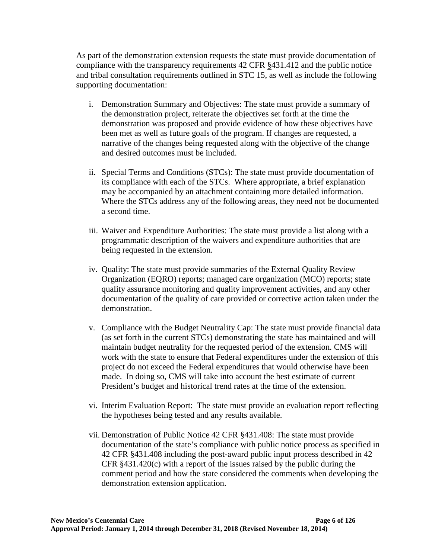As part of the demonstration extension requests the state must provide documentation of compliance with the transparency requirements 42 CFR §431.412 and the public notice and tribal consultation requirements outlined in STC [15,](#page-14-0) as well as include the following supporting documentation:

- i. Demonstration Summary and Objectives: The state must provide a summary of the demonstration project, reiterate the objectives set forth at the time the demonstration was proposed and provide evidence of how these objectives have been met as well as future goals of the program. If changes are requested, a narrative of the changes being requested along with the objective of the change and desired outcomes must be included.
- ii. Special Terms and Conditions (STCs): The state must provide documentation of its compliance with each of the STCs. Where appropriate, a brief explanation may be accompanied by an attachment containing more detailed information. Where the STCs address any of the following areas, they need not be documented a second time.
- iii. Waiver and Expenditure Authorities: The state must provide a list along with a programmatic description of the waivers and expenditure authorities that are being requested in the extension.
- iv. Quality: The state must provide summaries of the External Quality Review Organization (EQRO) reports; managed care organization (MCO) reports; state quality assurance monitoring and quality improvement activities, and any other documentation of the quality of care provided or corrective action taken under the demonstration.
- v. Compliance with the Budget Neutrality Cap: The state must provide financial data (as set forth in the current STCs) demonstrating the state has maintained and will maintain budget neutrality for the requested period of the extension. CMS will work with the state to ensure that Federal expenditures under the extension of this project do not exceed the Federal expenditures that would otherwise have been made. In doing so, CMS will take into account the best estimate of current President's budget and historical trend rates at the time of the extension.
- vi. Interim Evaluation Report: The state must provide an evaluation report reflecting the hypotheses being tested and any results available.
- vii. Demonstration of Public Notice 42 CFR §431.408: The state must provide documentation of the state's compliance with public notice process as specified in 42 CFR §431.408 including the post-award public input process described in 42 CFR §431.420(c) with a report of the issues raised by the public during the comment period and how the state considered the comments when developing the demonstration extension application.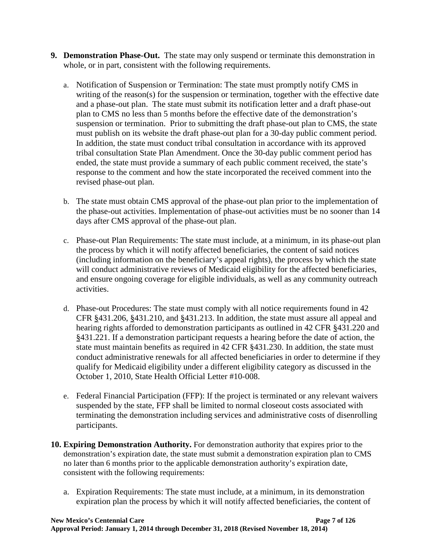- <span id="page-12-0"></span>**9. Demonstration Phase-Out.** The state may only suspend or terminate this demonstration in whole, or in part, consistent with the following requirements.
	- a. Notification of Suspension or Termination: The state must promptly notify CMS in writing of the reason(s) for the suspension or termination, together with the effective date and a phase-out plan. The state must submit its notification letter and a draft phase-out plan to CMS no less than 5 months before the effective date of the demonstration's suspension or termination. Prior to submitting the draft phase-out plan to CMS, the state must publish on its website the draft phase-out plan for a 30-day public comment period. In addition, the state must conduct tribal consultation in accordance with its approved tribal consultation State Plan Amendment. Once the 30-day public comment period has ended, the state must provide a summary of each public comment received, the state's response to the comment and how the state incorporated the received comment into the revised phase-out plan.
	- b. The state must obtain CMS approval of the phase-out plan prior to the implementation of the phase-out activities. Implementation of phase-out activities must be no sooner than 14 days after CMS approval of the phase-out plan.
	- c. Phase-out Plan Requirements: The state must include, at a minimum, in its phase-out plan the process by which it will notify affected beneficiaries, the content of said notices (including information on the beneficiary's appeal rights), the process by which the state will conduct administrative reviews of Medicaid eligibility for the affected beneficiaries, and ensure ongoing coverage for eligible individuals, as well as any community outreach activities.
	- d. Phase-out Procedures: The state must comply with all notice requirements found in 42 CFR §431.206, §431.210, and §431.213. In addition, the state must assure all appeal and hearing rights afforded to demonstration participants as outlined in 42 CFR §431.220 and §431.221. If a demonstration participant requests a hearing before the date of action, the state must maintain benefits as required in 42 CFR §431.230. In addition, the state must conduct administrative renewals for all affected beneficiaries in order to determine if they qualify for Medicaid eligibility under a different eligibility category as discussed in the October 1, 2010, State Health Official Letter #10-008.
	- e. Federal Financial Participation (FFP): If the project is terminated or any relevant waivers suspended by the state, FFP shall be limited to normal closeout costs associated with terminating the demonstration including services and administrative costs of disenrolling participants.
- **10. Expiring Demonstration Authority.** For demonstration authority that expires prior to the demonstration's expiration date, the state must submit a demonstration expiration plan to CMS no later than 6 months prior to the applicable demonstration authority's expiration date, consistent with the following requirements:
	- a. Expiration Requirements: The state must include, at a minimum, in its demonstration expiration plan the process by which it will notify affected beneficiaries, the content of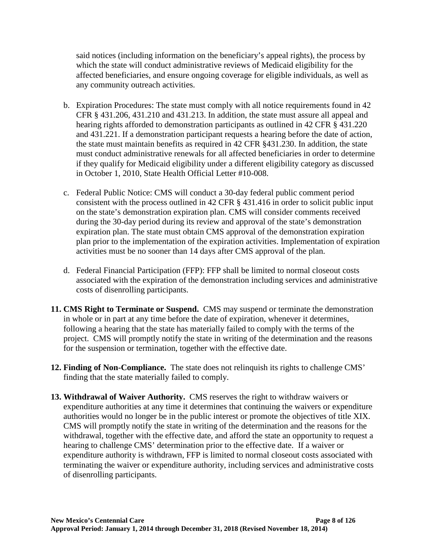said notices (including information on the beneficiary's appeal rights), the process by which the state will conduct administrative reviews of Medicaid eligibility for the affected beneficiaries, and ensure ongoing coverage for eligible individuals, as well as any community outreach activities.

- b. Expiration Procedures: The state must comply with all notice requirements found in 42 CFR § 431.206, 431.210 and 431.213. In addition, the state must assure all appeal and hearing rights afforded to demonstration participants as outlined in 42 CFR § 431.220 and 431.221. If a demonstration participant requests a hearing before the date of action, the state must maintain benefits as required in 42 CFR §431.230. In addition, the state must conduct administrative renewals for all affected beneficiaries in order to determine if they qualify for Medicaid eligibility under a different eligibility category as discussed in October 1, 2010, State Health Official Letter #10-008.
- c. Federal Public Notice: CMS will conduct a 30-day federal public comment period consistent with the process outlined in 42 CFR § 431.416 in order to solicit public input on the state's demonstration expiration plan. CMS will consider comments received during the 30-day period during its review and approval of the state's demonstration expiration plan. The state must obtain CMS approval of the demonstration expiration plan prior to the implementation of the expiration activities. Implementation of expiration activities must be no sooner than 14 days after CMS approval of the plan.
- d. Federal Financial Participation (FFP): FFP shall be limited to normal closeout costs associated with the expiration of the demonstration including services and administrative costs of disenrolling participants.
- **11. CMS Right to Terminate or Suspend.** CMS may suspend or terminate the demonstration in whole or in part at any time before the date of expiration, whenever it determines, following a hearing that the state has materially failed to comply with the terms of the project. CMS will promptly notify the state in writing of the determination and the reasons for the suspension or termination, together with the effective date.
- **12. Finding of Non-Compliance.** The state does not relinquish its rights to challenge CMS' finding that the state materially failed to comply.
- **13. Withdrawal of Waiver Authority.** CMS reserves the right to withdraw waivers or expenditure authorities at any time it determines that continuing the waivers or expenditure authorities would no longer be in the public interest or promote the objectives of title XIX. CMS will promptly notify the state in writing of the determination and the reasons for the withdrawal, together with the effective date, and afford the state an opportunity to request a hearing to challenge CMS' determination prior to the effective date. If a waiver or expenditure authority is withdrawn, FFP is limited to normal closeout costs associated with terminating the waiver or expenditure authority, including services and administrative costs of disenrolling participants.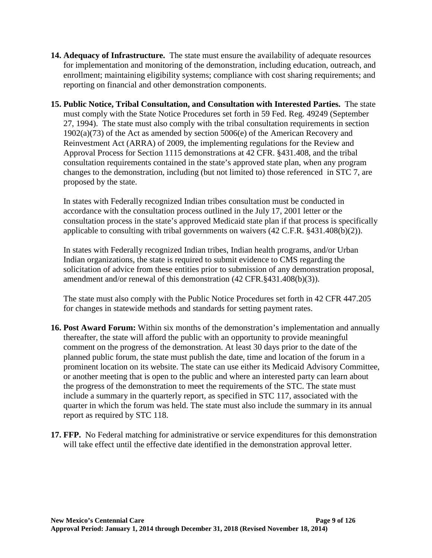- **14. Adequacy of Infrastructure.** The state must ensure the availability of adequate resources for implementation and monitoring of the demonstration, including education, outreach, and enrollment; maintaining eligibility systems; compliance with cost sharing requirements; and reporting on financial and other demonstration components.
- <span id="page-14-0"></span>**15. Public Notice, Tribal Consultation, and Consultation with Interested Parties.** The state must comply with the State Notice Procedures set forth in 59 Fed. Reg. 49249 (September 27, 1994). The state must also comply with the tribal consultation requirements in section 1902(a)(73) of the Act as amended by section 5006(e) of the American Recovery and Reinvestment Act (ARRA) of 2009, the implementing regulations for the Review and Approval Process for Section 1115 demonstrations at 42 CFR. §431.408, and the tribal consultation requirements contained in the state's approved state plan, when any program changes to the demonstration, including (but not limited to) those referenced in STC [7,](#page-10-0) are proposed by the state.

In states with Federally recognized Indian tribes consultation must be conducted in accordance with the consultation process outlined in the July 17, 2001 letter or the consultation process in the state's approved Medicaid state plan if that process is specifically applicable to consulting with tribal governments on waivers (42 C.F.R. §431.408(b)(2)).

In states with Federally recognized Indian tribes, Indian health programs, and/or Urban Indian organizations, the state is required to submit evidence to CMS regarding the solicitation of advice from these entities prior to submission of any demonstration proposal, amendment and/or renewal of this demonstration (42 CFR.§431.408(b)(3)).

The state must also comply with the Public Notice Procedures set forth in 42 CFR 447.205 for changes in statewide methods and standards for setting payment rates.

- **16. Post Award Forum:** Within six months of the demonstration's implementation and annually thereafter, the state will afford the public with an opportunity to provide meaningful comment on the progress of the demonstration. At least 30 days prior to the date of the planned public forum, the state must publish the date, time and location of the forum in a prominent location on its website. The state can use either its Medicaid Advisory Committee, or another meeting that is open to the public and where an interested party can learn about the progress of the demonstration to meet the requirements of the STC. The state must include a summary in the quarterly report, as specified in STC [117,](#page-69-0) associated with the quarter in which the forum was held. The state must also include the summary in its annual report as required by STC [118.](#page-70-0)
- **17. FFP.** No Federal matching for administrative or service expenditures for this demonstration will take effect until the effective date identified in the demonstration approval letter.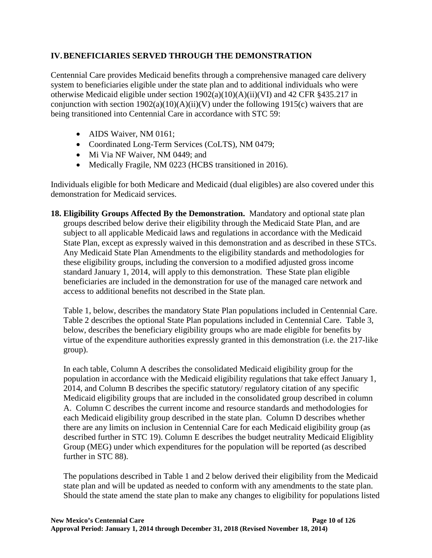# **IV.BENEFICIARIES SERVED THROUGH THE DEMONSTRATION**

Centennial Care provides Medicaid benefits through a comprehensive managed care delivery system to beneficiaries eligible under the state plan and to additional individuals who were otherwise Medicaid eligible under section 1902(a)(10)(A)(ii)(VI) and 42 CFR §435.217 in conjunction with section  $1902(a)(10)(A)(ii)(V)$  under the following 1915(c) waivers that are being transitioned into Centennial Care in accordance with STC [59:](#page-39-0)

- AIDS Waiver, NM 0161;
- Coordinated Long-Term Services (CoLTS), NM 0479;
- Mi Via NF Waiver, NM 0449; and
- Medically Fragile, NM 0223 (HCBS transitioned in 2016).

Individuals eligible for both Medicare and Medicaid (dual eligibles) are also covered under this demonstration for Medicaid services.

<span id="page-15-0"></span>**18. Eligibility Groups Affected By the Demonstration.** Mandatory and optional state plan groups described below derive their eligibility through the Medicaid State Plan, and are subject to all applicable Medicaid laws and regulations in accordance with the Medicaid State Plan, except as expressly waived in this demonstration and as described in these STCs. Any Medicaid State Plan Amendments to the eligibility standards and methodologies for these eligibility groups, including the conversion to a modified adjusted gross income standard January 1, 2014, will apply to this demonstration. These State plan eligible beneficiaries are included in the demonstration for use of the managed care network and access to additional benefits not described in the State plan.

Table 1, below, describes the mandatory State Plan populations included in Centennial Care. Table 2 describes the optional State Plan populations included in Centennial Care. Table 3, below, describes the beneficiary eligibility groups who are made eligible for benefits by virtue of the expenditure authorities expressly granted in this demonstration (i.e. the 217-like group).

In each table, Column A describes the consolidated Medicaid eligibility group for the population in accordance with the Medicaid eligibility regulations that take effect January 1, 2014, and Column B describes the specific statutory/ regulatory citation of any specific Medicaid eligibility groups that are included in the consolidated group described in column A. Column C describes the current income and resource standards and methodologies for each Medicaid eligibility group described in the state plan. Column D describes whether there are any limits on inclusion in Centennial Care for each Medicaid eligibility group (as described further in STC [19\)](#page-24-0). Column E describes the budget neutrality Medicaid Eligiblity Group (MEG) under which expenditures for the population will be reported (as described further in STC [88\)](#page-58-0).

The populations described in Table 1 and 2 below derived their eligibility from the Medicaid state plan and will be updated as needed to conform with any amendments to the state plan. Should the state amend the state plan to make any changes to eligibility for populations listed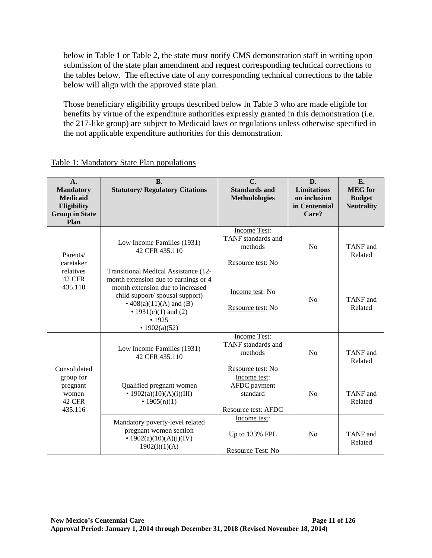below in Table 1 or Table 2, the state must notify CMS demonstration staff in writing upon submission of the state plan amendment and request corresponding technical corrections to the tables below. The effective date of any corresponding technical corrections to the table below will align with the approved state plan.

Those beneficiary eligibility groups described below in Table 3 who are made eligible for benefits by virtue of the expenditure authorities expressly granted in this demonstration (i.e. the 217-like group) are subject to Medicaid laws or regulations unless otherwise specified in the not applicable expenditure authorities for this demonstration.

| A.<br><b>Mandatory</b><br><b>Medicaid</b><br>Eligibility<br><b>Group in State</b><br>Plan | <b>B.</b><br><b>Statutory/ Regulatory Citations</b>                                                                                                                                                                                   | $\overline{C}$ .<br><b>Standards and</b><br><b>Methodologies</b>          | D.<br><b>Limitations</b><br>on inclusion<br>in Centennial<br>Care? | E.<br><b>MEG</b> for<br><b>Budget</b><br><b>Neutrality</b> |
|-------------------------------------------------------------------------------------------|---------------------------------------------------------------------------------------------------------------------------------------------------------------------------------------------------------------------------------------|---------------------------------------------------------------------------|--------------------------------------------------------------------|------------------------------------------------------------|
| Parents/<br>caretaker                                                                     | Low Income Families (1931)<br>42 CFR 435.110                                                                                                                                                                                          | <b>Income Test:</b><br>TANF standards and<br>methods<br>Resource test: No | No                                                                 | TANF and<br>Related                                        |
| relatives<br>42 CFR<br>435.110                                                            | Transitional Medical Assistance (12-<br>month extension due to earnings or 4<br>month extension due to increased<br>child support/ spousal support)<br>• $408(a)(11)(A)$ and (B)<br>• 1931(c)(1) and (2)<br>• 1925<br>• $1902(a)(52)$ | Income test: No<br>Resource test: No                                      | N <sub>o</sub>                                                     | TANF and<br>Related                                        |
| Consolidated                                                                              | Low Income Families (1931)<br>42 CFR 435.110                                                                                                                                                                                          | <b>Income Test:</b><br>TANF standards and<br>methods<br>Resource test: No | No                                                                 | TANF and<br>Related                                        |
| group for<br>pregnant<br>women<br>42 CFR<br>435.116                                       | Qualified pregnant women<br>• $1902(a)(10)(A)(i)(III)$<br>• $1905(n)(1)$                                                                                                                                                              | Income test:<br>AFDC payment<br>standard<br>Resource test: AFDC           | N <sub>o</sub>                                                     | TANF and<br>Related                                        |
|                                                                                           | Mandatory poverty-level related<br>pregnant women section<br>• $1902(a)(10)(A)(i)(IV)$<br>1902(1)(1)(A)                                                                                                                               | Income test:<br>Up to 133% FPL<br>Resource Test: No                       | N <sub>0</sub>                                                     | TANF and<br>Related                                        |

## Table 1: Mandatory State Plan populations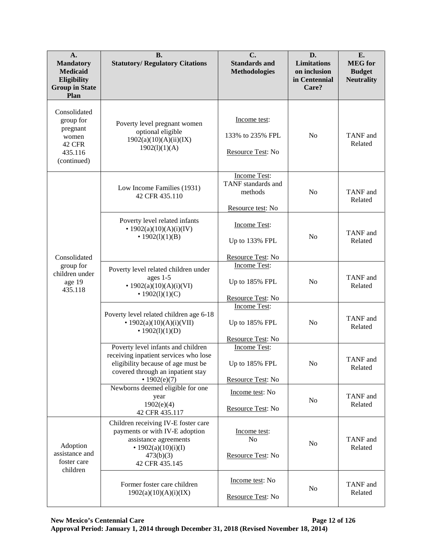| $\mathbf{A}$ .<br><b>Mandatory</b><br><b>Medicaid</b><br>Eligibility<br><b>Group in State</b><br>Plan | <b>B.</b><br><b>Statutory/ Regulatory Citations</b>                                                                                                                      | $\mathbf{C}$ .<br><b>Standards and</b><br><b>Methodologies</b>            | D.<br><b>Limitations</b><br>on inclusion<br>in Centennial<br>Care? | E.<br><b>MEG</b> for<br><b>Budget</b><br><b>Neutrality</b> |
|-------------------------------------------------------------------------------------------------------|--------------------------------------------------------------------------------------------------------------------------------------------------------------------------|---------------------------------------------------------------------------|--------------------------------------------------------------------|------------------------------------------------------------|
| Consolidated<br>group for<br>pregnant<br>women<br>42 CFR<br>435.116<br>(continued)                    | Poverty level pregnant women<br>optional eligible<br>1902(a)(10)(A)(ii)(IX)<br>1902(1)(1)(A)                                                                             | Income test:<br>133% to 235% FPL<br>Resource Test: No                     | N <sub>0</sub>                                                     | TANF and<br>Related                                        |
|                                                                                                       | Low Income Families (1931)<br>42 CFR 435.110                                                                                                                             | <b>Income Test:</b><br>TANF standards and<br>methods<br>Resource test: No | N <sub>0</sub>                                                     | TANF and<br>Related                                        |
| Consolidated                                                                                          | Poverty level related infants<br>• $1902(a)(10)(A)(i)(IV)$<br>• $1902(l)(1)(B)$                                                                                          | Income Test:<br>Up to 133% FPL<br>Resource Test: No                       | N <sub>o</sub>                                                     | TANF and<br>Related                                        |
| group for<br>children under<br>age 19<br>435.118                                                      | Poverty level related children under<br>ages 1-5<br>• $1902(a)(10)(A)(i)(VI)$<br>• $1902(l)(1)(C)$                                                                       | <b>Income Test:</b><br>Up to 185% FPL<br>Resource Test: No                | N <sub>0</sub>                                                     | TANF and<br>Related                                        |
|                                                                                                       | Poverty level related children age 6-18<br>• $1902(a)(10)(A)(i)(VII)$<br>• $1902(l)(1)(D)$                                                                               | <b>Income Test:</b><br>Up to 185% FPL<br>Resource Test: No                | N <sub>0</sub>                                                     | TANF and<br>Related                                        |
|                                                                                                       | Poverty level infants and children<br>receiving inpatient services who lose<br>eligibility because of age must be<br>covered through an inpatient stay<br>• $1902(e)(7)$ | Income Test:<br>Up to 185% FPL<br>Resource Test: No                       | N <sub>0</sub>                                                     | TANF and<br>Related                                        |
|                                                                                                       | Newborns deemed eligible for one<br>year<br>1902(e)(4)<br>42 CFR 435.117                                                                                                 | Income test: No<br>Resource Test: No                                      | No                                                                 | TANF and<br>Related                                        |
| Adoption<br>assistance and<br>foster care<br>children                                                 | Children receiving IV-E foster care<br>payments or with IV-E adoption<br>assistance agreements<br>• $1902(a)(10)(i)(I)$<br>473(b)(3)<br>42 CFR 435.145                   | Income test:<br>N <sub>o</sub><br>Resource Test: No                       | No                                                                 | TANF and<br>Related                                        |
|                                                                                                       | Former foster care children<br>1902(a)(10)(A)(i)(IX)                                                                                                                     | Income test: No<br>Resource Test: No                                      | No                                                                 | TANF and<br>Related                                        |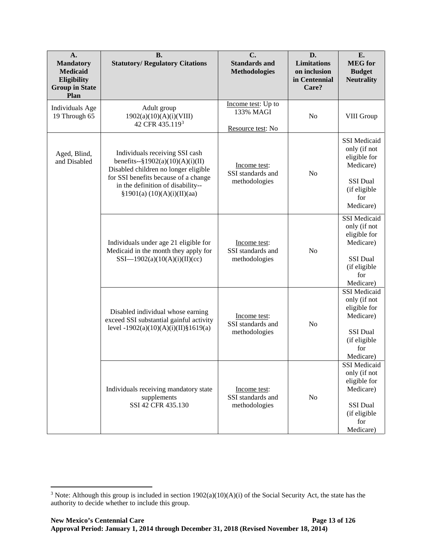| A.<br><b>Mandatory</b><br><b>Medicaid</b><br>Eligibility<br><b>Group in State</b><br>Plan | <b>B.</b><br><b>Statutory/ Regulatory Citations</b>                                                                                                                                                                         | $\mathbf{C}$ .<br><b>Standards and</b><br><b>Methodologies</b> | D.<br><b>Limitations</b><br>on inclusion<br>in Centennial<br>Care? | E.<br><b>MEG</b> for<br><b>Budget</b><br><b>Neutrality</b>                                                              |
|-------------------------------------------------------------------------------------------|-----------------------------------------------------------------------------------------------------------------------------------------------------------------------------------------------------------------------------|----------------------------------------------------------------|--------------------------------------------------------------------|-------------------------------------------------------------------------------------------------------------------------|
| Individuals Age<br>19 Through 65                                                          | Adult group<br>1902(a)(10)(A)(i)(VIII)<br>42 CFR 435.1193                                                                                                                                                                   | Income test: Up to<br>133% MAGI<br>Resource test: No           | N <sub>o</sub>                                                     | VIII Group                                                                                                              |
| Aged, Blind,<br>and Disabled                                                              | Individuals receiving SSI cash<br>benefits-- $\S 1902(a)(10)(A)(i)(II)$<br>Disabled children no longer eligible<br>for SSI benefits because of a change<br>in the definition of disability--<br>§1901(a) (10)(A)(i)(II)(aa) | Income test:<br>SSI standards and<br>methodologies             | N <sub>o</sub>                                                     | <b>SSI</b> Medicaid<br>only (if not<br>eligible for<br>Medicare)<br>SSI Dual<br>(if eligible<br>for<br>Medicare)        |
|                                                                                           | Individuals under age 21 eligible for<br>Medicaid in the month they apply for<br>SSI-1902(a)(10(A)(i)(II)(cc)                                                                                                               | Income test:<br>SSI standards and<br>methodologies             | No                                                                 | <b>SSI</b> Medicaid<br>only (if not<br>eligible for<br>Medicare)<br>SSI Dual<br>(if eligible<br>for<br>Medicare)        |
|                                                                                           | Disabled individual whose earning<br>exceed SSI substantial gainful activity<br>level $-1902(a)(10)(A)(i)(II)\$ {1619(a)                                                                                                    | Income test:<br>SSI standards and<br>methodologies             | N <sub>o</sub>                                                     | <b>SSI</b> Medicaid<br>only (if not<br>eligible for<br>Medicare)<br><b>SSI</b> Dual<br>(if eligible<br>for<br>Medicare) |
|                                                                                           | Individuals receiving mandatory state<br>supplements<br>SSI 42 CFR 435.130                                                                                                                                                  | Income test:<br>SSI standards and<br>methodologies             | No                                                                 | SSI Medicaid<br>only (if not<br>eligible for<br>Medicare)<br>SSI Dual<br>(if eligible<br>for<br>Medicare)               |

 $\overline{a}$ 

<span id="page-18-0"></span><sup>&</sup>lt;sup>3</sup> Note: Although this group is included in section  $1902(a)(10)(A)(i)$  of the Social Security Act, the state has the authority to decide whether to include this group.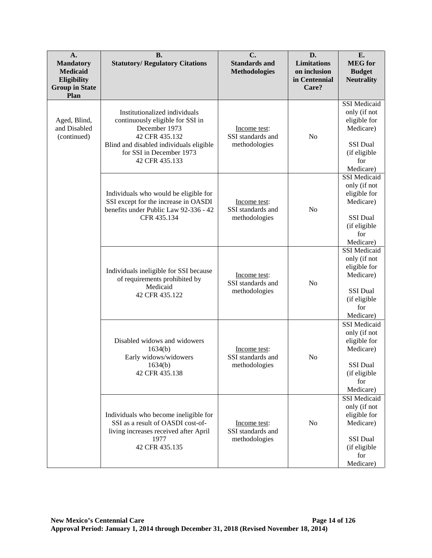| $\mathbf{A}$ .<br><b>Mandatory</b><br><b>Medicaid</b><br>Eligibility<br><b>Group in State</b><br>Plan | <b>B.</b><br><b>Statutory/ Regulatory Citations</b>                                                                                                                                           | $C$ .<br><b>Standards and</b><br><b>Methodologies</b> | D.<br><b>Limitations</b><br>on inclusion<br>in Centennial<br>Care? | E.<br><b>MEG</b> for<br><b>Budget</b><br><b>Neutrality</b>                                                       |
|-------------------------------------------------------------------------------------------------------|-----------------------------------------------------------------------------------------------------------------------------------------------------------------------------------------------|-------------------------------------------------------|--------------------------------------------------------------------|------------------------------------------------------------------------------------------------------------------|
| Aged, Blind,<br>and Disabled<br>(continued)                                                           | Institutionalized individuals<br>continuously eligible for SSI in<br>December 1973<br>42 CFR 435.132<br>Blind and disabled individuals eligible<br>for SSI in December 1973<br>42 CFR 435.133 | Income test:<br>SSI standards and<br>methodologies    | N <sub>0</sub>                                                     | <b>SSI</b> Medicaid<br>only (if not<br>eligible for<br>Medicare)<br>SSI Dual<br>(if eligible<br>for<br>Medicare) |
|                                                                                                       | Individuals who would be eligible for<br>SSI except for the increase in OASDI<br>benefits under Public Law 92-336 - 42<br>CFR 435.134                                                         | Income test:<br>SSI standards and<br>methodologies    | N <sub>o</sub>                                                     | <b>SSI</b> Medicaid<br>only (if not<br>eligible for<br>Medicare)<br>SSI Dual<br>(if eligible<br>for<br>Medicare) |
|                                                                                                       | Individuals ineligible for SSI because<br>of requirements prohibited by<br>Medicaid<br>42 CFR 435.122                                                                                         | Income test:<br>SSI standards and<br>methodologies    | N <sub>o</sub>                                                     | <b>SSI</b> Medicaid<br>only (if not<br>eligible for<br>Medicare)<br>SSI Dual<br>(if eligible<br>for<br>Medicare) |
|                                                                                                       | Disabled widows and widowers<br>1634(b)<br>Early widows/widowers<br>1634(b)<br>42 CFR 435.138                                                                                                 | Income test:<br>SSI standards and<br>methodologies    | N <sub>o</sub>                                                     | <b>SSI</b> Medicaid<br>only (if not<br>eligible for<br>Medicare)<br>SSI Dual<br>(if eligible<br>for<br>Medicare) |
|                                                                                                       | Individuals who become ineligible for<br>SSI as a result of OASDI cost-of-<br>living increases received after April<br>1977<br>42 CFR 435.135                                                 | Income test:<br>SSI standards and<br>methodologies    | No                                                                 | <b>SSI</b> Medicaid<br>only (if not<br>eligible for<br>Medicare)<br>SSI Dual<br>(if eligible<br>for<br>Medicare) |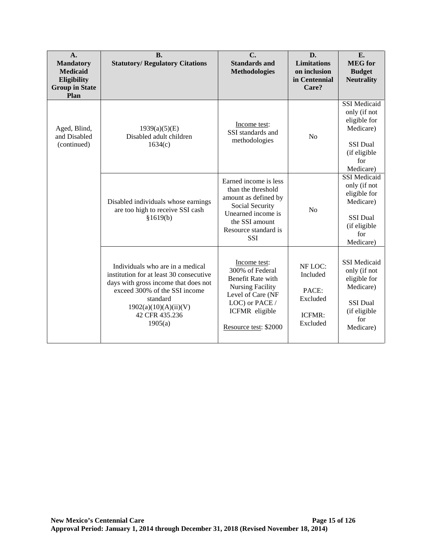| A.<br><b>Mandatory</b><br><b>Medicaid</b><br>Eligibility<br><b>Group in State</b><br>Plan | <b>B.</b><br><b>Statutory/ Regulatory Citations</b>                                                                                                                                                                    | C.<br><b>Standards and</b><br><b>Methodologies</b>                                                                                                                   | D.<br><b>Limitations</b><br>on inclusion<br>in Centennial<br>Care? | E.<br><b>MEG</b> for<br><b>Budget</b><br><b>Neutrality</b>                                                              |
|-------------------------------------------------------------------------------------------|------------------------------------------------------------------------------------------------------------------------------------------------------------------------------------------------------------------------|----------------------------------------------------------------------------------------------------------------------------------------------------------------------|--------------------------------------------------------------------|-------------------------------------------------------------------------------------------------------------------------|
| Aged, Blind,<br>and Disabled<br>(continued)                                               | 1939(a)(5)(E)<br>Disabled adult children<br>1634(c)                                                                                                                                                                    | Income test:<br>SSI standards and<br>methodologies                                                                                                                   | N <sub>o</sub>                                                     | SSI Medicaid<br>only (if not<br>eligible for<br>Medicare)<br><b>SSI Dual</b><br>(if eligible<br>for<br>Medicare)        |
|                                                                                           | Disabled individuals whose earnings<br>are too high to receive SSI cash<br>§1619(b)                                                                                                                                    | Earned income is less<br>than the threshold<br>amount as defined by<br>Social Security<br>Unearned income is<br>the SSI amount<br>Resource standard is<br><b>SSI</b> | N <sub>o</sub>                                                     | <b>SSI</b> Medicaid<br>only (if not<br>eligible for<br>Medicare)<br><b>SSI Dual</b><br>(if eligible<br>for<br>Medicare) |
|                                                                                           | Individuals who are in a medical<br>institution for at least 30 consecutive<br>days with gross income that does not<br>exceed 300% of the SSI income<br>standard<br>1902(a)(10)(A)(ii)(V)<br>42 CFR 435.236<br>1905(a) | Income test:<br>300% of Federal<br>Benefit Rate with<br><b>Nursing Facility</b><br>Level of Care (NF<br>LOC) or PACE /<br>ICFMR eligible<br>Resource test: \$2000    | NF LOC:<br>Included<br>PACE:<br>Excluded<br>ICFMR:<br>Excluded     | <b>SSI</b> Medicaid<br>only (if not<br>eligible for<br>Medicare)<br><b>SSI Dual</b><br>(if eligible<br>for<br>Medicare) |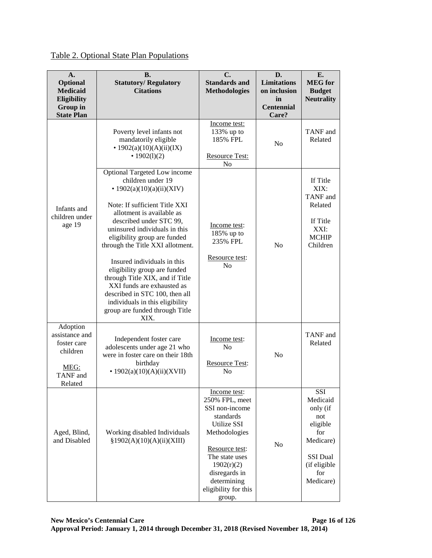| A.<br>Optional<br><b>Medicaid</b><br>Eligibility<br>Group in<br><b>State Plan</b>    | <b>B.</b><br><b>Statutory/Regulatory</b><br><b>Citations</b>                                                                                                                                                                                                                                                                                                                                                                                                                                                                  | $\mathbf{C}$ .<br><b>Standards and</b><br><b>Methodologies</b>                                                                                                                                                    | D.<br><b>Limitations</b><br>on inclusion<br>in<br><b>Centennial</b><br>Care? | E.<br><b>MEG</b> for<br><b>Budget</b><br><b>Neutrality</b>                                                                |
|--------------------------------------------------------------------------------------|-------------------------------------------------------------------------------------------------------------------------------------------------------------------------------------------------------------------------------------------------------------------------------------------------------------------------------------------------------------------------------------------------------------------------------------------------------------------------------------------------------------------------------|-------------------------------------------------------------------------------------------------------------------------------------------------------------------------------------------------------------------|------------------------------------------------------------------------------|---------------------------------------------------------------------------------------------------------------------------|
|                                                                                      | Poverty level infants not<br>mandatorily eligible<br>• $1902(a)(10)(A)(ii)(IX)$<br>• $1902(1)(2)$                                                                                                                                                                                                                                                                                                                                                                                                                             | Income test:<br>133% up to<br>185% FPL<br><b>Resource Test:</b><br>N <sub>0</sub>                                                                                                                                 | N <sub>0</sub>                                                               | TANF and<br>Related                                                                                                       |
| Infants and<br>children under<br>age 19                                              | Optional Targeted Low income<br>children under 19<br>• $1902(a)(10)(a)(ii)(XIV)$<br>Note: If sufficient Title XXI<br>allotment is available as<br>described under STC 99,<br>uninsured individuals in this<br>eligibility group are funded<br>through the Title XXI allotment.<br>Insured individuals in this<br>eligibility group are funded<br>through Title XIX, and if Title<br>XXI funds are exhausted as<br>described in STC 100, then all<br>individuals in this eligibility<br>group are funded through Title<br>XIX. | Income test:<br>185% up to<br>235% FPL<br>Resource test:<br>N <sub>0</sub>                                                                                                                                        | N <sub>o</sub>                                                               | If Title<br>XIX:<br>TANF and<br>Related<br>If Title<br>XXI:<br><b>MCHIP</b><br>Children                                   |
| Adoption<br>assistance and<br>foster care<br>children<br>MEG:<br>TANF and<br>Related | Independent foster care<br>adolescents under age 21 who<br>were in foster care on their 18th<br>birthday<br>• $1902(a)(10)(A)(ii)(XVII)$                                                                                                                                                                                                                                                                                                                                                                                      | Income test:<br>N <sub>0</sub><br>Resource Test:<br>No                                                                                                                                                            | No                                                                           | TANF and<br>Related                                                                                                       |
| Aged, Blind,<br>and Disabled                                                         | Working disabled Individuals<br>§1902(A)(10)(A)(ii)(XIII)                                                                                                                                                                                                                                                                                                                                                                                                                                                                     | Income test:<br>250% FPL, meet<br>SSI non-income<br>standards<br>Utilize SSI<br>Methodologies<br>Resource test:<br>The state uses<br>1902(r)(2)<br>disregards in<br>determining<br>eligibility for this<br>group. | No                                                                           | SSI<br>Medicaid<br>only (if<br>not<br>eligible<br>for<br>Medicare)<br><b>SSI Dual</b><br>(if eligible<br>for<br>Medicare) |

# Table 2. Optional State Plan Populations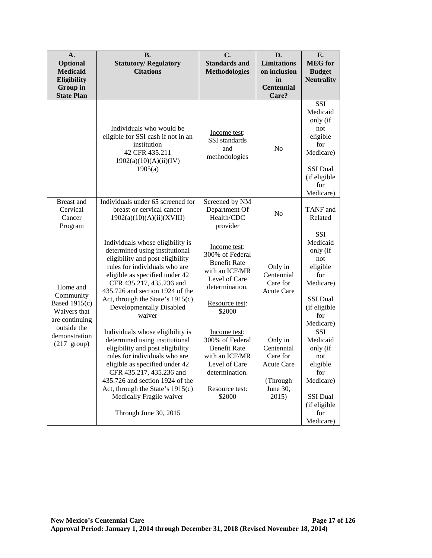| $\mathbf{A}$ .<br>Optional<br><b>Medicaid</b><br>Eligibility<br><b>Group</b> in<br><b>State Plan</b> | <b>B.</b><br><b>Statutory/Regulatory</b><br><b>Citations</b>                                                                                                                                                                                                                                                                      | C.<br><b>Standards and</b><br><b>Methodologies</b>                                                                                      | D.<br><b>Limitations</b><br>on inclusion<br>in<br><b>Centennial</b><br>Care?            | E.<br><b>MEG</b> for<br><b>Budget</b><br><b>Neutrality</b>                                                                |
|------------------------------------------------------------------------------------------------------|-----------------------------------------------------------------------------------------------------------------------------------------------------------------------------------------------------------------------------------------------------------------------------------------------------------------------------------|-----------------------------------------------------------------------------------------------------------------------------------------|-----------------------------------------------------------------------------------------|---------------------------------------------------------------------------------------------------------------------------|
|                                                                                                      | Individuals who would be<br>eligible for SSI cash if not in an<br>institution<br>42 CFR 435.211<br>1902(a)(10)(A)(ii)(IV)<br>1905(a)                                                                                                                                                                                              | Income test:<br>SSI standards<br>and<br>methodologies                                                                                   | No                                                                                      | SSI<br>Medicaid<br>only (if<br>not<br>eligible<br>for<br>Medicare)<br>SSI Dual<br>(if eligible<br>for<br>Medicare)        |
| <b>Breast</b> and<br>Cervical<br>Cancer<br>Program                                                   | Individuals under 65 screened for<br>breast or cervical cancer<br>1902(a)(10)(A)(ii)(XVIII)                                                                                                                                                                                                                                       | Screened by NM<br>Department Of<br>Health/CDC<br>provider                                                                               | N <sub>o</sub>                                                                          | TANF and<br>Related                                                                                                       |
| Home and<br>Community<br><b>Based 1915(c)</b><br>Waivers that<br>are continuing<br>outside the       | Individuals whose eligibility is<br>determined using institutional<br>eligibility and post eligibility<br>rules for individuals who are<br>eligible as specified under 42<br>CFR 435.217, 435.236 and<br>435.726 and section 1924 of the<br>Act, through the State's 1915(c)<br>Developmentally Disabled<br>waiver                | Income test:<br>300% of Federal<br><b>Benefit Rate</b><br>with an ICF/MR<br>Level of Care<br>determination.<br>Resource test:<br>\$2000 | Only in<br>Centennial<br>Care for<br><b>Acute Care</b>                                  | SSI<br>Medicaid<br>only (if<br>not<br>eligible<br>for<br>Medicare)<br><b>SSI Dual</b><br>(if eligible<br>for<br>Medicare) |
| demonstration<br>$(217 \text{ group})$                                                               | Individuals whose eligibility is<br>determined using institutional<br>eligibility and post eligibility<br>rules for individuals who are<br>eligible as specified under 42<br>CFR 435.217, 435.236 and<br>435.726 and section 1924 of the<br>Act, through the State's 1915(c)<br>Medically Fragile waiver<br>Through June 30, 2015 | Income test:<br>300% of Federal<br><b>Benefit Rate</b><br>with an ICF/MR<br>Level of Care<br>determination.<br>Resource test:<br>\$2000 | Only in<br>Centennial<br>Care for<br><b>Acute Care</b><br>(Through<br>June 30,<br>2015) | <b>SSI</b><br>Medicaid<br>only (if<br>not<br>eligible<br>for<br>Medicare)<br>SSI Dual<br>(if eligible<br>for<br>Medicare) |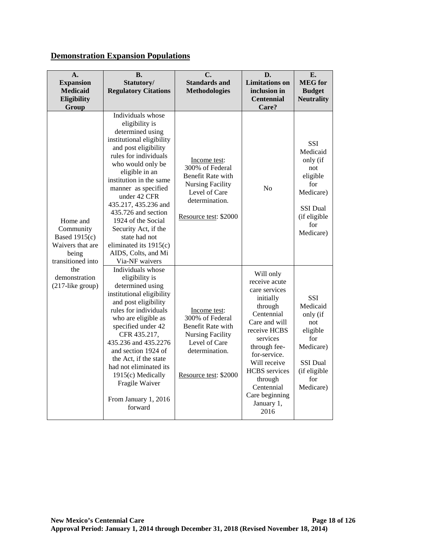# **Demonstration Expansion Populations**

| A.<br><b>Expansion</b><br><b>Medicaid</b><br><b>Eligibility</b><br>Group                 | <b>B.</b><br>Statutory/<br><b>Regulatory Citations</b>                                                                                                                                                                                                                                                                                                                                                                          | C.<br><b>Standards and</b><br><b>Methodologies</b>                                                                                          | D.<br><b>Limitations</b> on<br>inclusion in<br><b>Centennial</b><br>Care?                                                                                                                                                                                               | E.<br><b>MEG</b> for<br><b>Budget</b><br><b>Neutrality</b>                                                                |
|------------------------------------------------------------------------------------------|---------------------------------------------------------------------------------------------------------------------------------------------------------------------------------------------------------------------------------------------------------------------------------------------------------------------------------------------------------------------------------------------------------------------------------|---------------------------------------------------------------------------------------------------------------------------------------------|-------------------------------------------------------------------------------------------------------------------------------------------------------------------------------------------------------------------------------------------------------------------------|---------------------------------------------------------------------------------------------------------------------------|
| Home and<br>Community<br>Based 1915(c)<br>Waivers that are<br>being<br>transitioned into | Individuals whose<br>eligibility is<br>determined using<br>institutional eligibility<br>and post eligibility<br>rules for individuals<br>who would only be<br>eligible in an<br>institution in the same<br>manner as specified<br>under 42 CFR<br>435.217, 435.236 and<br>435.726 and section<br>1924 of the Social<br>Security Act, if the<br>state had not<br>eliminated its 1915(c)<br>AIDS, Colts, and Mi<br>Via-NF waivers | Income test:<br>300% of Federal<br>Benefit Rate with<br><b>Nursing Facility</b><br>Level of Care<br>determination.<br>Resource test: \$2000 | No                                                                                                                                                                                                                                                                      | SSI<br>Medicaid<br>only (if<br>not<br>eligible<br>for<br>Medicare)<br><b>SSI</b> Dual<br>(if eligible<br>for<br>Medicare) |
| the<br>demonstration<br>$(217$ -like group)                                              | Individuals whose<br>eligibility is<br>determined using<br>institutional eligibility<br>and post eligibility<br>rules for individuals<br>who are eligible as<br>specified under 42<br>CFR 435.217,<br>435.236 and 435.2276<br>and section 1924 of<br>the Act, if the state<br>had not eliminated its<br>1915(c) Medically<br>Fragile Waiver<br>From January 1, 2016<br>forward                                                  | Income test:<br>300% of Federal<br>Benefit Rate with<br><b>Nursing Facility</b><br>Level of Care<br>determination.<br>Resource test: \$2000 | Will only<br>receive acute<br>care services<br>initially<br>through<br>Centennial<br>Care and will<br>receive HCBS<br>services<br>through fee-<br>for-service.<br>Will receive<br><b>HCBS</b> services<br>through<br>Centennial<br>Care beginning<br>January 1,<br>2016 | <b>SSI</b><br>Medicaid<br>only (if<br>not<br>eligible<br>for<br>Medicare)<br>SSI Dual<br>(if eligible<br>for<br>Medicare) |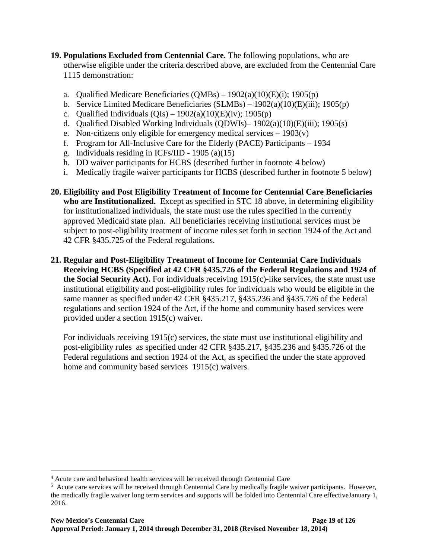- <span id="page-24-0"></span>**19. Populations Excluded from Centennial Care.** The following populations, who are otherwise eligible under the criteria described above, are excluded from the Centennial Care 1115 demonstration:
	- a. Qualified Medicare Beneficiaries  $(QMBs) 1902(a)(10)(E)(i)$ ; 1905(p)
	- b. Service Limited Medicare Beneficiaries  $(SLMBs) 1902(a)(10)(E)(iii)$ ; 1905(p)
	- c. Qualified Individuals  $(QIs) 1902(a)(10)(E)(iv)$ ; 1905(p)
	- d. Qualified Disabled Working Individuals (QDWIs)– 1902(a)(10)(E)(iii); 1905(s)
	- e. Non-citizens only eligible for emergency medical services  $-1903(v)$
	- f. Program for All-Inclusive Care for the Elderly (PACE) Participants 1934
	- g. Individuals residing in ICFs/IID 1905 (a)(15)
	- h. DD waiver participants for HCBS (described further in footnote [4](#page-24-1) below)
	- i. Medically fragile waiver participants for HCBS (described further in footnote [5](#page-24-2) below)
- **20. Eligibility and Post Eligibility Treatment of Income for Centennial Care Beneficiaries who are Institutionalized.** Except as specified in STC [18](#page-15-0) above, in determining eligibility for institutionalized individuals, the state must use the rules specified in the currently approved Medicaid state plan. All beneficiaries receiving institutional services must be subject to post-eligibility treatment of income rules set forth in section 1924 of the Act and 42 CFR §435.725 of the Federal regulations.
- **21. Regular and Post-Eligibility Treatment of Income for Centennial Care Individuals Receiving HCBS (Specified at 42 CFR §435.726 of the Federal Regulations and 1924 of the Social Security Act).** For individuals receiving 1915(c)-like services, the state must use institutional eligibility and post-eligibility rules for individuals who would be eligible in the same manner as specified under 42 CFR §435.217, §435.236 and §435.726 of the Federal regulations and section 1924 of the Act, if the home and community based services were provided under a section 1915(c) waiver.

For individuals receiving 1915(c) services, the state must use institutional eligibility and post-eligibility rules as specified under 42 CFR §435.217, §435.236 and §435.726 of the Federal regulations and section 1924 of the Act, as specified the under the state approved home and community based services 1915(c) waivers.

 $\overline{a}$ 

<span id="page-24-1"></span><sup>4</sup> Acute care and behavioral health services will be received through Centennial Care

<span id="page-24-2"></span><sup>&</sup>lt;sup>5</sup> Acute care services will be received through Centennial Care by medically fragile waiver participants. However, the medically fragile waiver long term services and supports will be folded into Centennial Care effectiveJanuary 1, 2016.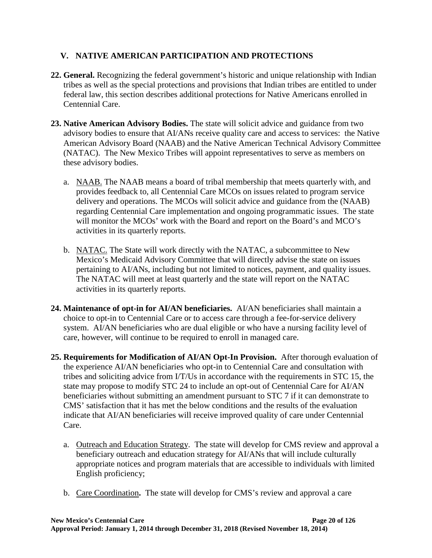# **V. NATIVE AMERICAN PARTICIPATION AND PROTECTIONS**

- **22. General.** Recognizing the federal government's historic and unique relationship with Indian tribes as well as the special protections and provisions that Indian tribes are entitled to under federal law, this section describes additional protections for Native Americans enrolled in Centennial Care.
- **23. Native American Advisory Bodies.** The state will solicit advice and guidance from two advisory bodies to ensure that AI/ANs receive quality care and access to services: the Native American Advisory Board (NAAB) and the Native American Technical Advisory Committee (NATAC). The New Mexico Tribes will appoint representatives to serve as members on these advisory bodies.
	- a. NAAB. The NAAB means a board of tribal membership that meets quarterly with, and provides feedback to, all Centennial Care MCOs on issues related to program service delivery and operations. The MCOs will solicit advice and guidance from the (NAAB) regarding Centennial Care implementation and ongoing programmatic issues. The state will monitor the MCOs' work with the Board and report on the Board's and MCO's activities in its quarterly reports.
	- b. NATAC. The State will work directly with the NATAC, a subcommittee to New Mexico's Medicaid Advisory Committee that will directly advise the state on issues pertaining to AI/ANs, including but not limited to notices, payment, and quality issues. The NATAC will meet at least quarterly and the state will report on the NATAC activities in its quarterly reports.
- <span id="page-25-0"></span>**24. Maintenance of opt-in for AI/AN beneficiaries.** AI/AN beneficiaries shall maintain a choice to opt-in to Centennial Care or to access care through a fee-for-service delivery system. AI/AN beneficiaries who are dual eligible or who have a nursing facility level of care, however, will continue to be required to enroll in managed care.
- **25. Requirements for Modification of AI/AN Opt-In Provision.** After thorough evaluation of the experience AI/AN beneficiaries who opt-in to Centennial Care and consultation with tribes and soliciting advice from I/T/Us in accordance with the requirements in STC 15, the state may propose to modify STC [24](#page-25-0) to include an opt-out of Centennial Care for AI/AN beneficiaries without submitting an amendment pursuant to STC 7 if it can demonstrate to CMS' satisfaction that it has met the below conditions and the results of the evaluation indicate that AI/AN beneficiaries will receive improved quality of care under Centennial Care.
	- a. Outreach and Education Strategy. The state will develop for CMS review and approval a beneficiary outreach and education strategy for AI/ANs that will include culturally appropriate notices and program materials that are accessible to individuals with limited English proficiency;
	- b. Care Coordination**.** The state will develop for CMS's review and approval a care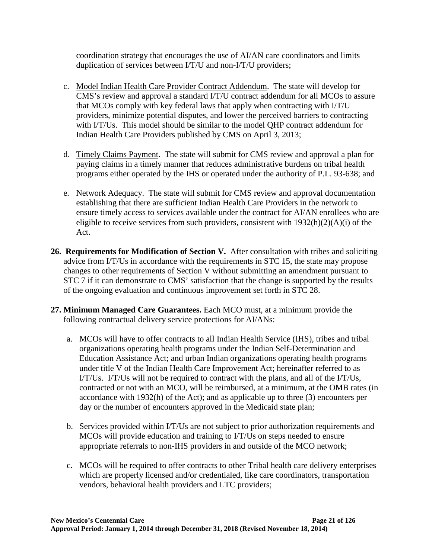coordination strategy that encourages the use of AI/AN care coordinators and limits duplication of services between I/T/U and non-I/T/U providers;

- c. Model Indian Health Care Provider Contract Addendum. The state will develop for CMS's review and approval a standard I/T/U contract addendum for all MCOs to assure that MCOs comply with key federal laws that apply when contracting with I/T/U providers, minimize potential disputes, and lower the perceived barriers to contracting with I/T/Us. This model should be similar to the model QHP contract addendum for Indian Health Care Providers published by CMS on April 3, 2013;
- d. Timely Claims Payment. The state will submit for CMS review and approval a plan for paying claims in a timely manner that reduces administrative burdens on tribal health programs either operated by the IHS or operated under the authority of P.L. 93-638; and
- e. Network Adequacy. The state will submit for CMS review and approval documentation establishing that there are sufficient Indian Health Care Providers in the network to ensure timely access to services available under the contract for AI/AN enrollees who are eligible to receive services from such providers, consistent with  $1932(h)(2)(A)(i)$  of the Act.
- **26. Requirements for Modification of Section V.** After consultation with tribes and soliciting advice from I/T/Us in accordance with the requirements in STC 15, the state may propose changes to other requirements of Section V without submitting an amendment pursuant to STC 7 if it can demonstrate to CMS' satisfaction that the change is supported by the results of the ongoing evaluation and continuous improvement set forth in STC [28.](#page-27-0)
- **27. Minimum Managed Care Guarantees.** Each MCO must, at a minimum provide the following contractual delivery service protections for AI/ANs:
	- a. MCOs will have to offer contracts to all Indian Health Service (IHS), tribes and tribal organizations operating health programs under the Indian Self-Determination and Education Assistance Act; and urban Indian organizations operating health programs under title V of the Indian Health Care Improvement Act; hereinafter referred to as I/T/Us. I/T/Us will not be required to contract with the plans, and all of the I/T/Us, contracted or not with an MCO, will be reimbursed, at a minimum, at the OMB rates (in accordance with 1932(h) of the Act); and as applicable up to three (3) encounters per day or the number of encounters approved in the Medicaid state plan;
	- b. Services provided within I/T/Us are not subject to prior authorization requirements and MCOs will provide education and training to I/T/Us on steps needed to ensure appropriate referrals to non-IHS providers in and outside of the MCO network;
	- c. MCOs will be required to offer contracts to other Tribal health care delivery enterprises which are properly licensed and/or credentialed, like care coordinators, transportation vendors, behavioral health providers and LTC providers;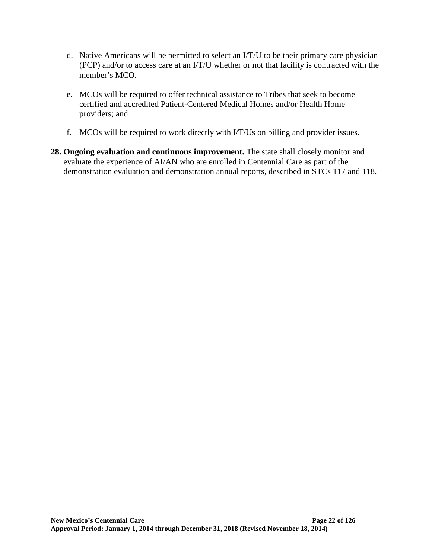- d. Native Americans will be permitted to select an I/T/U to be their primary care physician (PCP) and/or to access care at an I/T/U whether or not that facility is contracted with the member's MCO.
- e. MCOs will be required to offer technical assistance to Tribes that seek to become certified and accredited Patient-Centered Medical Homes and/or Health Home providers; and
- f. MCOs will be required to work directly with I/T/Us on billing and provider issues.
- <span id="page-27-0"></span>**28. Ongoing evaluation and continuous improvement.** The state shall closely monitor and evaluate the experience of AI/AN who are enrolled in Centennial Care as part of the demonstration evaluation and demonstration annual reports, described in STCs [117](#page-69-0) and [118.](#page-70-0)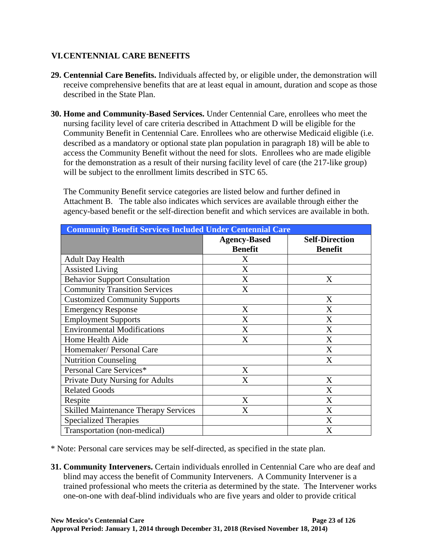# **VI.CENTENNIAL CARE BENEFITS**

- **29. Centennial Care Benefits.** Individuals affected by, or eligible under, the demonstration will receive comprehensive benefits that are at least equal in amount, duration and scope as those described in the State Plan.
- **30. Home and Community-Based Services.** Under Centennial Care, enrollees who meet the nursing facility level of care criteria described in Attachment D will be eligible for the Community Benefit in Centennial Care. Enrollees who are otherwise Medicaid eligible (i.e. described as a mandatory or optional state plan population in paragraph [18\)](#page-15-0) will be able to access the Community Benefit without the need for slots. Enrollees who are made eligible for the demonstration as a result of their nursing facility level of care (the 217-like group) will be subject to the enrollment limits described in STC 65.

The Community Benefit service categories are listed below and further defined in Attachment B. The table also indicates which services are available through either the agency-based benefit or the self-direction benefit and which services are available in both.

| <b>Community Benefit Services Included Under Centennial Care</b> |                     |                       |  |
|------------------------------------------------------------------|---------------------|-----------------------|--|
|                                                                  | <b>Agency-Based</b> | <b>Self-Direction</b> |  |
|                                                                  | <b>Benefit</b>      | <b>Benefit</b>        |  |
| <b>Adult Day Health</b>                                          | X                   |                       |  |
| <b>Assisted Living</b>                                           | X                   |                       |  |
| <b>Behavior Support Consultation</b>                             | X                   | X                     |  |
| <b>Community Transition Services</b>                             | X                   |                       |  |
| <b>Customized Community Supports</b>                             |                     | X                     |  |
| <b>Emergency Response</b>                                        | X                   | X                     |  |
| <b>Employment Supports</b>                                       | X                   | X                     |  |
| <b>Environmental Modifications</b>                               | X                   | X                     |  |
| Home Health Aide                                                 | X                   | X                     |  |
| Homemaker/ Personal Care                                         |                     | X                     |  |
| <b>Nutrition Counseling</b>                                      |                     | X                     |  |
| Personal Care Services*                                          | X                   |                       |  |
| <b>Private Duty Nursing for Adults</b>                           | X                   | X                     |  |
| <b>Related Goods</b>                                             |                     | X                     |  |
| Respite                                                          | X                   | X                     |  |
| <b>Skilled Maintenance Therapy Services</b>                      | X                   | X                     |  |
| <b>Specialized Therapies</b>                                     |                     | X                     |  |
| Transportation (non-medical)                                     |                     | X                     |  |

\* Note: Personal care services may be self-directed, as specified in the state plan.

**31. Community Interveners.** Certain individuals enrolled in Centennial Care who are deaf and blind may access the benefit of Community Interveners. A Community Intervener is a trained professional who meets the criteria as determined by the state. The Intervener works one-on-one with deaf-blind individuals who are five years and older to provide critical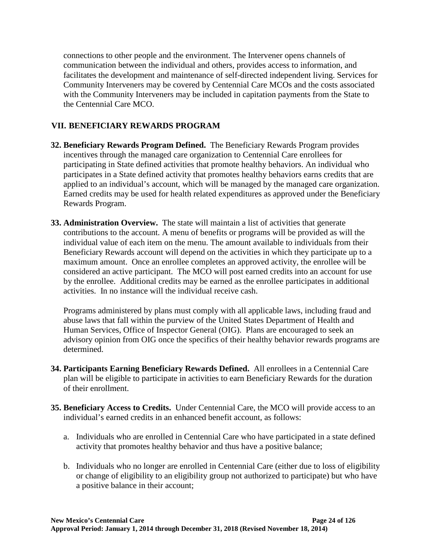connections to other people and the environment. The Intervener opens channels of communication between the individual and others, provides access to information, and facilitates the development and maintenance of self-directed independent living. Services for Community Interveners may be covered by Centennial Care MCOs and the costs associated with the Community Interveners may be included in capitation payments from the State to the Centennial Care MCO.

# **VII. BENEFICIARY REWARDS PROGRAM**

- **32. Beneficiary Rewards Program Defined.** The Beneficiary Rewards Program provides incentives through the managed care organization to Centennial Care enrollees for participating in State defined activities that promote healthy behaviors. An individual who participates in a State defined activity that promotes healthy behaviors earns credits that are applied to an individual's account, which will be managed by the managed care organization. Earned credits may be used for health related expenditures as approved under the Beneficiary Rewards Program.
- **33. Administration Overview.** The state will maintain a list of activities that generate contributions to the account. A menu of benefits or programs will be provided as will the individual value of each item on the menu. The amount available to individuals from their Beneficiary Rewards account will depend on the activities in which they participate up to a maximum amount. Once an enrollee completes an approved activity, the enrollee will be considered an active participant. The MCO will post earned credits into an account for use by the enrollee. Additional credits may be earned as the enrollee participates in additional activities. In no instance will the individual receive cash.

Programs administered by plans must comply with all applicable laws, including fraud and abuse laws that fall within the purview of the United States Department of Health and Human Services, Office of Inspector General (OIG). Plans are encouraged to seek an advisory opinion from OIG once the specifics of their healthy behavior rewards programs are determined.

- **34. Participants Earning Beneficiary Rewards Defined.** All enrollees in a Centennial Care plan will be eligible to participate in activities to earn Beneficiary Rewards for the duration of their enrollment.
- **35. Beneficiary Access to Credits.** Under Centennial Care, the MCO will provide access to an individual's earned credits in an enhanced benefit account, as follows:
	- a. Individuals who are enrolled in Centennial Care who have participated in a state defined activity that promotes healthy behavior and thus have a positive balance;
	- b. Individuals who no longer are enrolled in Centennial Care (either due to loss of eligibility or change of eligibility to an eligibility group not authorized to participate) but who have a positive balance in their account;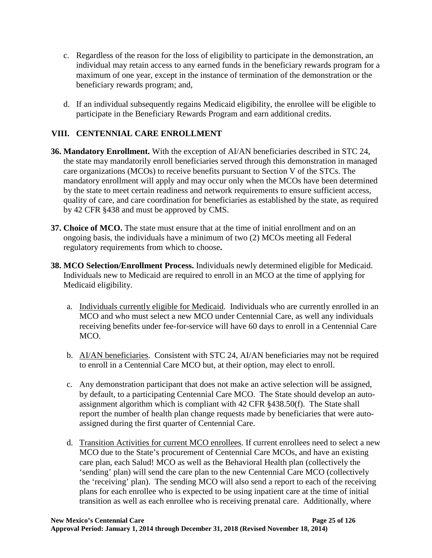- c. Regardless of the reason for the loss of eligibility to participate in the demonstration, an individual may retain access to any earned funds in the beneficiary rewards program for a maximum of one year, except in the instance of termination of the demonstration or the beneficiary rewards program; and,
- d. If an individual subsequently regains Medicaid eligibility, the enrollee will be eligible to participate in the Beneficiary Rewards Program and earn additional credits.

# **VIII. CENTENNIAL CARE ENROLLMENT**

- **36. Mandatory Enrollment.** With the exception of AI/AN beneficiaries described in STC [24,](#page-25-0) the state may mandatorily enroll beneficiaries served through this demonstration in managed care organizations (MCOs) to receive benefits pursuant to Section V of the STCs. The mandatory enrollment will apply and may occur only when the MCOs have been determined by the state to meet certain readiness and network requirements to ensure sufficient access, quality of care, and care coordination for beneficiaries as established by the state, as required by 42 CFR §438 and must be approved by CMS.
- **37. Choice of MCO.** The state must ensure that at the time of initial enrollment and on an ongoing basis, the individuals have a minimum of two (2) MCOs meeting all Federal regulatory requirements from which to choose**.**
- **38. MCO Selection/Enrollment Process.** Individuals newly determined eligible for Medicaid. Individuals new to Medicaid are required to enroll in an MCO at the time of applying for Medicaid eligibility.
	- a. Individuals currently eligible for Medicaid. Individuals who are currently enrolled in an MCO and who must select a new MCO under Centennial Care, as well any individuals receiving benefits under fee-for-service will have 60 days to enroll in a Centennial Care MCO.
	- b. AI/AN beneficiaries. Consistent with STC [24,](#page-25-0) AI/AN beneficiaries may not be required to enroll in a Centennial Care MCO but, at their option, may elect to enroll.
	- c. Any demonstration participant that does not make an active selection will be assigned, by default, to a participating Centennial Care MCO. The State should develop an autoassignment algorithm which is compliant with 42 CFR §438.50(f). The State shall report the number of health plan change requests made by beneficiaries that were autoassigned during the first quarter of Centennial Care.
	- d. Transition Activities for current MCO enrollees. If current enrollees need to select a new MCO due to the State's procurement of Centennial Care MCOs, and have an existing care plan, each Salud! MCO as well as the Behavioral Health plan (collectively the 'sending' plan) will send the care plan to the new Centennial Care MCO (collectively the 'receiving' plan). The sending MCO will also send a report to each of the receiving plans for each enrollee who is expected to be using inpatient care at the time of initial transition as well as each enrollee who is receiving prenatal care. Additionally, where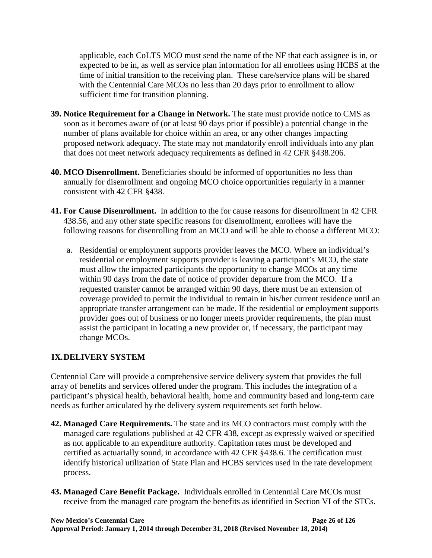applicable, each CoLTS MCO must send the name of the NF that each assignee is in, or expected to be in, as well as service plan information for all enrollees using HCBS at the time of initial transition to the receiving plan. These care/service plans will be shared with the Centennial Care MCOs no less than 20 days prior to enrollment to allow sufficient time for transition planning.

- **39. Notice Requirement for a Change in Network.** The state must provide notice to CMS as soon as it becomes aware of (or at least 90 days prior if possible) a potential change in the number of plans available for choice within an area, or any other changes impacting proposed network adequacy. The state may not mandatorily enroll individuals into any plan that does not meet network adequacy requirements as defined in 42 CFR §438.206.
- **40. MCO Disenrollment.** Beneficiaries should be informed of opportunities no less than annually for disenrollment and ongoing MCO choice opportunities regularly in a manner consistent with 42 CFR §438.
- **41. For Cause Disenrollment.** In addition to the for cause reasons for disenrollment in 42 CFR 438.56, and any other state specific reasons for disenrollment, enrollees will have the following reasons for disenrolling from an MCO and will be able to choose a different MCO:
	- a. Residential or employment supports provider leaves the MCO. Where an individual's residential or employment supports provider is leaving a participant's MCO, the state must allow the impacted participants the opportunity to change MCOs at any time within 90 days from the date of notice of provider departure from the MCO. If a requested transfer cannot be arranged within 90 days, there must be an extension of coverage provided to permit the individual to remain in his/her current residence until an appropriate transfer arrangement can be made. If the residential or employment supports provider goes out of business or no longer meets provider requirements, the plan must assist the participant in locating a new provider or, if necessary, the participant may change MCOs.

# **IX.DELIVERY SYSTEM**

Centennial Care will provide a comprehensive service delivery system that provides the full array of benefits and services offered under the program. This includes the integration of a participant's physical health, behavioral health, home and community based and long-term care needs as further articulated by the delivery system requirements set forth below.

- **42. Managed Care Requirements.** The state and its MCO contractors must comply with the managed care regulations published at 42 CFR 438, except as expressly waived or specified as not applicable to an expenditure authority. Capitation rates must be developed and certified as actuarially sound, in accordance with 42 CFR §438.6. The certification must identify historical utilization of State Plan and HCBS services used in the rate development process.
- **43. Managed Care Benefit Package.** Individuals enrolled in Centennial Care MCOs must receive from the managed care program the benefits as identified in Section VI of the STCs.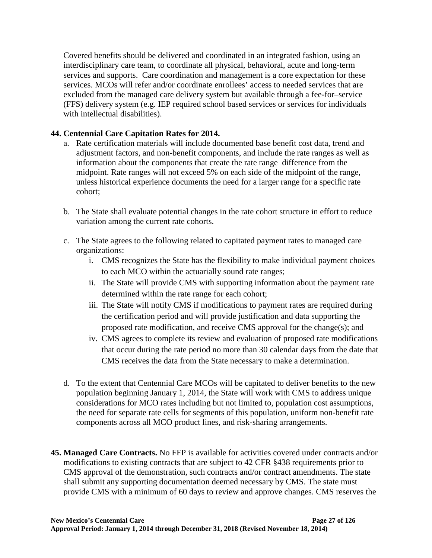Covered benefits should be delivered and coordinated in an integrated fashion, using an interdisciplinary care team, to coordinate all physical, behavioral, acute and long-term services and supports. Care coordination and management is a core expectation for these services. MCOs will refer and/or coordinate enrollees' access to needed services that are excluded from the managed care delivery system but available through a fee-for–service (FFS) delivery system (e.g. IEP required school based services or services for individuals with intellectual disabilities).

# **44. Centennial Care Capitation Rates for 2014.**

- a. Rate certification materials will include documented base benefit cost data, trend and adjustment factors, and non-benefit components, and include the rate ranges as well as information about the components that create the rate range difference from the midpoint. Rate ranges will not exceed 5% on each side of the midpoint of the range, unless historical experience documents the need for a larger range for a specific rate cohort;
- b. The State shall evaluate potential changes in the rate cohort structure in effort to reduce variation among the current rate cohorts.
- c. The State agrees to the following related to capitated payment rates to managed care organizations:
	- i. CMS recognizes the State has the flexibility to make individual payment choices to each MCO within the actuarially sound rate ranges;
	- ii. The State will provide CMS with supporting information about the payment rate determined within the rate range for each cohort;
	- iii. The State will notify CMS if modifications to payment rates are required during the certification period and will provide justification and data supporting the proposed rate modification, and receive CMS approval for the change(s); and
	- iv. CMS agrees to complete its review and evaluation of proposed rate modifications that occur during the rate period no more than 30 calendar days from the date that CMS receives the data from the State necessary to make a determination.
- d. To the extent that Centennial Care MCOs will be capitated to deliver benefits to the new population beginning January 1, 2014, the State will work with CMS to address unique considerations for MCO rates including but not limited to, population cost assumptions, the need for separate rate cells for segments of this population, uniform non-benefit rate components across all MCO product lines, and risk-sharing arrangements.
- **45. Managed Care Contracts.** No FFP is available for activities covered under contracts and/or modifications to existing contracts that are subject to 42 CFR §438 requirements prior to CMS approval of the demonstration, such contracts and/or contract amendments. The state shall submit any supporting documentation deemed necessary by CMS. The state must provide CMS with a minimum of 60 days to review and approve changes. CMS reserves the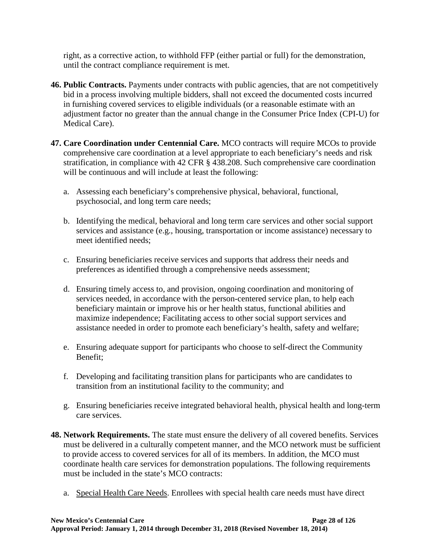right, as a corrective action, to withhold FFP (either partial or full) for the demonstration, until the contract compliance requirement is met.

- **46. Public Contracts.** Payments under contracts with public agencies, that are not competitively bid in a process involving multiple bidders, shall not exceed the documented costs incurred in furnishing covered services to eligible individuals (or a reasonable estimate with an adjustment factor no greater than the annual change in the Consumer Price Index (CPI-U) for Medical Care).
- **47. Care Coordination under Centennial Care.** MCO contracts will require MCOs to provide comprehensive care coordination at a level appropriate to each beneficiary's needs and risk stratification, in compliance with 42 CFR § 438.208. Such comprehensive care coordination will be continuous and will include at least the following:
	- a. Assessing each beneficiary's comprehensive physical, behavioral, functional, psychosocial, and long term care needs;
	- b. Identifying the medical, behavioral and long term care services and other social support services and assistance (e.g., housing, transportation or income assistance) necessary to meet identified needs;
	- c. Ensuring beneficiaries receive services and supports that address their needs and preferences as identified through a comprehensive needs assessment;
	- d. Ensuring timely access to, and provision, ongoing coordination and monitoring of services needed, in accordance with the person-centered service plan, to help each beneficiary maintain or improve his or her health status, functional abilities and maximize independence; Facilitating access to other social support services and assistance needed in order to promote each beneficiary's health, safety and welfare;
	- e. Ensuring adequate support for participants who choose to self-direct the Community Benefit;
	- f. Developing and facilitating transition plans for participants who are candidates to transition from an institutional facility to the community; and
	- g. Ensuring beneficiaries receive integrated behavioral health, physical health and long-term care services.
- **48. Network Requirements.** The state must ensure the delivery of all covered benefits. Services must be delivered in a culturally competent manner, and the MCO network must be sufficient to provide access to covered services for all of its members. In addition, the MCO must coordinate health care services for demonstration populations. The following requirements must be included in the state's MCO contracts:
	- a. Special Health Care Needs. Enrollees with special health care needs must have direct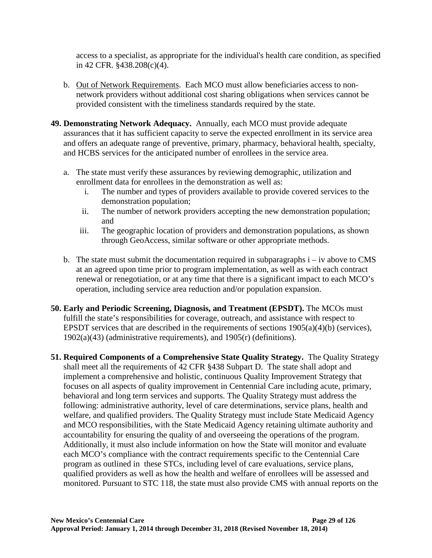access to a specialist, as appropriate for the individual's health care condition, as specified in 42 CFR. §438.208(c)(4).

- b. Out of Network Requirements. Each MCO must allow beneficiaries access to nonnetwork providers without additional cost sharing obligations when services cannot be provided consistent with the timeliness standards required by the state.
- **49. Demonstrating Network Adequacy.** Annually, each MCO must provide adequate assurances that it has sufficient capacity to serve the expected enrollment in its service area and offers an adequate range of preventive, primary, pharmacy, behavioral health, specialty, and HCBS services for the anticipated number of enrollees in the service area.
	- a. The state must verify these assurances by reviewing demographic, utilization and enrollment data for enrollees in the demonstration as well as:
		- i. The number and types of providers available to provide covered services to the demonstration population;
		- ii. The number of network providers accepting the new demonstration population; and
		- iii. The geographic location of providers and demonstration populations, as shown through GeoAccess, similar software or other appropriate methods.
	- b. The state must submit the documentation required in subparagraphs  $i iv$  above to CMS at an agreed upon time prior to program implementation, as well as with each contract renewal or renegotiation, or at any time that there is a significant impact to each MCO's operation, including service area reduction and/or population expansion.
- **50. Early and Periodic Screening, Diagnosis, and Treatment (EPSDT).** The MCOs must fulfill the state's responsibilities for coverage, outreach, and assistance with respect to EPSDT services that are described in the requirements of sections  $1905(a)(4)(b)$  (services), 1902(a)(43) (administrative requirements), and 1905(r) (definitions).
- **51. Required Components of a Comprehensive State Quality Strategy.** The Quality Strategy shall meet all the requirements of 42 CFR §438 Subpart D. The state shall adopt and implement a comprehensive and holistic, continuous Quality Improvement Strategy that focuses on all aspects of quality improvement in Centennial Care including acute, primary, behavioral and long term services and supports. The Quality Strategy must address the following: administrative authority, level of care determinations, service plans, health and welfare, and qualified providers. The Quality Strategy must include State Medicaid Agency and MCO responsibilities, with the State Medicaid Agency retaining ultimate authority and accountability for ensuring the quality of and overseeing the operations of the program. Additionally, it must also include information on how the State will monitor and evaluate each MCO's compliance with the contract requirements specific to the Centennial Care program as outlined in these STCs, including level of care evaluations, service plans, qualified providers as well as how the health and welfare of enrollees will be assessed and monitored. Pursuant to STC [118,](#page-70-0) the state must also provide CMS with annual reports on the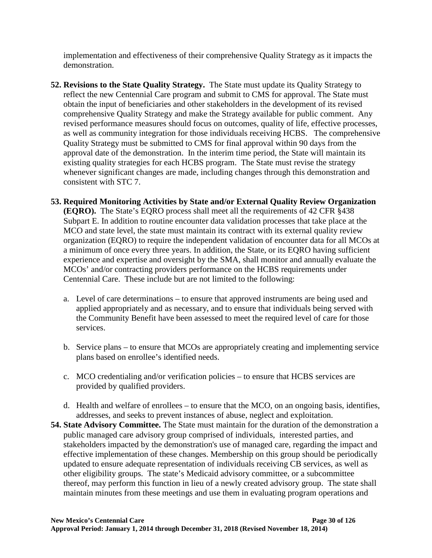implementation and effectiveness of their comprehensive Quality Strategy as it impacts the demonstration.

- **52. Revisions to the State Quality Strategy.** The State must update its Quality Strategy to reflect the new Centennial Care program and submit to CMS for approval. The State must obtain the input of beneficiaries and other stakeholders in the development of its revised comprehensive Quality Strategy and make the Strategy available for public comment. Any revised performance measures should focus on outcomes, quality of life, effective processes, as well as community integration for those individuals receiving HCBS. The comprehensive Quality Strategy must be submitted to CMS for final approval within 90 days from the approval date of the demonstration. In the interim time period, the State will maintain its existing quality strategies for each HCBS program. The State must revise the strategy whenever significant changes are made, including changes through this demonstration and consistent with STC [7.](#page-10-0)
- **53. Required Monitoring Activities by State and/or External Quality Review Organization (EQRO).** The State's EQRO process shall meet all the requirements of 42 CFR §438 Subpart E. In addition to routine encounter data validation processes that take place at the MCO and state level, the state must maintain its contract with its external quality review organization (EQRO) to require the independent validation of encounter data for all MCOs at a minimum of once every three years. In addition, the State, or its EQRO having sufficient experience and expertise and oversight by the SMA, shall monitor and annually evaluate the MCOs' and/or contracting providers performance on the HCBS requirements under Centennial Care. These include but are not limited to the following:
	- a. Level of care determinations to ensure that approved instruments are being used and applied appropriately and as necessary, and to ensure that individuals being served with the Community Benefit have been assessed to meet the required level of care for those services.
	- b. Service plans to ensure that MCOs are appropriately creating and implementing service plans based on enrollee's identified needs.
	- c. MCO credentialing and/or verification policies to ensure that HCBS services are provided by qualified providers.
	- d. Health and welfare of enrollees to ensure that the MCO, on an ongoing basis, identifies, addresses, and seeks to prevent instances of abuse, neglect and exploitation.
- **54. State Advisory Committee.** The State must maintain for the duration of the demonstration a public managed care advisory group comprised of individuals, interested parties, and stakeholders impacted by the demonstration's use of managed care, regarding the impact and effective implementation of these changes. Membership on this group should be periodically updated to ensure adequate representation of individuals receiving CB services, as well as other eligibility groups. The state's Medicaid advisory committee, or a subcommittee thereof, may perform this function in lieu of a newly created advisory group. The state shall maintain minutes from these meetings and use them in evaluating program operations and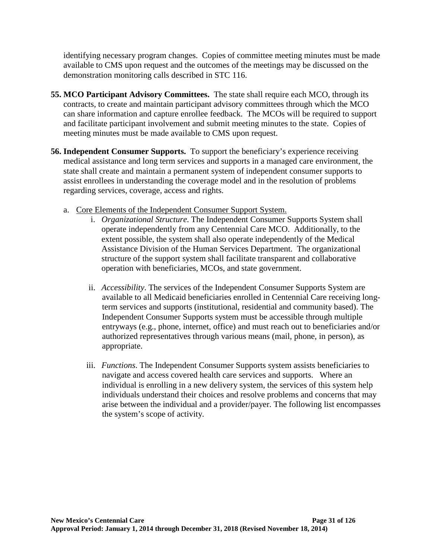identifying necessary program changes. Copies of committee meeting minutes must be made available to CMS upon request and the outcomes of the meetings may be discussed on the demonstration monitoring calls described in STC [116.](#page-69-0)

- **55. MCO Participant Advisory Committees.** The state shall require each MCO, through its contracts, to create and maintain participant advisory committees through which the MCO can share information and capture enrollee feedback. The MCOs will be required to support and facilitate participant involvement and submit meeting minutes to the state. Copies of meeting minutes must be made available to CMS upon request.
- <span id="page-36-0"></span>**56. Independent Consumer Supports.** To support the beneficiary's experience receiving medical assistance and long term services and supports in a managed care environment, the state shall create and maintain a permanent system of independent consumer supports to assist enrollees in understanding the coverage model and in the resolution of problems regarding services, coverage, access and rights.
	- a. Core Elements of the Independent Consumer Support System.
		- i. *Organizational Structure*. The Independent Consumer Supports System shall operate independently from any Centennial Care MCO. Additionally, to the extent possible, the system shall also operate independently of the Medical Assistance Division of the Human Services Department. The organizational structure of the support system shall facilitate transparent and collaborative operation with beneficiaries, MCOs, and state government.
		- ii. *Accessibility*. The services of the Independent Consumer Supports System are available to all Medicaid beneficiaries enrolled in Centennial Care receiving longterm services and supports (institutional, residential and community based). The Independent Consumer Supports system must be accessible through multiple entryways (e.g., phone, internet, office) and must reach out to beneficiaries and/or authorized representatives through various means (mail, phone, in person), as appropriate.
		- iii. *Functions*. The Independent Consumer Supports system assists beneficiaries to navigate and access covered health care services and supports. Where an individual is enrolling in a new delivery system, the services of this system help individuals understand their choices and resolve problems and concerns that may arise between the individual and a provider/payer. The following list encompasses the system's scope of activity.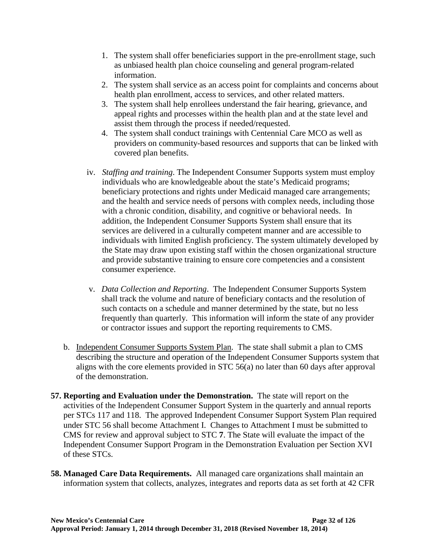- 1. The system shall offer beneficiaries support in the pre-enrollment stage, such as unbiased health plan choice counseling and general program-related information.
- 2. The system shall service as an access point for complaints and concerns about health plan enrollment, access to services, and other related matters.
- 3. The system shall help enrollees understand the fair hearing, grievance, and appeal rights and processes within the health plan and at the state level and assist them through the process if needed/requested.
- 4. The system shall conduct trainings with Centennial Care MCO as well as providers on community-based resources and supports that can be linked with covered plan benefits.
- iv. *Staffing and training*. The Independent Consumer Supports system must employ individuals who are knowledgeable about the state's Medicaid programs; beneficiary protections and rights under Medicaid managed care arrangements; and the health and service needs of persons with complex needs, including those with a chronic condition, disability, and cognitive or behavioral needs. In addition, the Independent Consumer Supports System shall ensure that its services are delivered in a culturally competent manner and are accessible to individuals with limited English proficiency. The system ultimately developed by the State may draw upon existing staff within the chosen organizational structure and provide substantive training to ensure core competencies and a consistent consumer experience.
- v. *Data Collection and Reporting*. The Independent Consumer Supports System shall track the volume and nature of beneficiary contacts and the resolution of such contacts on a schedule and manner determined by the state, but no less frequently than quarterly. This information will inform the state of any provider or contractor issues and support the reporting requirements to CMS.
- b. Independent Consumer Supports System Plan. The state shall submit a plan to CMS describing the structure and operation of the Independent Consumer Supports system that aligns with the core elements provided in STC [56\(](#page-36-0)a) no later than 60 days after approval of the demonstration.
- **57. Reporting and Evaluation under the Demonstration.** The state will report on the activities of the Independent Consumer Support System in the quarterly and annual reports per STCs [117](#page-69-1) and [118.](#page-70-0) The approved Independent Consumer Support System Plan required under STC [56](#page-36-0) shall become Attachment I. Changes to Attachment I must be submitted to CMS for review and approval subject to STC **[7](#page-10-0)**. The State will evaluate the impact of the Independent Consumer Support Program in the Demonstration Evaluation per Section XVI of these STCs.
- **58. Managed Care Data Requirements.** All managed care organizations shall maintain an information system that collects, analyzes, integrates and reports data as set forth at 42 CFR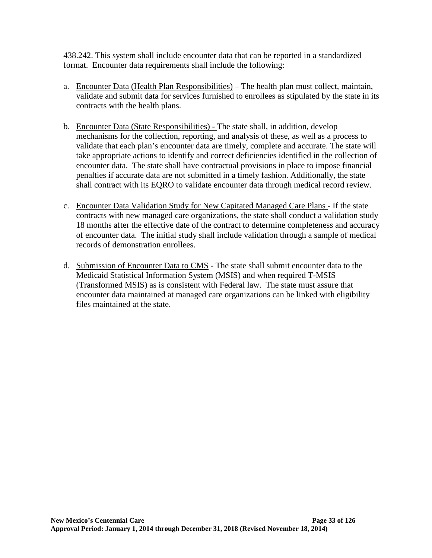438.242. This system shall include encounter data that can be reported in a standardized format. Encounter data requirements shall include the following:

- a. Encounter Data (Health Plan Responsibilities) The health plan must collect, maintain, validate and submit data for services furnished to enrollees as stipulated by the state in its contracts with the health plans.
- b. Encounter Data (State Responsibilities) The state shall, in addition, develop mechanisms for the collection, reporting, and analysis of these, as well as a process to validate that each plan's encounter data are timely, complete and accurate. The state will take appropriate actions to identify and correct deficiencies identified in the collection of encounter data. The state shall have contractual provisions in place to impose financial penalties if accurate data are not submitted in a timely fashion. Additionally, the state shall contract with its EQRO to validate encounter data through medical record review.
- c. Encounter Data Validation Study for New Capitated Managed Care Plans If the state contracts with new managed care organizations, the state shall conduct a validation study 18 months after the effective date of the contract to determine completeness and accuracy of encounter data. The initial study shall include validation through a sample of medical records of demonstration enrollees.
- d. Submission of Encounter Data to CMS The state shall submit encounter data to the Medicaid Statistical Information System (MSIS) and when required T-MSIS (Transformed MSIS) as is consistent with Federal law. The state must assure that encounter data maintained at managed care organizations can be linked with eligibility files maintained at the state.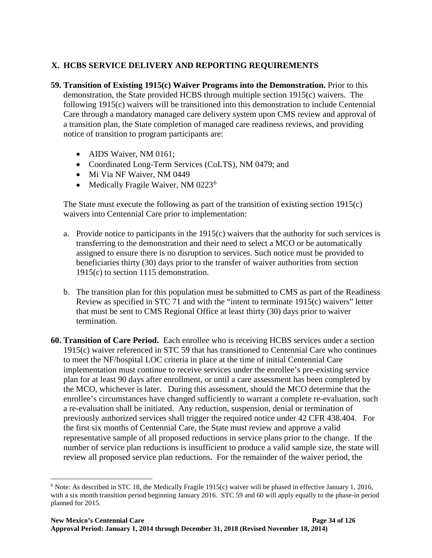# **X. HCBS SERVICE DELIVERY AND REPORTING REQUIREMENTS**

- <span id="page-39-0"></span>**59. Transition of Existing 1915(c) Waiver Programs into the Demonstration.** Prior to this demonstration, the State provided HCBS through multiple section 1915(c) waivers. The following 1915(c) waivers will be transitioned into this demonstration to include Centennial Care through a mandatory managed care delivery system upon CMS review and approval of a transition plan, the State completion of managed care readiness reviews, and providing notice of transition to program participants are:
	- AIDS Waiver, NM 0161;
	- Coordinated Long-Term Services (CoLTS), NM 0479; and
	- Mi Via NF Waiver, NM 0449
	- Medically Fragile Waiver, NM 0223<sup>[6](#page-39-1)</sup>

The State must execute the following as part of the transition of existing section 1915(c) waivers into Centennial Care prior to implementation:

- a. Provide notice to participants in the  $1915(c)$  waivers that the authority for such services is transferring to the demonstration and their need to select a MCO or be automatically assigned to ensure there is no disruption to services. Such notice must be provided to beneficiaries thirty (30) days prior to the transfer of waiver authorities from section 1915(c) to section 1115 demonstration.
- b. The transition plan for this population must be submitted to CMS as part of the Readiness Review as specified in STC [71](#page-47-0) and with the "intent to terminate 1915(c) waivers" letter that must be sent to CMS Regional Office at least thirty (30) days prior to waiver termination.
- **60. Transition of Care Period.** Each enrollee who is receiving HCBS services under a section 1915(c) waiver referenced in STC [59](#page-39-0) that has transitioned to Centennial Care who continues to meet the NF/hospital LOC criteria in place at the time of initial Centennial Care implementation must continue to receive services under the enrollee's pre-existing service plan for at least 90 days after enrollment, or until a care assessment has been completed by the MCO, whichever is later. During this assessment, should the MCO determine that the enrollee's circumstances have changed sufficiently to warrant a complete re-evaluation, such a re-evaluation shall be initiated. Any reduction, suspension, denial or termination of previously authorized services shall trigger the required notice under 42 CFR 438.404. For the first six months of Centennial Care, the State must review and approve a valid representative sample of all proposed reductions in service plans prior to the change. If the number of service plan reductions is insufficient to produce a valid sample size, the state will review all proposed service plan reductions. For the remainder of the waiver period, the

<span id="page-39-1"></span> $6$  Note: As described in STC [18,](#page-15-0) the Medically Fragile 1915(c) waiver will be phased in effective January 1, 2016, with a six month transition period beginning January 2016. STC 59 and 60 will apply equally to the phase-in period planned for 2015.  $\overline{a}$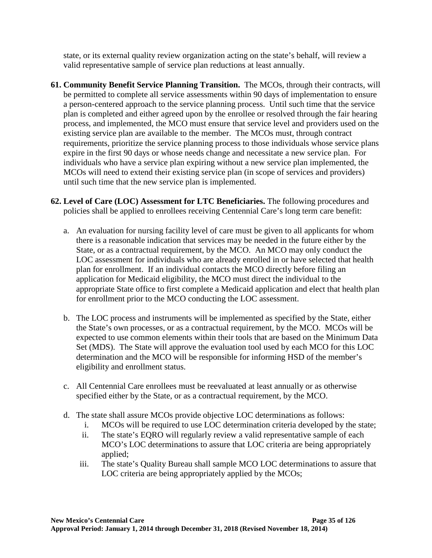state, or its external quality review organization acting on the state's behalf, will review a valid representative sample of service plan reductions at least annually.

- **61. Community Benefit Service Planning Transition.** The MCOs, through their contracts, will be permitted to complete all service assessments within 90 days of implementation to ensure a person-centered approach to the service planning process. Until such time that the service plan is completed and either agreed upon by the enrollee or resolved through the fair hearing process, and implemented, the MCO must ensure that service level and providers used on the existing service plan are available to the member. The MCOs must, through contract requirements, prioritize the service planning process to those individuals whose service plans expire in the first 90 days or whose needs change and necessitate a new service plan. For individuals who have a service plan expiring without a new service plan implemented, the MCOs will need to extend their existing service plan (in scope of services and providers) until such time that the new service plan is implemented.
- <span id="page-40-0"></span>**62. Level of Care (LOC) Assessment for LTC Beneficiaries.** The following procedures and policies shall be applied to enrollees receiving Centennial Care's long term care benefit:
	- a. An evaluation for nursing facility level of care must be given to all applicants for whom there is a reasonable indication that services may be needed in the future either by the State, or as a contractual requirement, by the MCO. An MCO may only conduct the LOC assessment for individuals who are already enrolled in or have selected that health plan for enrollment. If an individual contacts the MCO directly before filing an application for Medicaid eligibility, the MCO must direct the individual to the appropriate State office to first complete a Medicaid application and elect that health plan for enrollment prior to the MCO conducting the LOC assessment.
	- b. The LOC process and instruments will be implemented as specified by the State, either the State's own processes, or as a contractual requirement, by the MCO. MCOs will be expected to use common elements within their tools that are based on the Minimum Data Set (MDS). The State will approve the evaluation tool used by each MCO for this LOC determination and the MCO will be responsible for informing HSD of the member's eligibility and enrollment status.
	- c. All Centennial Care enrollees must be reevaluated at least annually or as otherwise specified either by the State, or as a contractual requirement, by the MCO.
	- d. The state shall assure MCOs provide objective LOC determinations as follows:
		- i. MCOs will be required to use LOC determination criteria developed by the state;
		- ii. The state's EQRO will regularly review a valid representative sample of each MCO's LOC determinations to assure that LOC criteria are being appropriately applied;
		- iii. The state's Quality Bureau shall sample MCO LOC determinations to assure that LOC criteria are being appropriately applied by the MCOs;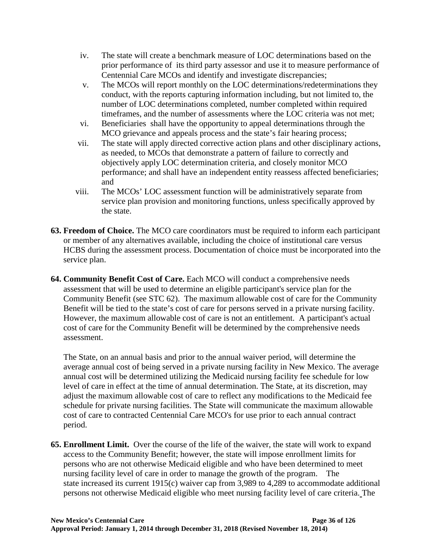- iv. The state will create a benchmark measure of LOC determinations based on the prior performance of its third party assessor and use it to measure performance of Centennial Care MCOs and identify and investigate discrepancies;
- v. The MCOs will report monthly on the LOC determinations/redeterminations they conduct, with the reports capturing information including, but not limited to, the number of LOC determinations completed, number completed within required timeframes, and the number of assessments where the LOC criteria was not met;
- vi. Beneficiaries shall have the opportunity to appeal determinations through the MCO grievance and appeals process and the state's fair hearing process;
- vii. The state will apply directed corrective action plans and other disciplinary actions, as needed, to MCOs that demonstrate a pattern of failure to correctly and objectively apply LOC determination criteria, and closely monitor MCO performance; and shall have an independent entity reassess affected beneficiaries; and
- viii. The MCOs' LOC assessment function will be administratively separate from service plan provision and monitoring functions, unless specifically approved by the state.
- **63. Freedom of Choice.** The MCO care coordinators must be required to inform each participant or member of any alternatives available, including the choice of institutional care versus HCBS during the assessment process. Documentation of choice must be incorporated into the service plan.
- **64. Community Benefit Cost of Care.** Each MCO will conduct a comprehensive needs assessment that will be used to determine an eligible participant's service plan for the Community Benefit (see STC [62\)](#page-40-0). The maximum allowable cost of care for the Community Benefit will be tied to the state's cost of care for persons served in a private nursing facility. However, the maximum allowable cost of care is not an entitlement. A participant's actual cost of care for the Community Benefit will be determined by the comprehensive needs assessment.

The State, on an annual basis and prior to the annual waiver period, will determine the average annual cost of being served in a private nursing facility in New Mexico. The average annual cost will be determined utilizing the Medicaid nursing facility fee schedule for low level of care in effect at the time of annual determination. The State, at its discretion, may adjust the maximum allowable cost of care to reflect any modifications to the Medicaid fee schedule for private nursing facilities. The State will communicate the maximum allowable cost of care to contracted Centennial Care MCO's for use prior to each annual contract period.

**65. Enrollment Limit.** Over the course of the life of the waiver, the state will work to expand access to the Community Benefit; however, the state will impose enrollment limits for persons who are not otherwise Medicaid eligible and who have been determined to meet nursing facility level of care in order to manage the growth of the program. The state increased its current 1915(c) waiver cap from 3,989 to 4,289 to accommodate additional persons not otherwise Medicaid eligible who meet nursing facility level of care criteria. The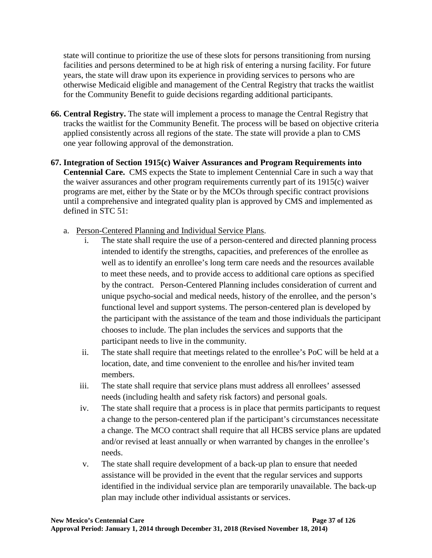state will continue to prioritize the use of these slots for persons transitioning from nursing facilities and persons determined to be at high risk of entering a nursing facility. For future years, the state will draw upon its experience in providing services to persons who are otherwise Medicaid eligible and management of the Central Registry that tracks the waitlist for the Community Benefit to guide decisions regarding additional participants.

- **66. Central Registry.** The state will implement a process to manage the Central Registry that tracks the waitlist for the Community Benefit. The process will be based on objective criteria applied consistently across all regions of the state. The state will provide a plan to CMS one year following approval of the demonstration.
- **67. Integration of Section 1915(c) Waiver Assurances and Program Requirements into Centennial Care.** CMS expects the State to implement Centennial Care in such a way that the waiver assurances and other program requirements currently part of its 1915(c) waiver programs are met, either by the State or by the MCOs through specific contract provisions until a comprehensive and integrated quality plan is approved by CMS and implemented as defined in STC [51:](#page-34-0)
	- a. Person-Centered Planning and Individual Service Plans.
		- i. The state shall require the use of a person-centered and directed planning process intended to identify the strengths, capacities, and preferences of the enrollee as well as to identify an enrollee's long term care needs and the resources available to meet these needs, and to provide access to additional care options as specified by the contract. Person-Centered Planning includes consideration of current and unique psycho-social and medical needs, history of the enrollee, and the person's functional level and support systems. The person-centered plan is developed by the participant with the assistance of the team and those individuals the participant chooses to include. The plan includes the services and supports that the participant needs to live in the community.
		- ii. The state shall require that meetings related to the enrollee's PoC will be held at a location, date, and time convenient to the enrollee and his/her invited team members.
		- iii. The state shall require that service plans must address all enrollees' assessed needs (including health and safety risk factors) and personal goals.
		- iv. The state shall require that a process is in place that permits participants to request a change to the person-centered plan if the participant's circumstances necessitate a change. The MCO contract shall require that all HCBS service plans are updated and/or revised at least annually or when warranted by changes in the enrollee's needs.
		- v. The state shall require development of a back-up plan to ensure that needed assistance will be provided in the event that the regular services and supports identified in the individual service plan are temporarily unavailable. The back-up plan may include other individual assistants or services.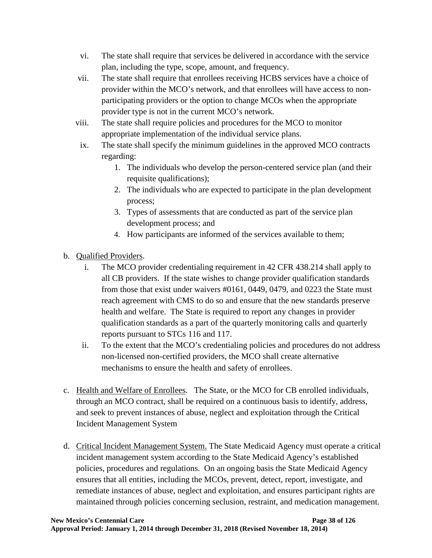- vi. The state shall require that services be delivered in accordance with the service plan, including the type, scope, amount, and frequency.
- vii. The state shall require that enrollees receiving HCBS services have a choice of provider within the MCO's network, and that enrollees will have access to nonparticipating providers or the option to change MCOs when the appropriate provider type is not in the current MCO's network.
- viii. The state shall require policies and procedures for the MCO to monitor appropriate implementation of the individual service plans.
- ix. The state shall specify the minimum guidelines in the approved MCO contracts regarding:
	- 1. The individuals who develop the person-centered service plan (and their requisite qualifications);
	- 2. The individuals who are expected to participate in the plan development process;
	- 3. Types of assessments that are conducted as part of the service plan development process; and
	- 4. How participants are informed of the services available to them;
- b. Qualified Providers.
	- i. The MCO provider credentialing requirement in 42 CFR 438.214 shall apply to all CB providers. If the state wishes to change provider qualification standards from those that exist under waivers #0161, 0449, 0479, and 0223 the State must reach agreement with CMS to do so and ensure that the new standards preserve health and welfare. The State is required to report any changes in provider qualification standards as a part of the quarterly monitoring calls and quarterly reports pursuant to STCs [116](#page-69-0) and [117.](#page-69-1)
	- ii. To the extent that the MCO's credentialing policies and procedures do not address non-licensed non-certified providers, the MCO shall create alternative mechanisms to ensure the health and safety of enrollees.
- c. Health and Welfare of Enrollees. The State, or the MCO for CB enrolled individuals, through an MCO contract, shall be required on a continuous basis to identify, address, and seek to prevent instances of abuse, neglect and exploitation through the Critical Incident Management System
- d. Critical Incident Management System. The State Medicaid Agency must operate a critical incident management system according to the State Medicaid Agency's established policies, procedures and regulations. On an ongoing basis the State Medicaid Agency ensures that all entities, including the MCOs, prevent, detect, report, investigate, and remediate instances of abuse, neglect and exploitation, and ensures participant rights are maintained through policies concerning seclusion, restraint, and medication management.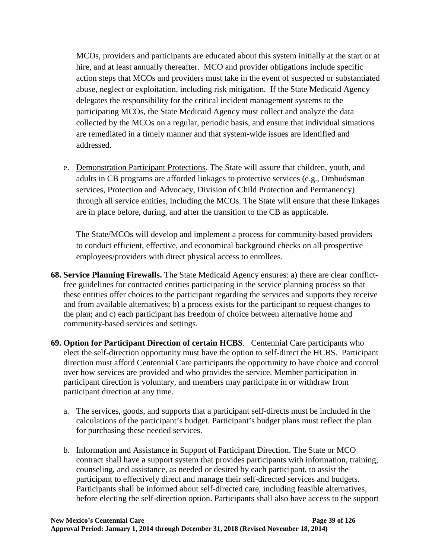MCOs, providers and participants are educated about this system initially at the start or at hire, and at least annually thereafter. MCO and provider obligations include specific action steps that MCOs and providers must take in the event of suspected or substantiated abuse, neglect or exploitation, including risk mitigation. If the State Medicaid Agency delegates the responsibility for the critical incident management systems to the participating MCOs, the State Medicaid Agency must collect and analyze the data collected by the MCOs on a regular, periodic basis, and ensure that individual situations are remediated in a timely manner and that system-wide issues are identified and addressed.

e. Demonstration Participant Protections. The State will assure that children, youth, and adults in CB programs are afforded linkages to protective services (e.g., Ombudsman services, Protection and Advocacy, Division of Child Protection and Permanency) through all service entities, including the MCOs. The State will ensure that these linkages are in place before, during, and after the transition to the CB as applicable.

The State/MCOs will develop and implement a process for community-based providers to conduct efficient, effective, and economical background checks on all prospective employees/providers with direct physical access to enrollees.

- **68. Service Planning Firewalls.** The State Medicaid Agency ensures: a) there are clear conflictfree guidelines for contracted entities participating in the service planning process so that these entities offer choices to the participant regarding the services and supports they receive and from available alternatives; b) a process exists for the participant to request changes to the plan; and c) each participant has freedom of choice between alternative home and community-based services and settings.
- **69. Option for Participant Direction of certain HCBS**. Centennial Care participants who elect the self-direction opportunity must have the option to self-direct the HCBS. Participant direction must afford Centennial Care participants the opportunity to have choice and control over how services are provided and who provides the service. Member participation in participant direction is voluntary, and members may participate in or withdraw from participant direction at any time.
	- a. The services, goods, and supports that a participant self-directs must be included in the calculations of the participant's budget. Participant's budget plans must reflect the plan for purchasing these needed services.
	- b. Information and Assistance in Support of Participant Direction. The State or MCO contract shall have a support system that provides participants with information, training, counseling, and assistance, as needed or desired by each participant, to assist the participant to effectively direct and manage their self-directed services and budgets. Participants shall be informed about self-directed care, including feasible alternatives, before electing the self-direction option. Participants shall also have access to the support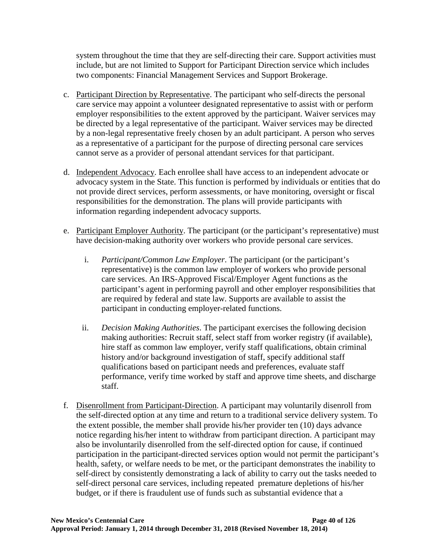system throughout the time that they are self-directing their care. Support activities must include, but are not limited to Support for Participant Direction service which includes two components: Financial Management Services and Support Brokerage.

- c. Participant Direction by Representative. The participant who self-directs the personal care service may appoint a volunteer designated representative to assist with or perform employer responsibilities to the extent approved by the participant. Waiver services may be directed by a legal representative of the participant. Waiver services may be directed by a non-legal representative freely chosen by an adult participant. A person who serves as a representative of a participant for the purpose of directing personal care services cannot serve as a provider of personal attendant services for that participant.
- d. Independent Advocacy. Each enrollee shall have access to an independent advocate or advocacy system in the State. This function is performed by individuals or entities that do not provide direct services, perform assessments, or have monitoring, oversight or fiscal responsibilities for the demonstration. The plans will provide participants with information regarding independent advocacy supports.
- e. Participant Employer Authority. The participant (or the participant's representative) must have decision-making authority over workers who provide personal care services.
	- i. *Participant/Common Law Employer*. The participant (or the participant's representative) is the common law employer of workers who provide personal care services. An IRS-Approved Fiscal/Employer Agent functions as the participant's agent in performing payroll and other employer responsibilities that are required by federal and state law. Supports are available to assist the participant in conducting employer-related functions.
	- ii. *Decision Making Authorities*. The participant exercises the following decision making authorities: Recruit staff, select staff from worker registry (if available), hire staff as common law employer, verify staff qualifications, obtain criminal history and/or background investigation of staff, specify additional staff qualifications based on participant needs and preferences, evaluate staff performance, verify time worked by staff and approve time sheets, and discharge staff.
- f. Disenrollment from Participant-Direction. A participant may voluntarily disenroll from the self-directed option at any time and return to a traditional service delivery system. To the extent possible, the member shall provide his/her provider ten (10) days advance notice regarding his/her intent to withdraw from participant direction. A participant may also be involuntarily disenrolled from the self-directed option for cause, if continued participation in the participant-directed services option would not permit the participant's health, safety, or welfare needs to be met, or the participant demonstrates the inability to self-direct by consistently demonstrating a lack of ability to carry out the tasks needed to self-direct personal care services, including repeated premature depletions of his/her budget, or if there is fraudulent use of funds such as substantial evidence that a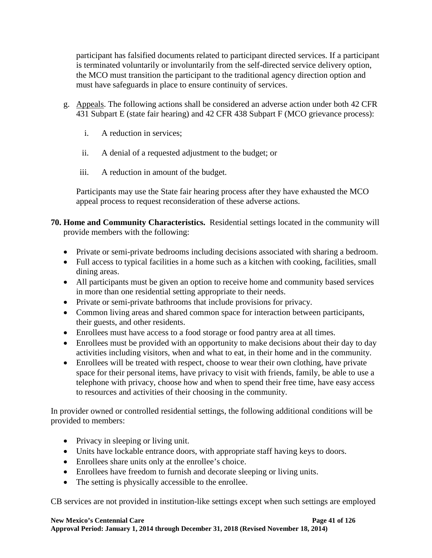participant has falsified documents related to participant directed services. If a participant is terminated voluntarily or involuntarily from the self-directed service delivery option, the MCO must transition the participant to the traditional agency direction option and must have safeguards in place to ensure continuity of services.

- g. Appeals. The following actions shall be considered an adverse action under both 42 CFR 431 Subpart E (state fair hearing) and 42 CFR 438 Subpart F (MCO grievance process):
	- i. A reduction in services;
	- ii. A denial of a requested adjustment to the budget; or
	- iii. A reduction in amount of the budget.

Participants may use the State fair hearing process after they have exhausted the MCO appeal process to request reconsideration of these adverse actions.

# **70. Home and Community Characteristics.** Residential settings located in the community will provide members with the following:

- Private or semi-private bedrooms including decisions associated with sharing a bedroom.
- Full access to typical facilities in a home such as a kitchen with cooking, facilities, small dining areas.
- All participants must be given an option to receive home and community based services in more than one residential setting appropriate to their needs.
- Private or semi-private bathrooms that include provisions for privacy.
- Common living areas and shared common space for interaction between participants, their guests, and other residents.
- Enrollees must have access to a food storage or food pantry area at all times.
- Enrollees must be provided with an opportunity to make decisions about their day to day activities including visitors, when and what to eat, in their home and in the community.
- Enrollees will be treated with respect, choose to wear their own clothing, have private space for their personal items, have privacy to visit with friends, family, be able to use a telephone with privacy, choose how and when to spend their free time, have easy access to resources and activities of their choosing in the community.

In provider owned or controlled residential settings, the following additional conditions will be provided to members:

- Privacy in sleeping or living unit.
- Units have lockable entrance doors, with appropriate staff having keys to doors.
- Enrollees share units only at the enrollee's choice.
- Enrollees have freedom to furnish and decorate sleeping or living units.
- The setting is physically accessible to the enrollee.

CB services are not provided in institution-like settings except when such settings are employed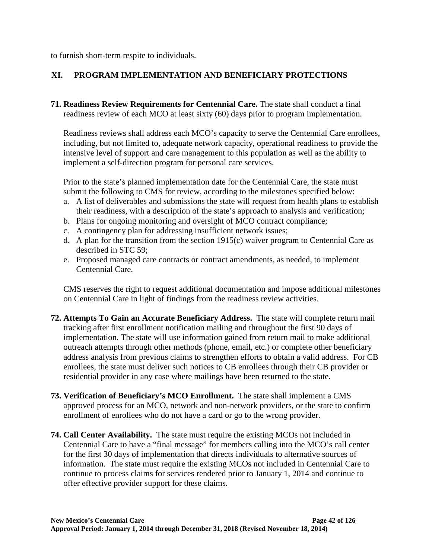to furnish short-term respite to individuals.

# **XI. PROGRAM IMPLEMENTATION AND BENEFICIARY PROTECTIONS**

<span id="page-47-0"></span>**71. Readiness Review Requirements for Centennial Care.** The state shall conduct a final readiness review of each MCO at least sixty (60) days prior to program implementation.

Readiness reviews shall address each MCO's capacity to serve the Centennial Care enrollees, including, but not limited to, adequate network capacity, operational readiness to provide the intensive level of support and care management to this population as well as the ability to implement a self-direction program for personal care services.

Prior to the state's planned implementation date for the Centennial Care, the state must submit the following to CMS for review, according to the milestones specified below:

- a. A list of deliverables and submissions the state will request from health plans to establish their readiness, with a description of the state's approach to analysis and verification;
- b. Plans for ongoing monitoring and oversight of MCO contract compliance;
- c. A contingency plan for addressing insufficient network issues;
- d. A plan for the transition from the section 1915(c) waiver program to Centennial Care as described in STC [59;](#page-39-0)
- e. Proposed managed care contracts or contract amendments, as needed, to implement Centennial Care.

CMS reserves the right to request additional documentation and impose additional milestones on Centennial Care in light of findings from the readiness review activities.

- **72. Attempts To Gain an Accurate Beneficiary Address.** The state will complete return mail tracking after first enrollment notification mailing and throughout the first 90 days of implementation. The state will use information gained from return mail to make additional outreach attempts through other methods (phone, email, etc.) or complete other beneficiary address analysis from previous claims to strengthen efforts to obtain a valid address. For CB enrollees, the state must deliver such notices to CB enrollees through their CB provider or residential provider in any case where mailings have been returned to the state.
- **73. Verification of Beneficiary's MCO Enrollment.** The state shall implement a CMS approved process for an MCO, network and non-network providers, or the state to confirm enrollment of enrollees who do not have a card or go to the wrong provider.
- **74. Call Center Availability.** The state must require the existing MCOs not included in Centennial Care to have a "final message" for members calling into the MCO's call center for the first 30 days of implementation that directs individuals to alternative sources of information. The state must require the existing MCOs not included in Centennial Care to continue to process claims for services rendered prior to January 1, 2014 and continue to offer effective provider support for these claims.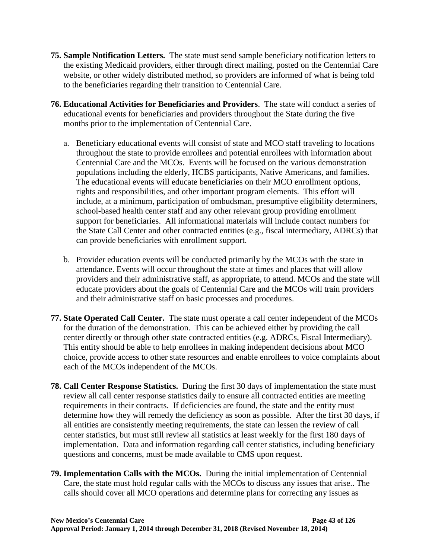- **75. Sample Notification Letters.** The state must send sample beneficiary notification letters to the existing Medicaid providers, either through direct mailing, posted on the Centennial Care website, or other widely distributed method, so providers are informed of what is being told to the beneficiaries regarding their transition to Centennial Care.
- **76. Educational Activities for Beneficiaries and Providers**. The state will conduct a series of educational events for beneficiaries and providers throughout the State during the five months prior to the implementation of Centennial Care.
	- a. Beneficiary educational events will consist of state and MCO staff traveling to locations throughout the state to provide enrollees and potential enrollees with information about Centennial Care and the MCOs. Events will be focused on the various demonstration populations including the elderly, HCBS participants, Native Americans, and families. The educational events will educate beneficiaries on their MCO enrollment options, rights and responsibilities, and other important program elements. This effort will include, at a minimum, participation of ombudsman, presumptive eligibility determiners, school-based health center staff and any other relevant group providing enrollment support for beneficiaries. All informational materials will include contact numbers for the State Call Center and other contracted entities (e.g., fiscal intermediary, ADRCs) that can provide beneficiaries with enrollment support.
	- b. Provider education events will be conducted primarily by the MCOs with the state in attendance. Events will occur throughout the state at times and places that will allow providers and their administrative staff, as appropriate, to attend. MCOs and the state will educate providers about the goals of Centennial Care and the MCOs will train providers and their administrative staff on basic processes and procedures.
- **77. State Operated Call Center.** The state must operate a call center independent of the MCOs for the duration of the demonstration. This can be achieved either by providing the call center directly or through other state contracted entities (e.g. ADRCs, Fiscal Intermediary). This entity should be able to help enrollees in making independent decisions about MCO choice, provide access to other state resources and enable enrollees to voice complaints about each of the MCOs independent of the MCOs.
- **78. Call Center Response Statistics.** During the first 30 days of implementation the state must review all call center response statistics daily to ensure all contracted entities are meeting requirements in their contracts. If deficiencies are found, the state and the entity must determine how they will remedy the deficiency as soon as possible. After the first 30 days, if all entities are consistently meeting requirements, the state can lessen the review of call center statistics, but must still review all statistics at least weekly for the first 180 days of implementation. Data and information regarding call center statistics, including beneficiary questions and concerns, must be made available to CMS upon request.
- **79. Implementation Calls with the MCOs.** During the initial implementation of Centennial Care, the state must hold regular calls with the MCOs to discuss any issues that arise.. The calls should cover all MCO operations and determine plans for correcting any issues as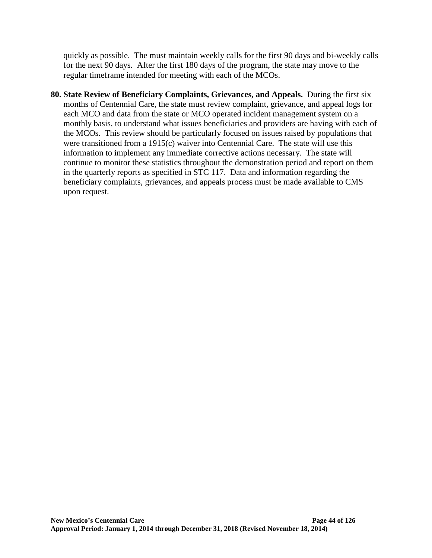quickly as possible. The must maintain weekly calls for the first 90 days and bi-weekly calls for the next 90 days. After the first 180 days of the program, the state may move to the regular timeframe intended for meeting with each of the MCOs.

**80. State Review of Beneficiary Complaints, Grievances, and Appeals.** During the first six months of Centennial Care, the state must review complaint, grievance, and appeal logs for each MCO and data from the state or MCO operated incident management system on a monthly basis, to understand what issues beneficiaries and providers are having with each of the MCOs. This review should be particularly focused on issues raised by populations that were transitioned from a 1915(c) waiver into Centennial Care. The state will use this information to implement any immediate corrective actions necessary. The state will continue to monitor these statistics throughout the demonstration period and report on them in the quarterly reports as specified in STC [117.](#page-69-1) Data and information regarding the beneficiary complaints, grievances, and appeals process must be made available to CMS upon request.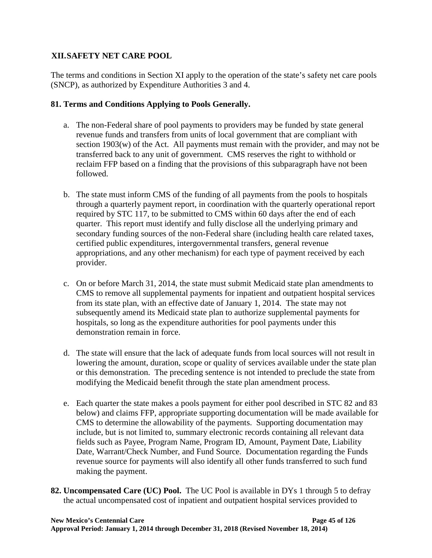### **XII.SAFETY NET CARE POOL**

The terms and conditions in Section XI apply to the operation of the state's safety net care pools (SNCP), as authorized by Expenditure Authorities 3 and 4.

# **81. Terms and Conditions Applying to Pools Generally.**

- a. The non-Federal share of pool payments to providers may be funded by state general revenue funds and transfers from units of local government that are compliant with section 1903(w) of the Act. All payments must remain with the provider, and may not be transferred back to any unit of government. CMS reserves the right to withhold or reclaim FFP based on a finding that the provisions of this subparagraph have not been followed.
- b. The state must inform CMS of the funding of all payments from the pools to hospitals through a quarterly payment report, in coordination with the quarterly operational report required by STC [117,](#page-69-1) to be submitted to CMS within 60 days after the end of each quarter. This report must identify and fully disclose all the underlying primary and secondary funding sources of the non-Federal share (including health care related taxes, certified public expenditures, intergovernmental transfers, general revenue appropriations, and any other mechanism) for each type of payment received by each provider.
- c. On or before March 31, 2014, the state must submit Medicaid state plan amendments to CMS to remove all supplemental payments for inpatient and outpatient hospital services from its state plan, with an effective date of January 1, 2014. The state may not subsequently amend its Medicaid state plan to authorize supplemental payments for hospitals, so long as the expenditure authorities for pool payments under this demonstration remain in force.
- d. The state will ensure that the lack of adequate funds from local sources will not result in lowering the amount, duration, scope or quality of services available under the state plan or this demonstration. The preceding sentence is not intended to preclude the state from modifying the Medicaid benefit through the state plan amendment process.
- e. Each quarter the state makes a pools payment for either pool described in STC [82](#page-50-0) and [83](#page-54-0) below) and claims FFP, appropriate supporting documentation will be made available for CMS to determine the allowability of the payments. Supporting documentation may include, but is not limited to, summary electronic records containing all relevant data fields such as Payee, Program Name, Program ID, Amount, Payment Date, Liability Date, Warrant/Check Number, and Fund Source. Documentation regarding the Funds revenue source for payments will also identify all other funds transferred to such fund making the payment.
- <span id="page-50-0"></span>**82. Uncompensated Care (UC) Pool.** The UC Pool is available in DYs 1 through 5 to defray the actual uncompensated cost of inpatient and outpatient hospital services provided to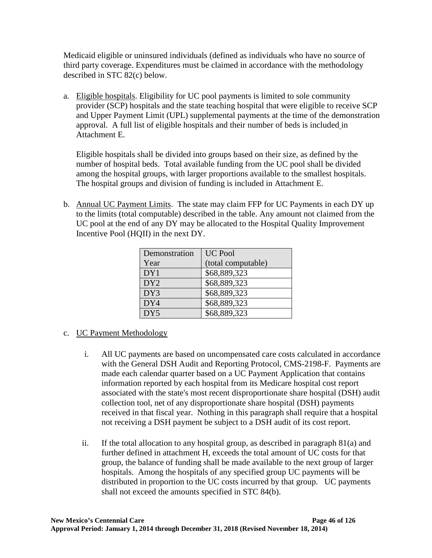Medicaid eligible or uninsured individuals (defined as individuals who have no source of third party coverage. Expenditures must be claimed in accordance with the methodology described in STC [82\(](#page-50-0)c) below.

a. Eligible hospitals. Eligibility for UC pool payments is limited to sole community provider (SCP) hospitals and the state teaching hospital that were eligible to receive SCP and Upper Payment Limit (UPL) supplemental payments at the time of the demonstration approval. A full list of eligible hospitals and their number of beds is included in Attachment E.

Eligible hospitals shall be divided into groups based on their size, as defined by the number of hospital beds. Total available funding from the UC pool shall be divided among the hospital groups, with larger proportions available to the smallest hospitals. The hospital groups and division of funding is included in Attachment E.

b. Annual UC Payment Limits. The state may claim FFP for UC Payments in each DY up to the limits (total computable) described in the table. Any amount not claimed from the UC pool at the end of any DY may be allocated to the Hospital Quality Improvement Incentive Pool (HQII) in the next DY.

| Demonstration   | <b>UC Pool</b>     |
|-----------------|--------------------|
| Year            | (total computable) |
| DY1             | \$68,889,323       |
| DY <sub>2</sub> | \$68,889,323       |
| DY3             | \$68,889,323       |
| DY4             | \$68,889,323       |
| DY <sub>5</sub> | \$68,889,323       |

- c. UC Payment Methodology
	- i. All UC payments are based on uncompensated care costs calculated in accordance with the General DSH Audit and Reporting Protocol, CMS-2198-F. Payments are made each calendar quarter based on a UC Payment Application that contains information reported by each hospital from its Medicare hospital cost report associated with the state's most recent disproportionate share hospital (DSH) audit collection tool, net of any disproportionate share hospital (DSH) payments received in that fiscal year. Nothing in this paragraph shall require that a hospital not receiving a DSH payment be subject to a DSH audit of its cost report.
	- ii. If the total allocation to any hospital group, as described in paragraph  $81(a)$  and further defined in attachment H, exceeds the total amount of UC costs for that group, the balance of funding shall be made available to the next group of larger hospitals. Among the hospitals of any specified group UC payments will be distributed in proportion to the UC costs incurred by that group. UC payments shall not exceed the amounts specified in STC [84\(](#page-57-0)b).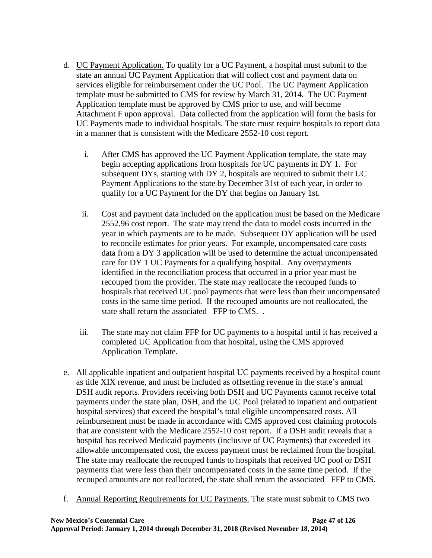- d. UC Payment Application. To qualify for a UC Payment, a hospital must submit to the state an annual UC Payment Application that will collect cost and payment data on services eligible for reimbursement under the UC Pool. The UC Payment Application template must be submitted to CMS for review by March 31, 2014. The UC Payment Application template must be approved by CMS prior to use, and will become Attachment F upon approval. Data collected from the application will form the basis for UC Payments made to individual hospitals. The state must require hospitals to report data in a manner that is consistent with the Medicare 2552-10 cost report.
	- i. After CMS has approved the UC Payment Application template, the state may begin accepting applications from hospitals for UC payments in DY 1. For subsequent DYs, starting with DY 2, hospitals are required to submit their UC Payment Applications to the state by December 31st of each year, in order to qualify for a UC Payment for the DY that begins on January 1st.
	- ii. Cost and payment data included on the application must be based on the Medicare 2552.96 cost report. The state may trend the data to model costs incurred in the year in which payments are to be made. Subsequent DY application will be used to reconcile estimates for prior years. For example, uncompensated care costs data from a DY 3 application will be used to determine the actual uncompensated care for DY 1 UC Payments for a qualifying hospital. Any overpayments identified in the reconciliation process that occurred in a prior year must be recouped from the provider. The state may reallocate the recouped funds to hospitals that received UC pool payments that were less than their uncompensated costs in the same time period. If the recouped amounts are not reallocated, the state shall return the associated FFP to CMS. .
	- iii. The state may not claim FFP for UC payments to a hospital until it has received a completed UC Application from that hospital, using the CMS approved Application Template.
- e. All applicable inpatient and outpatient hospital UC payments received by a hospital count as title XIX revenue, and must be included as offsetting revenue in the state's annual DSH audit reports. Providers receiving both DSH and UC Payments cannot receive total payments under the state plan, DSH, and the UC Pool (related to inpatient and outpatient hospital services) that exceed the hospital's total eligible uncompensated costs. All reimbursement must be made in accordance with CMS approved cost claiming protocols that are consistent with the Medicare 2552-10 cost report. If a DSH audit reveals that a hospital has received Medicaid payments (inclusive of UC Payments) that exceeded its allowable uncompensated cost, the excess payment must be reclaimed from the hospital. The state may reallocate the recouped funds to hospitals that received UC pool or DSH payments that were less than their uncompensated costs in the same time period. If the recouped amounts are not reallocated, the state shall return the associated FFP to CMS.
- f. Annual Reporting Requirements for UC Payments. The state must submit to CMS two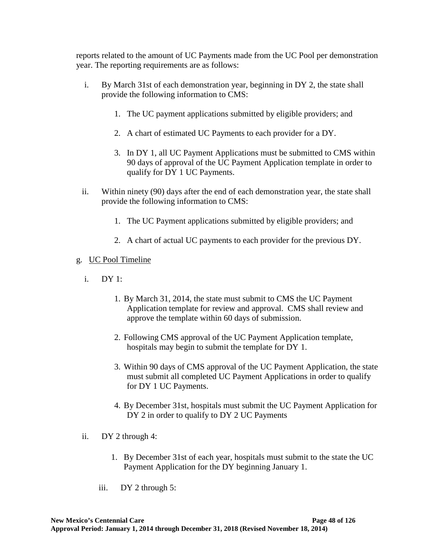reports related to the amount of UC Payments made from the UC Pool per demonstration year. The reporting requirements are as follows:

- i. By March 31st of each demonstration year, beginning in DY 2, the state shall provide the following information to CMS:
	- 1. The UC payment applications submitted by eligible providers; and
	- 2. A chart of estimated UC Payments to each provider for a DY.
	- 3. In DY 1, all UC Payment Applications must be submitted to CMS within 90 days of approval of the UC Payment Application template in order to qualify for DY 1 UC Payments.
- ii. Within ninety (90) days after the end of each demonstration year, the state shall provide the following information to CMS:
	- 1. The UC Payment applications submitted by eligible providers; and
	- 2. A chart of actual UC payments to each provider for the previous DY.

#### g. UC Pool Timeline

- i. DY 1:
	- 1. By March 31, 2014, the state must submit to CMS the UC Payment Application template for review and approval. CMS shall review and approve the template within 60 days of submission.
	- 2. Following CMS approval of the UC Payment Application template, hospitals may begin to submit the template for DY 1.
	- 3. Within 90 days of CMS approval of the UC Payment Application, the state must submit all completed UC Payment Applications in order to qualify for DY 1 UC Payments.
	- 4. By December 31st, hospitals must submit the UC Payment Application for DY 2 in order to qualify to DY 2 UC Payments
- ii. DY 2 through 4:
	- 1. By December 31st of each year, hospitals must submit to the state the UC Payment Application for the DY beginning January 1.
	- iii. DY 2 through 5: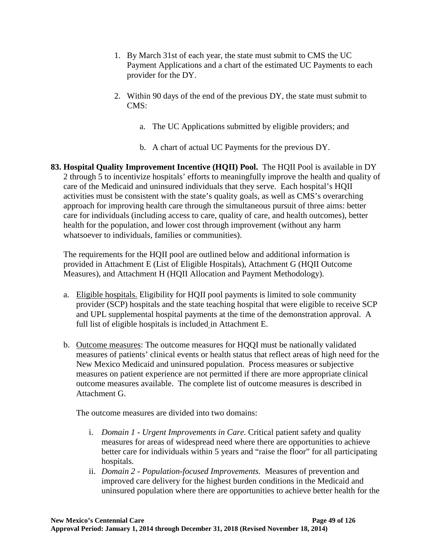- 1. By March 31st of each year, the state must submit to CMS the UC Payment Applications and a chart of the estimated UC Payments to each provider for the DY.
- 2. Within 90 days of the end of the previous DY, the state must submit to CMS:
	- a. The UC Applications submitted by eligible providers; and
	- b. A chart of actual UC Payments for the previous DY.
- <span id="page-54-0"></span>**83. Hospital Quality Improvement Incentive (HQII) Pool.** The HQII Pool is available in DY 2 through 5 to incentivize hospitals' efforts to meaningfully improve the health and quality of care of the Medicaid and uninsured individuals that they serve. Each hospital's HQII activities must be consistent with the state's quality goals, as well as CMS's overarching approach for improving health care through the simultaneous pursuit of three aims: better care for individuals (including access to care, quality of care, and health outcomes), better health for the population, and lower cost through improvement (without any harm whatsoever to individuals, families or communities).

The requirements for the HQII pool are outlined below and additional information is provided in Attachment E (List of Eligible Hospitals), Attachment G (HQII Outcome Measures), and Attachment H (HQII Allocation and Payment Methodology).

- a. Eligible hospitals. Eligibility for HQII pool payments is limited to sole community provider (SCP) hospitals and the state teaching hospital that were eligible to receive SCP and UPL supplemental hospital payments at the time of the demonstration approval. A full list of eligible hospitals is included in Attachment E.
- b. Outcome measures: The outcome measures for HQQI must be nationally validated measures of patients' clinical events or health status that reflect areas of high need for the New Mexico Medicaid and uninsured population. Process measures or subjective measures on patient experience are not permitted if there are more appropriate clinical outcome measures available. The complete list of outcome measures is described in Attachment G.

The outcome measures are divided into two domains:

- i. *Domain 1 - Urgent Improvements in Care.* Critical patient safety and quality measures for areas of widespread need where there are opportunities to achieve better care for individuals within 5 years and "raise the floor" for all participating hospitals.
- ii. *Domain 2 - Population-focused Improvements.* Measures of prevention and improved care delivery for the highest burden conditions in the Medicaid and uninsured population where there are opportunities to achieve better health for the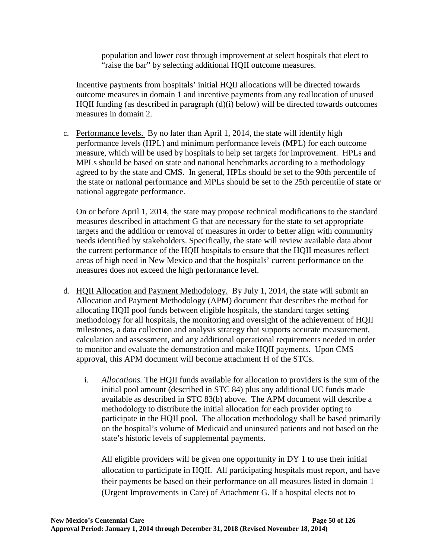population and lower cost through improvement at select hospitals that elect to "raise the bar" by selecting additional HQII outcome measures.

Incentive payments from hospitals' initial HQII allocations will be directed towards outcome measures in domain 1 and incentive payments from any reallocation of unused HQII funding (as described in paragraph (d)(i) below) will be directed towards outcomes measures in domain 2.

c. Performance levels. By no later than April 1, 2014, the state will identify high performance levels (HPL) and minimum performance levels (MPL) for each outcome measure, which will be used by hospitals to help set targets for improvement. HPLs and MPLs should be based on state and national benchmarks according to a methodology agreed to by the state and CMS. In general, HPLs should be set to the 90th percentile of the state or national performance and MPLs should be set to the 25th percentile of state or national aggregate performance.

On or before April 1, 2014, the state may propose technical modifications to the standard measures described in attachment G that are necessary for the state to set appropriate targets and the addition or removal of measures in order to better align with community needs identified by stakeholders. Specifically, the state will review available data about the current performance of the HQII hospitals to ensure that the HQII measures reflect areas of high need in New Mexico and that the hospitals' current performance on the measures does not exceed the high performance level.

- d. HQII Allocation and Payment Methodology. By July 1, 2014, the state will submit an Allocation and Payment Methodology (APM) document that describes the method for allocating HQII pool funds between eligible hospitals, the standard target setting methodology for all hospitals, the monitoring and oversight of the achievement of HQII milestones, a data collection and analysis strategy that supports accurate measurement, calculation and assessment, and any additional operational requirements needed in order to monitor and evaluate the demonstration and make HQII payments. Upon CMS approval, this APM document will become attachment H of the STCs.
	- i. *Allocations.* The HQII funds available for allocation to providers is the sum of the initial pool amount (described in STC [84\)](#page-57-0) plus any additional UC funds made available as described in STC [83\(](#page-54-0)b) above. The APM document will describe a methodology to distribute the initial allocation for each provider opting to participate in the HQII pool. The allocation methodology shall be based primarily on the hospital's volume of Medicaid and uninsured patients and not based on the state's historic levels of supplemental payments.

All eligible providers will be given one opportunity in DY 1 to use their initial allocation to participate in HQII. All participating hospitals must report, and have their payments be based on their performance on all measures listed in domain 1 (Urgent Improvements in Care) of Attachment G. If a hospital elects not to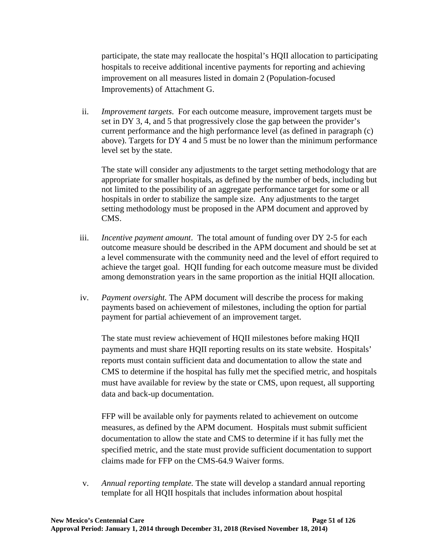participate, the state may reallocate the hospital's HQII allocation to participating hospitals to receive additional incentive payments for reporting and achieving improvement on all measures listed in domain 2 (Population-focused Improvements) of Attachment G.

ii. *Improvement targets*. For each outcome measure, improvement targets must be set in DY 3, 4, and 5 that progressively close the gap between the provider's current performance and the high performance level (as defined in paragraph (c) above). Targets for DY 4 and 5 must be no lower than the minimum performance level set by the state.

The state will consider any adjustments to the target setting methodology that are appropriate for smaller hospitals, as defined by the number of beds, including but not limited to the possibility of an aggregate performance target for some or all hospitals in order to stabilize the sample size. Any adjustments to the target setting methodology must be proposed in the APM document and approved by CMS.

- iii. *Incentive payment amount*. The total amount of funding over DY 2-5 for each outcome measure should be described in the APM document and should be set at a level commensurate with the community need and the level of effort required to achieve the target goal. HQII funding for each outcome measure must be divided among demonstration years in the same proportion as the initial HQII allocation.
- iv. *Payment oversight.* The APM document will describe the process for making payments based on achievement of milestones, including the option for partial payment for partial achievement of an improvement target.

The state must review achievement of HQII milestones before making HQII payments and must share HQII reporting results on its state website. Hospitals' reports must contain sufficient data and documentation to allow the state and CMS to determine if the hospital has fully met the specified metric, and hospitals must have available for review by the state or CMS, upon request, all supporting data and back-up documentation.

FFP will be available only for payments related to achievement on outcome measures, as defined by the APM document. Hospitals must submit sufficient documentation to allow the state and CMS to determine if it has fully met the specified metric, and the state must provide sufficient documentation to support claims made for FFP on the CMS-64.9 Waiver forms.

v. *Annual reporting template.* The state will develop a standard annual reporting template for all HQII hospitals that includes information about hospital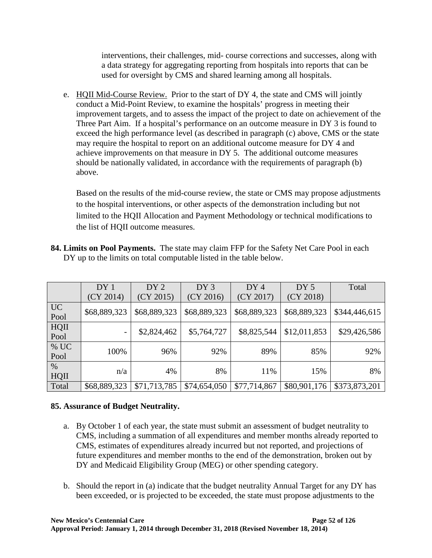interventions, their challenges, mid- course corrections and successes, along with a data strategy for aggregating reporting from hospitals into reports that can be used for oversight by CMS and shared learning among all hospitals.

e. HQII Mid-Course Review. Prior to the start of DY 4, the state and CMS will jointly conduct a Mid-Point Review, to examine the hospitals' progress in meeting their improvement targets, and to assess the impact of the project to date on achievement of the Three Part Aim. If a hospital's performance on an outcome measure in DY 3 is found to exceed the high performance level (as described in paragraph (c) above, CMS or the state may require the hospital to report on an additional outcome measure for DY 4 and achieve improvements on that measure in DY 5. The additional outcome measures should be nationally validated, in accordance with the requirements of paragraph (b) above.

Based on the results of the mid-course review, the state or CMS may propose adjustments to the hospital interventions, or other aspects of the demonstration including but not limited to the HQII Allocation and Payment Methodology or technical modifications to the list of HQII outcome measures.

|                   | DY <sub>1</sub> | DY <sub>2</sub> | DY3          | DY <sub>4</sub> | DY <sub>5</sub> | Total         |
|-------------------|-----------------|-----------------|--------------|-----------------|-----------------|---------------|
|                   | (CY 2014)       | (CY 2015)       | (CY 2016)    | (CY 2017)       | (CY 2018)       |               |
| <b>UC</b><br>Pool | \$68,889,323    | \$68,889,323    | \$68,889,323 | \$68,889,323    | \$68,889,323    | \$344,446,615 |
| HQII<br>Pool      |                 | \$2,824,462     | \$5,764,727  | \$8,825,544     | \$12,011,853    | \$29,426,586  |
| % UC<br>Pool      | 100%            | 96%             | 92%          | 89%             | 85%             | 92%           |
| $\%$<br>HQII      | n/a             | 4%              | 8%           | 11%             | 15%             | 8%            |
| Total             | \$68,889,323    | \$71,713,785    | \$74,654,050 | \$77,714,867    | \$80,901,176    | \$373,873,201 |

<span id="page-57-0"></span>**84. Limits on Pool Payments.** The state may claim FFP for the Safety Net Care Pool in each DY up to the limits on total computable listed in the table below.

### **85. Assurance of Budget Neutrality.**

- a. By October 1 of each year, the state must submit an assessment of budget neutrality to CMS, including a summation of all expenditures and member months already reported to CMS, estimates of expenditures already incurred but not reported, and projections of future expenditures and member months to the end of the demonstration, broken out by DY and Medicaid Eligibility Group (MEG) or other spending category.
- b. Should the report in (a) indicate that the budget neutrality Annual Target for any DY has been exceeded, or is projected to be exceeded, the state must propose adjustments to the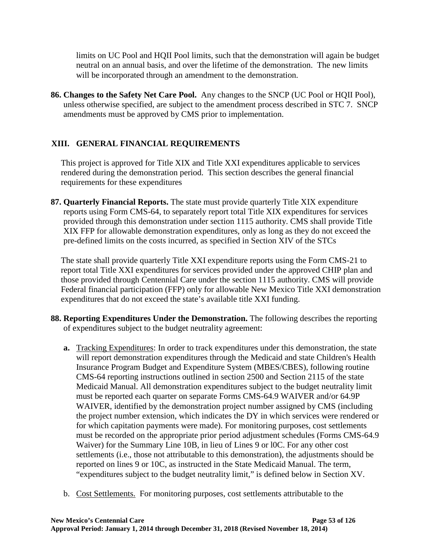limits on UC Pool and HQII Pool limits, such that the demonstration will again be budget neutral on an annual basis, and over the lifetime of the demonstration. The new limits will be incorporated through an amendment to the demonstration.

**86. Changes to the Safety Net Care Pool.** Any changes to the SNCP (UC Pool or HQII Pool), unless otherwise specified, are subject to the amendment process described in STC 7. SNCP amendments must be approved by CMS prior to implementation.

# **XIII. GENERAL FINANCIAL REQUIREMENTS**

This project is approved for Title XIX and Title XXI expenditures applicable to services rendered during the demonstration period. This section describes the general financial requirements for these expenditures

**87. Quarterly Financial Reports.** The state must provide quarterly Title XIX expenditure reports using Form CMS-64, to separately report total Title XIX expenditures for services provided through this demonstration under section 1115 authority. CMS shall provide Title XIX FFP for allowable demonstration expenditures, only as long as they do not exceed the pre-defined limits on the costs incurred, as specified in Section [XIV](#page-65-0) of the STCs

The state shall provide quarterly Title XXI expenditure reports using the Form CMS-21 to report total Title XXI expenditures for services provided under the approved CHIP plan and those provided through Centennial Care under the section 1115 authority. CMS will provide Federal financial participation (FFP) only for allowable New Mexico Title XXI demonstration expenditures that do not exceed the state's available title XXI funding.

- **88. Reporting Expenditures Under the Demonstration.** The following describes the reporting of expenditures subject to the budget neutrality agreement:
	- **a.** Tracking Expenditures: In order to track expenditures under this demonstration, the state will report demonstration expenditures through the Medicaid and state Children's Health Insurance Program Budget and Expenditure System (MBES/CBES), following routine CMS-64 reporting instructions outlined in section 2500 and Section 2115 of the state Medicaid Manual. All demonstration expenditures subject to the budget neutrality limit must be reported each quarter on separate Forms CMS-64.9 WAIVER and/or 64.9P WAIVER, identified by the demonstration project number assigned by CMS (including the project number extension, which indicates the DY in which services were rendered or for which capitation payments were made). For monitoring purposes, cost settlements must be recorded on the appropriate prior period adjustment schedules (Forms CMS-64.9 Waiver) for the Summary Line 10B, in lieu of Lines 9 or l0C. For any other cost settlements (i.e., those not attributable to this demonstration), the adjustments should be reported on lines 9 or 10C, as instructed in the State Medicaid Manual. The term, "expenditures subject to the budget neutrality limit," is defined below in Section XV.
	- b. Cost Settlements. For monitoring purposes, cost settlements attributable to the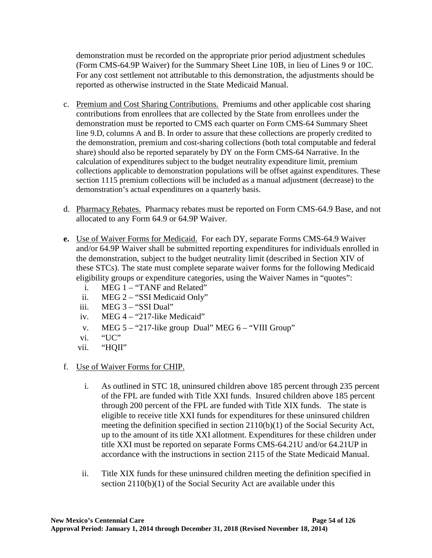demonstration must be recorded on the appropriate prior period adjustment schedules (Form CMS-64.9P Waiver) for the Summary Sheet Line 10B, in lieu of Lines 9 or 10C. For any cost settlement not attributable to this demonstration, the adjustments should be reported as otherwise instructed in the State Medicaid Manual.

- c. Premium and Cost Sharing Contributions. Premiums and other applicable cost sharing contributions from enrollees that are collected by the State from enrollees under the demonstration must be reported to CMS each quarter on Form CMS-64 Summary Sheet line 9.D, columns A and B. In order to assure that these collections are properly credited to the demonstration, premium and cost-sharing collections (both total computable and federal share) should also be reported separately by DY on the Form CMS-64 Narrative. In the calculation of expenditures subject to the budget neutrality expenditure limit, premium collections applicable to demonstration populations will be offset against expenditures. These section 1115 premium collections will be included as a manual adjustment (decrease) to the demonstration's actual expenditures on a quarterly basis.
- d. Pharmacy Rebates. Pharmacy rebates must be reported on Form CMS-64.9 Base, and not allocated to any Form 64.9 or 64.9P Waiver.
- **e.** Use of Waiver Forms for Medicaid. For each DY, separate Forms CMS-64.9 Waiver and/or 64.9P Waiver shall be submitted reporting expenditures for individuals enrolled in the demonstration, subject to the budget neutrality limit (described in Section [XIV](#page-65-0) of these STCs). The state must complete separate waiver forms for the following Medicaid eligibility groups or expenditure categories, using the Waiver Names in "quotes":
	- i. MEG 1 "TANF and Related"
	- ii. MEG 2 "SSI Medicaid Only"
	- iii. MEG 3 "SSI Dual"
	- iv. MEG 4 "217-like Medicaid"
	- v. MEG 5 "217-like group Dual" MEG 6 "VIII Group"
	- vi. "UC"
	- vii. "HQII"
- f. Use of Waiver Forms for CHIP.
	- i. As outlined in STC [18,](#page-15-0) uninsured children above 185 percent through 235 percent of the FPL are funded with Title XXI funds. Insured children above 185 percent through 200 percent of the FPL are funded with Title XIX funds. The state is eligible to receive title XXI funds for expenditures for these uninsured children meeting the definition specified in section 2110(b)(1) of the Social Security Act, up to the amount of its title XXI allotment. Expenditures for these children under title XXI must be reported on separate Forms CMS-64.21U and/or 64.21UP in accordance with the instructions in section 2115 of the State Medicaid Manual.
	- ii. Title XIX funds for these uninsured children meeting the definition specified in section 2110(b)(1) of the Social Security Act are available under this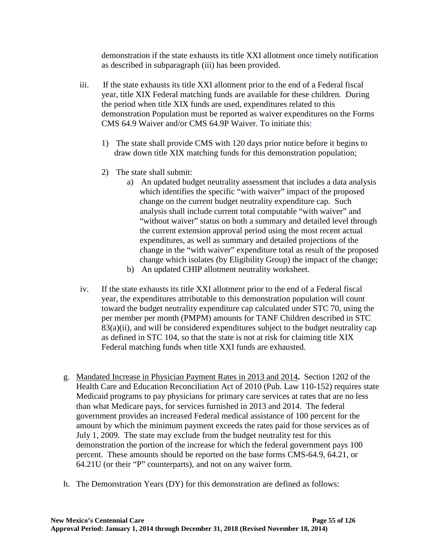demonstration if the state exhausts its title XXI allotment once timely notification as described in subparagraph (iii) has been provided.

- iii. If the state exhausts its title XXI allotment prior to the end of a Federal fiscal year, title XIX Federal matching funds are available for these children. During the period when title XIX funds are used, expenditures related to this demonstration Population must be reported as waiver expenditures on the Forms CMS 64.9 Waiver and/or CMS 64.9P Waiver. To initiate this:
	- 1) The state shall provide CMS with 120 days prior notice before it begins to draw down title XIX matching funds for this demonstration population;
	- 2) The state shall submit:
		- a) An updated budget neutrality assessment that includes a data analysis which identifies the specific "with waiver" impact of the proposed change on the current budget neutrality expenditure cap. Such analysis shall include current total computable "with waiver" and "without waiver" status on both a summary and detailed level through the current extension approval period using the most recent actual expenditures, as well as summary and detailed projections of the change in the "with waiver" expenditure total as result of the proposed change which isolates (by Eligibility Group) the impact of the change;
		- b) An updated CHIP allotment neutrality worksheet.
- iv. If the state exhausts its title XXI allotment prior to the end of a Federal fiscal year, the expenditures attributable to this demonstration population will count toward the budget neutrality expenditure cap calculated under STC 70, using the per member per month (PMPM) amounts for TANF Children described in STC 83(a)(ii), and will be considered expenditures subject to the budget neutrality cap as defined in STC [104,](#page-65-1) so that the state is not at risk for claiming title XIX Federal matching funds when title XXI funds are exhausted.
- g. Mandated Increase in Physician Payment Rates in 2013 and 2014**.** Section 1202 of the Health Care and Education Reconciliation Act of 2010 (Pub. Law 110-152) requires state Medicaid programs to pay physicians for primary care services at rates that are no less than what Medicare pays, for services furnished in 2013 and 2014. The federal government provides an increased Federal medical assistance of 100 percent for the amount by which the minimum payment exceeds the rates paid for those services as of July 1, 2009. The state may exclude from the budget neutrality test for this demonstration the portion of the increase for which the federal government pays 100 percent. These amounts should be reported on the base forms CMS-64.9, 64.21, or 64.21U (or their "P" counterparts), and not on any waiver form.
- h. The Demonstration Years (DY) for this demonstration are defined as follows: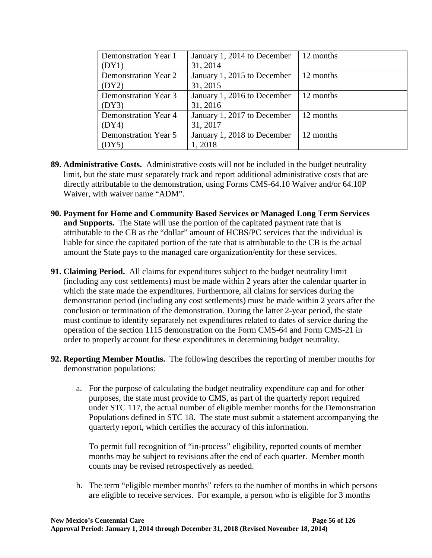| Demonstration Year 1        | January 1, 2014 to December | 12 months |
|-----------------------------|-----------------------------|-----------|
| (DY1)                       | 31, 2014                    |           |
| <b>Demonstration Year 2</b> | January 1, 2015 to December | 12 months |
| (DY2)                       | 31, 2015                    |           |
| Demonstration Year 3        | January 1, 2016 to December | 12 months |
| (DY3)                       | 31, 2016                    |           |
| Demonstration Year 4        | January 1, 2017 to December | 12 months |
| (DY4)                       | 31, 2017                    |           |
| <b>Demonstration Year 5</b> | January 1, 2018 to December | 12 months |
| DY5)                        | 1,2018                      |           |

- **89. Administrative Costs.** Administrative costs will not be included in the budget neutrality limit, but the state must separately track and report additional administrative costs that are directly attributable to the demonstration, using Forms CMS-64.10 Waiver and/or 64.10P Waiver, with waiver name "ADM".
- **90. Payment for Home and Community Based Services or Managed Long Term Services and Supports.** The State will use the portion of the capitated payment rate that is attributable to the CB as the "dollar" amount of HCBS/PC services that the individual is liable for since the capitated portion of the rate that is attributable to the CB is the actual amount the State pays to the managed care organization/entity for these services.
- **91. Claiming Period.** All claims for expenditures subject to the budget neutrality limit (including any cost settlements) must be made within 2 years after the calendar quarter in which the state made the expenditures. Furthermore, all claims for services during the demonstration period (including any cost settlements) must be made within 2 years after the conclusion or termination of the demonstration. During the latter 2-year period, the state must continue to identify separately net expenditures related to dates of service during the operation of the section 1115 demonstration on the Form CMS-64 and Form CMS-21 in order to properly account for these expenditures in determining budget neutrality.
- **92. Reporting Member Months.** The following describes the reporting of member months for demonstration populations:
	- a. For the purpose of calculating the budget neutrality expenditure cap and for other purposes, the state must provide to CMS, as part of the quarterly report required under STC [117,](#page-69-1) the actual number of eligible member months for the Demonstration Populations defined in STC [18.](#page-15-0) The state must submit a statement accompanying the quarterly report, which certifies the accuracy of this information.

To permit full recognition of "in-process" eligibility, reported counts of member months may be subject to revisions after the end of each quarter. Member month counts may be revised retrospectively as needed.

b. The term "eligible member months" refers to the number of months in which persons are eligible to receive services. For example, a person who is eligible for 3 months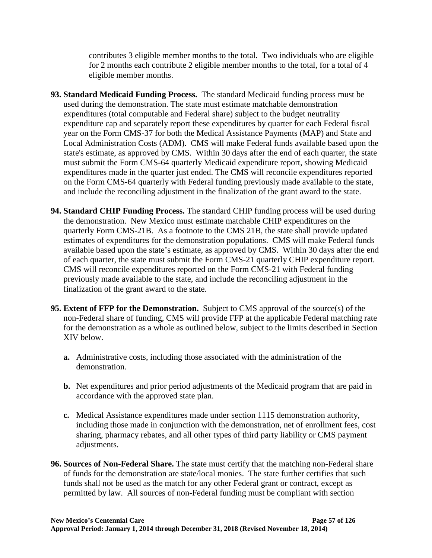contributes 3 eligible member months to the total. Two individuals who are eligible for 2 months each contribute 2 eligible member months to the total, for a total of 4 eligible member months.

- **93. Standard Medicaid Funding Process.** The standard Medicaid funding process must be used during the demonstration. The state must estimate matchable demonstration expenditures (total computable and Federal share) subject to the budget neutrality expenditure cap and separately report these expenditures by quarter for each Federal fiscal year on the Form CMS-37 for both the Medical Assistance Payments (MAP) and State and Local Administration Costs (ADM). CMS will make Federal funds available based upon the state's estimate, as approved by CMS. Within 30 days after the end of each quarter, the state must submit the Form CMS-64 quarterly Medicaid expenditure report, showing Medicaid expenditures made in the quarter just ended. The CMS will reconcile expenditures reported on the Form CMS-64 quarterly with Federal funding previously made available to the state, and include the reconciling adjustment in the finalization of the grant award to the state.
- **94. Standard CHIP Funding Process.** The standard CHIP funding process will be used during the demonstration. New Mexico must estimate matchable CHIP expenditures on the quarterly Form CMS-21B. As a footnote to the CMS 21B, the state shall provide updated estimates of expenditures for the demonstration populations. CMS will make Federal funds available based upon the state's estimate, as approved by CMS. Within 30 days after the end of each quarter, the state must submit the Form CMS-21 quarterly CHIP expenditure report. CMS will reconcile expenditures reported on the Form CMS-21 with Federal funding previously made available to the state, and include the reconciling adjustment in the finalization of the grant award to the state.
- **95. Extent of FFP for the Demonstration.** Subject to CMS approval of the source(s) of the non-Federal share of funding, CMS will provide FFP at the applicable Federal matching rate for the demonstration as a whole as outlined below, subject to the limits described in Section XIV below.
	- **a.** Administrative costs, including those associated with the administration of the demonstration.
	- **b.** Net expenditures and prior period adjustments of the Medicaid program that are paid in accordance with the approved state plan.
	- **c.** Medical Assistance expenditures made under section 1115 demonstration authority, including those made in conjunction with the demonstration, net of enrollment fees, cost sharing, pharmacy rebates, and all other types of third party liability or CMS payment adjustments.
- **96. Sources of Non-Federal Share.** The state must certify that the matching non-Federal share of funds for the demonstration are state/local monies. The state further certifies that such funds shall not be used as the match for any other Federal grant or contract, except as permitted by law. All sources of non-Federal funding must be compliant with section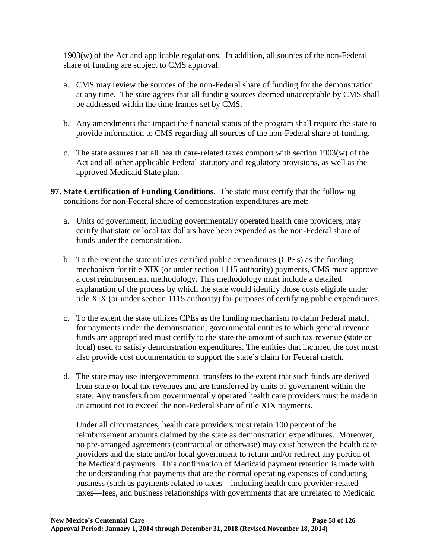1903(w) of the Act and applicable regulations. In addition, all sources of the non-Federal share of funding are subject to CMS approval.

- a. CMS may review the sources of the non-Federal share of funding for the demonstration at any time. The state agrees that all funding sources deemed unacceptable by CMS shall be addressed within the time frames set by CMS.
- b. Any amendments that impact the financial status of the program shall require the state to provide information to CMS regarding all sources of the non-Federal share of funding.
- c. The state assures that all health care-related taxes comport with section 1903(w) of the Act and all other applicable Federal statutory and regulatory provisions, as well as the approved Medicaid State plan.
- **97. State Certification of Funding Conditions.** The state must certify that the following conditions for non-Federal share of demonstration expenditures are met:
	- a. Units of government, including governmentally operated health care providers, may certify that state or local tax dollars have been expended as the non-Federal share of funds under the demonstration.
	- b. To the extent the state utilizes certified public expenditures (CPEs) as the funding mechanism for title XIX (or under section 1115 authority) payments, CMS must approve a cost reimbursement methodology. This methodology must include a detailed explanation of the process by which the state would identify those costs eligible under title XIX (or under section 1115 authority) for purposes of certifying public expenditures.
	- c. To the extent the state utilizes CPEs as the funding mechanism to claim Federal match for payments under the demonstration, governmental entities to which general revenue funds are appropriated must certify to the state the amount of such tax revenue (state or local) used to satisfy demonstration expenditures. The entities that incurred the cost must also provide cost documentation to support the state's claim for Federal match.
	- d. The state may use intergovernmental transfers to the extent that such funds are derived from state or local tax revenues and are transferred by units of government within the state. Any transfers from governmentally operated health care providers must be made in an amount not to exceed the non-Federal share of title XIX payments.

Under all circumstances, health care providers must retain 100 percent of the reimbursement amounts claimed by the state as demonstration expenditures. Moreover, no pre-arranged agreements (contractual or otherwise) may exist between the health care providers and the state and/or local government to return and/or redirect any portion of the Medicaid payments. This confirmation of Medicaid payment retention is made with the understanding that payments that are the normal operating expenses of conducting business (such as payments related to taxes—including health care provider-related taxes—fees, and business relationships with governments that are unrelated to Medicaid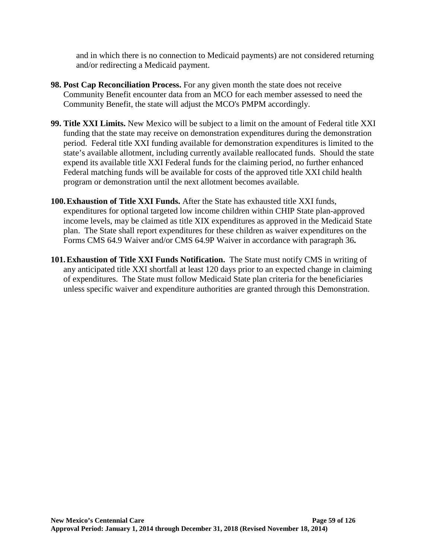and in which there is no connection to Medicaid payments) are not considered returning and/or redirecting a Medicaid payment.

- **98. Post Cap Reconciliation Process.** For any given month the state does not receive Community Benefit encounter data from an MCO for each member assessed to need the Community Benefit, the state will adjust the MCO's PMPM accordingly.
- **99. Title XXI Limits.** New Mexico will be subject to a limit on the amount of Federal title XXI funding that the state may receive on demonstration expenditures during the demonstration period. Federal title XXI funding available for demonstration expenditures is limited to the state's available allotment, including currently available reallocated funds. Should the state expend its available title XXI Federal funds for the claiming period, no further enhanced Federal matching funds will be available for costs of the approved title XXI child health program or demonstration until the next allotment becomes available.
- **100.Exhaustion of Title XXI Funds.** After the State has exhausted title XXI funds, expenditures for optional targeted low income children within CHIP State plan-approved income levels, may be claimed as title XIX expenditures as approved in the Medicaid State plan. The State shall report expenditures for these children as waiver expenditures on the Forms CMS 64.9 Waiver and/or CMS 64.9P Waiver in accordance with paragraph 36**.**
- **101.Exhaustion of Title XXI Funds Notification.** The State must notify CMS in writing of any anticipated title XXI shortfall at least 120 days prior to an expected change in claiming of expenditures. The State must follow Medicaid State plan criteria for the beneficiaries unless specific waiver and expenditure authorities are granted through this Demonstration.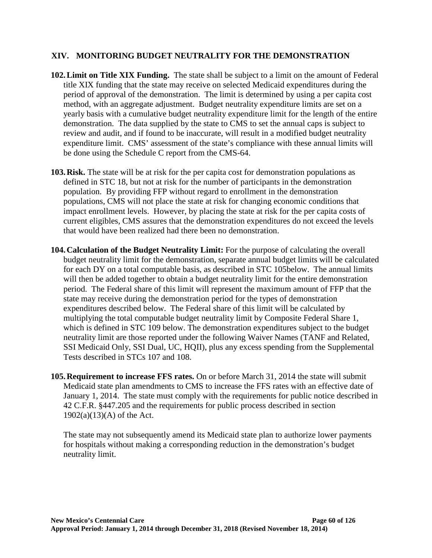#### <span id="page-65-0"></span>**XIV. MONITORING BUDGET NEUTRALITY FOR THE DEMONSTRATION**

- **102.Limit on Title XIX Funding.** The state shall be subject to a limit on the amount of Federal title XIX funding that the state may receive on selected Medicaid expenditures during the period of approval of the demonstration. The limit is determined by using a per capita cost method, with an aggregate adjustment. Budget neutrality expenditure limits are set on a yearly basis with a cumulative budget neutrality expenditure limit for the length of the entire demonstration. The data supplied by the state to CMS to set the annual caps is subject to review and audit, and if found to be inaccurate, will result in a modified budget neutrality expenditure limit. CMS' assessment of the state's compliance with these annual limits will be done using the Schedule C report from the CMS-64.
- **103.Risk.** The state will be at risk for the per capita cost for demonstration populations as defined in STC [18,](#page-15-0) but not at risk for the number of participants in the demonstration population. By providing FFP without regard to enrollment in the demonstration populations, CMS will not place the state at risk for changing economic conditions that impact enrollment levels. However, by placing the state at risk for the per capita costs of current eligibles, CMS assures that the demonstration expenditures do not exceed the levels that would have been realized had there been no demonstration.
- <span id="page-65-1"></span>**104.Calculation of the Budget Neutrality Limit:** For the purpose of calculating the overall budget neutrality limit for the demonstration, separate annual budget limits will be calculated for each DY on a total computable basis, as described in STC [105b](#page-65-2)elow. The annual limits will then be added together to obtain a budget neutrality limit for the entire demonstration period. The Federal share of this limit will represent the maximum amount of FFP that the state may receive during the demonstration period for the types of demonstration expenditures described below. The Federal share of this limit will be calculated by multiplying the total computable budget neutrality limit by Composite Federal Share 1, which is defined in STC [109](#page-68-0) below. The demonstration expenditures subject to the budget neutrality limit are those reported under the following Waiver Names (TANF and Related, SSI Medicaid Only, SSI Dual, UC, HQII), plus any excess spending from the Supplemental Tests described in STCs [107](#page-66-0) and [108.](#page-67-0)
- <span id="page-65-2"></span>**105.Requirement to increase FFS rates.** On or before March 31, 2014 the state will submit Medicaid state plan amendments to CMS to increase the FFS rates with an effective date of January 1, 2014. The state must comply with the requirements for public notice described in 42 C.F.R. §447.205 and the requirements for public process described in section  $1902(a)(13)(A)$  of the Act.

The state may not subsequently amend its Medicaid state plan to authorize lower payments for hospitals without making a corresponding reduction in the demonstration's budget neutrality limit.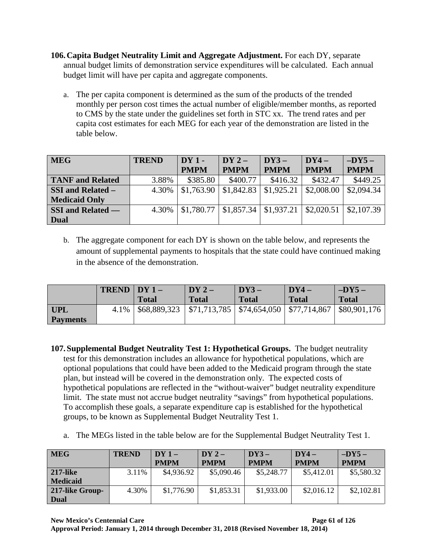- <span id="page-66-1"></span>**106.Capita Budget Neutrality Limit and Aggregate Adjustment.** For each DY, separate annual budget limits of demonstration service expenditures will be calculated. Each annual budget limit will have per capita and aggregate components.
	- a. The per capita component is determined as the sum of the products of the trended monthly per person cost times the actual number of eligible/member months, as reported to CMS by the state under the guidelines set forth in STC xx. The trend rates and per capita cost estimates for each MEG for each year of the demonstration are listed in the table below.

| <b>MEG</b>               | <b>TREND</b> | $DY1 -$     | $DY2-$      | $DY3-$      | $DY4-$      | $-DY5-$     |
|--------------------------|--------------|-------------|-------------|-------------|-------------|-------------|
|                          |              | <b>PMPM</b> | <b>PMPM</b> | <b>PMPM</b> | <b>PMPM</b> | <b>PMPM</b> |
| <b>TANF</b> and Related  | 3.88%        | \$385.80    | \$400.77    | \$416.32    | \$432.47    | \$449.25    |
| <b>SSI and Related –</b> | 4.30%        | \$1,763.90  | \$1,842.83  | \$1,925.21  | \$2,008.00  | \$2,094.34  |
| <b>Medicaid Only</b>     |              |             |             |             |             |             |
| <b>SSI and Related —</b> | 4.30%        | \$1,780.77  | \$1,857.34  | \$1,937.21  | \$2,020.51  | \$2,107.39  |
| Dual                     |              |             |             |             |             |             |

b. The aggregate component for each DY is shown on the table below, and represents the amount of supplemental payments to hospitals that the state could have continued making in the absence of the demonstration.

|            | $TRED$   $DY$ 1 - |                                                                                 | $DY2-$       | $DY3-$       | DY4 –        | $-DY5-$      |
|------------|-------------------|---------------------------------------------------------------------------------|--------------|--------------|--------------|--------------|
|            |                   | <b>Total</b>                                                                    | <b>Total</b> | <b>Total</b> | <b>Total</b> | <b>Total</b> |
| <b>UPL</b> |                   | 4.1%   \$68,889,323   \$71,713,785   \$74,654,050   \$77,714,867   \$80,901,176 |              |              |              |              |
| Payments   |                   |                                                                                 |              |              |              |              |

- <span id="page-66-0"></span>**107.Supplemental Budget Neutrality Test 1: Hypothetical Groups.** The budget neutrality test for this demonstration includes an allowance for hypothetical populations, which are optional populations that could have been added to the Medicaid program through the state plan, but instead will be covered in the demonstration only. The expected costs of hypothetical populations are reflected in the "without-waiver" budget neutrality expenditure limit. The state must not accrue budget neutrality "savings" from hypothetical populations. To accomplish these goals, a separate expenditure cap is established for the hypothetical groups, to be known as Supplemental Budget Neutrality Test 1.
	- a. The MEGs listed in the table below are for the Supplemental Budget Neutrality Test 1.

| <b>MEG</b>      | <b>TREND</b> | $DY1-$      | $DY2-$      | $DY3-$      | $DY4-$      | $-DY5-$     |
|-----------------|--------------|-------------|-------------|-------------|-------------|-------------|
|                 |              | <b>PMPM</b> | <b>PMPM</b> | <b>PMPM</b> | <b>PMPM</b> | <b>PMPM</b> |
| <b>217-like</b> | 3.11%        | \$4,936.92  | \$5,090.46  | \$5,248.77  | \$5,412.01  | \$5,580.32  |
| <b>Medicaid</b> |              |             |             |             |             |             |
| 217-like Group- | 4.30%        | \$1,776.90  | \$1,853.31  | \$1,933.00  | \$2,016.12  | \$2,102.81  |
| <b>Dual</b>     |              |             |             |             |             |             |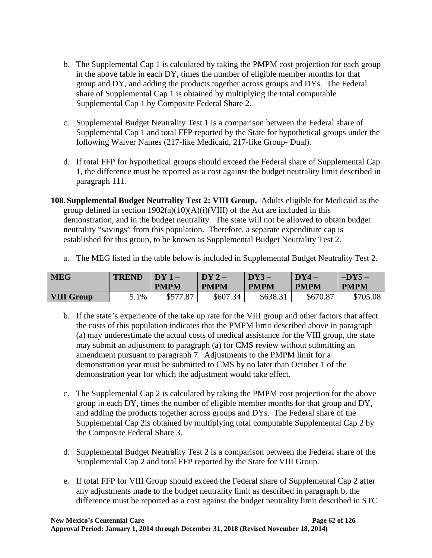- b. The Supplemental Cap 1 is calculated by taking the PMPM cost projection for each group in the above table in each DY, times the number of eligible member months for that group and DY, and adding the products together across groups and DYs. The Federal share of Supplemental Cap 1 is obtained by multiplying the total computable Supplemental Cap 1 by Composite Federal Share 2.
- c. Supplemental Budget Neutrality Test 1 is a comparison between the Federal share of Supplemental Cap 1 and total FFP reported by the State for hypothetical groups under the following Waiver Names (217-like Medicaid, 217-like Group- Dual).
- d. If total FFP for hypothetical groups should exceed the Federal share of Supplemental Cap 1, the difference must be reported as a cost against the budget neutrality limit described in paragraph 111.
- <span id="page-67-0"></span>**108.Supplemental Budget Neutrality Test 2: VIII Group.** Adults eligible for Medicaid as the group defined in section  $1902(a)(10)(A)(i)(VIII)$  of the Act are included in this demonstration, and in the budget neutrality. The state will not be allowed to obtain budget neutrality "savings" from this population. Therefore, a separate expenditure cap is established for this group, to be known as Supplemental Budget Neutrality Test 2.

|  |  | a. The MEG listed in the table below is included in Supplemental Budget Neutrality Test 2. |
|--|--|--------------------------------------------------------------------------------------------|
|  |  |                                                                                            |

| <b>MEG</b>        | <b>TREND</b> | DV 1<br><b>PMPM</b> | DY2<br><b>PMPM</b> | DY3<br><b>PMPM</b> | $\nabla$ DY4 $-$<br><b>PMPM</b> | $-DY5-$<br><b>PMPM</b> |
|-------------------|--------------|---------------------|--------------------|--------------------|---------------------------------|------------------------|
| <b>VIII Group</b> | 5.1%         | .87<br>\$577.       | \$607.34<br>-34    | \$638.31           | \$670.87                        | \$705.08               |

- b. If the state's experience of the take up rate for the VIII group and other factors that affect the costs of this population indicates that the PMPM limit described above in paragraph (a) may underestimate the actual costs of medical assistance for the VIII group, the state may submit an adjustment to paragraph (a) for CMS review without submitting an amendment pursuant to paragraph 7. Adjustments to the PMPM limit for a demonstration year must be submitted to CMS by no later than October 1 of the demonstration year for which the adjustment would take effect.
- c. The Supplemental Cap 2 is calculated by taking the PMPM cost projection for the above group in each DY, times the number of eligible member months for that group and DY, and adding the products together across groups and DYs. The Federal share of the Supplemental Cap 2is obtained by multiplying total computable Supplemental Cap 2 by the Composite Federal Share 3.
- d. Supplemental Budget Neutrality Test 2 is a comparison between the Federal share of the Supplemental Cap 2 and total FFP reported by the State for VIII Group.
- e. If total FFP for VIII Group should exceed the Federal share of Supplemental Cap 2 after any adjustments made to the budget neutrality limit as described in paragraph b, the difference must be reported as a cost against the budget neutrality limit described in STC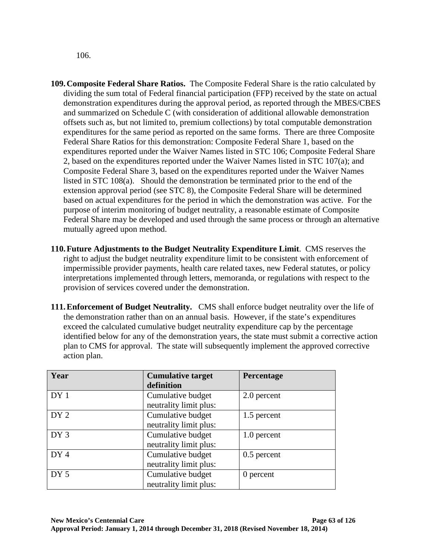[106.](#page-66-1)

- <span id="page-68-0"></span>**109.Composite Federal Share Ratios.** The Composite Federal Share is the ratio calculated by dividing the sum total of Federal financial participation (FFP) received by the state on actual demonstration expenditures during the approval period, as reported through the MBES/CBES and summarized on Schedule C (with consideration of additional allowable demonstration offsets such as, but not limited to, premium collections) by total computable demonstration expenditures for the same period as reported on the same forms. There are three Composite Federal Share Ratios for this demonstration: Composite Federal Share 1, based on the expenditures reported under the Waiver Names listed in STC [106;](#page-66-1) Composite Federal Share 2, based on the expenditures reported under the Waiver Names listed in STC [107\(](#page-66-0)a); and Composite Federal Share 3, based on the expenditures reported under the Waiver Names listed in STC [108\(](#page-67-0)a). Should the demonstration be terminated prior to the end of the extension approval period (see STC [8\)](#page-10-1), the Composite Federal Share will be determined based on actual expenditures for the period in which the demonstration was active. For the purpose of interim monitoring of budget neutrality, a reasonable estimate of Composite Federal Share may be developed and used through the same process or through an alternative mutually agreed upon method.
- **110.Future Adjustments to the Budget Neutrality Expenditure Limit**. CMS reserves the right to adjust the budget neutrality expenditure limit to be consistent with enforcement of impermissible provider payments, health care related taxes, new Federal statutes, or policy interpretations implemented through letters, memoranda, or regulations with respect to the provision of services covered under the demonstration.
- **111.Enforcement of Budget Neutrality.** CMS shall enforce budget neutrality over the life of the demonstration rather than on an annual basis. However, if the state's expenditures exceed the calculated cumulative budget neutrality expenditure cap by the percentage identified below for any of the demonstration years, the state must submit a corrective action plan to CMS for approval. The state will subsequently implement the approved corrective action plan.

| Year            | <b>Cumulative target</b> | Percentage  |
|-----------------|--------------------------|-------------|
|                 | definition               |             |
| DY <sub>1</sub> | Cumulative budget        | 2.0 percent |
|                 | neutrality limit plus:   |             |
| DY <sub>2</sub> | Cumulative budget        | 1.5 percent |
|                 | neutrality limit plus:   |             |
| DY <sub>3</sub> | Cumulative budget        | 1.0 percent |
|                 | neutrality limit plus:   |             |
| DY4             | Cumulative budget        | 0.5 percent |
|                 | neutrality limit plus:   |             |
| DY <sub>5</sub> | Cumulative budget        | 0 percent   |
|                 | neutrality limit plus:   |             |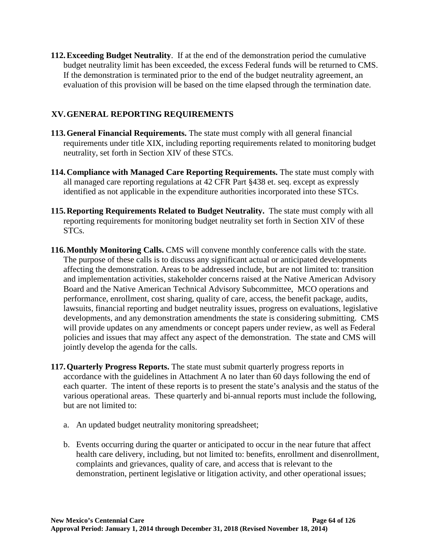**112.Exceeding Budget Neutrality**. If at the end of the demonstration period the cumulative budget neutrality limit has been exceeded, the excess Federal funds will be returned to CMS. If the demonstration is terminated prior to the end of the budget neutrality agreement, an evaluation of this provision will be based on the time elapsed through the termination date.

# **XV.GENERAL REPORTING REQUIREMENTS**

- **113.General Financial Requirements.** The state must comply with all general financial requirements under title XIX, including reporting requirements related to monitoring budget neutrality, set forth in Section [XIV](#page-65-0) of these STCs.
- **114.Compliance with Managed Care Reporting Requirements.** The state must comply with all managed care reporting regulations at 42 CFR Part §438 et. seq. except as expressly identified as not applicable in the expenditure authorities incorporated into these STCs.
- **115.Reporting Requirements Related to Budget Neutrality.** The state must comply with all reporting requirements for monitoring budget neutrality set forth in Section [XIV](#page-65-0) of these STCs.
- <span id="page-69-0"></span>**116.Monthly Monitoring Calls.** CMS will convene monthly conference calls with the state. The purpose of these calls is to discuss any significant actual or anticipated developments affecting the demonstration. Areas to be addressed include, but are not limited to: transition and implementation activities, stakeholder concerns raised at the Native American Advisory Board and the Native American Technical Advisory Subcommittee, MCO operations and performance, enrollment, cost sharing, quality of care, access, the benefit package, audits, lawsuits, financial reporting and budget neutrality issues, progress on evaluations, legislative developments, and any demonstration amendments the state is considering submitting. CMS will provide updates on any amendments or concept papers under review, as well as Federal policies and issues that may affect any aspect of the demonstration. The state and CMS will jointly develop the agenda for the calls.
- <span id="page-69-1"></span>**117.Quarterly Progress Reports.** The state must submit quarterly progress reports in accordance with the guidelines in Attachment A no later than 60 days following the end of each quarter. The intent of these reports is to present the state's analysis and the status of the various operational areas. These quarterly and bi-annual reports must include the following, but are not limited to:
	- a. An updated budget neutrality monitoring spreadsheet;
	- b. Events occurring during the quarter or anticipated to occur in the near future that affect health care delivery, including, but not limited to: benefits, enrollment and disenrollment, complaints and grievances, quality of care, and access that is relevant to the demonstration, pertinent legislative or litigation activity, and other operational issues;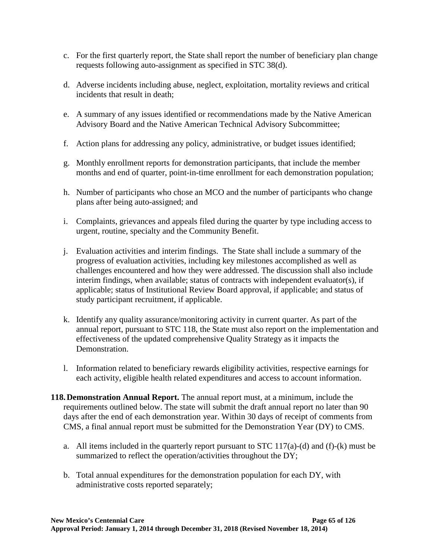- c. For the first quarterly report, the State shall report the number of beneficiary plan change requests following auto-assignment as specified in STC [38\(](#page-30-0)d).
- d. Adverse incidents including abuse, neglect, exploitation, mortality reviews and critical incidents that result in death;
- e. A summary of any issues identified or recommendations made by the Native American Advisory Board and the Native American Technical Advisory Subcommittee;
- f. Action plans for addressing any policy, administrative, or budget issues identified;
- g. Monthly enrollment reports for demonstration participants, that include the member months and end of quarter, point-in-time enrollment for each demonstration population;
- h. Number of participants who chose an MCO and the number of participants who change plans after being auto-assigned; and
- i. Complaints, grievances and appeals filed during the quarter by type including access to urgent, routine, specialty and the Community Benefit.
- j. Evaluation activities and interim findings. The State shall include a summary of the progress of evaluation activities, including key milestones accomplished as well as challenges encountered and how they were addressed. The discussion shall also include interim findings, when available; status of contracts with independent evaluator(s), if applicable; status of Institutional Review Board approval, if applicable; and status of study participant recruitment, if applicable.
- k. Identify any quality assurance/monitoring activity in current quarter. As part of the annual report, pursuant to STC [118,](#page-70-0) the State must also report on the implementation and effectiveness of the updated comprehensive Quality Strategy as it impacts the Demonstration.
- l. Information related to beneficiary rewards eligibility activities, respective earnings for each activity, eligible health related expenditures and access to account information.
- <span id="page-70-0"></span>**118.Demonstration Annual Report.** The annual report must, at a minimum, include the requirements outlined below. The state will submit the draft annual report no later than 90 days after the end of each demonstration year. Within 30 days of receipt of comments from CMS, a final annual report must be submitted for the Demonstration Year (DY) to CMS.
	- a. All items included in the quarterly report pursuant to  $STC$  [117\(](#page-69-1)a)-(d) and (f)-(k) must be summarized to reflect the operation/activities throughout the DY;
	- b. Total annual expenditures for the demonstration population for each DY, with administrative costs reported separately;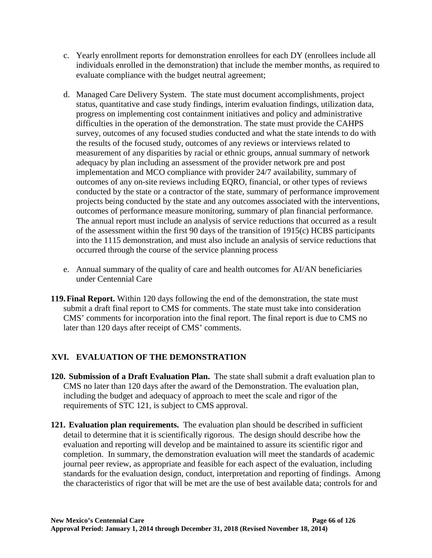- c. Yearly enrollment reports for demonstration enrollees for each DY (enrollees include all individuals enrolled in the demonstration) that include the member months, as required to evaluate compliance with the budget neutral agreement;
- d. Managed Care Delivery System. The state must document accomplishments, project status, quantitative and case study findings, interim evaluation findings, utilization data, progress on implementing cost containment initiatives and policy and administrative difficulties in the operation of the demonstration. The state must provide the CAHPS survey, outcomes of any focused studies conducted and what the state intends to do with the results of the focused study, outcomes of any reviews or interviews related to measurement of any disparities by racial or ethnic groups, annual summary of network adequacy by plan including an assessment of the provider network pre and post implementation and MCO compliance with provider 24/7 availability, summary of outcomes of any on-site reviews including EQRO, financial, or other types of reviews conducted by the state or a contractor of the state, summary of performance improvement projects being conducted by the state and any outcomes associated with the interventions, outcomes of performance measure monitoring, summary of plan financial performance. The annual report must include an analysis of service reductions that occurred as a result of the assessment within the first 90 days of the transition of 1915(c) HCBS participants into the 1115 demonstration, and must also include an analysis of service reductions that occurred through the course of the service planning process
- e. Annual summary of the quality of care and health outcomes for AI/AN beneficiaries under Centennial Care
- **119.Final Report.** Within 120 days following the end of the demonstration, the state must submit a draft final report to CMS for comments. The state must take into consideration CMS' comments for incorporation into the final report. The final report is due to CMS no later than 120 days after receipt of CMS' comments.

# **XVI. EVALUATION OF THE DEMONSTRATION**

- **120. Submission of a Draft Evaluation Plan.** The state shall submit a draft evaluation plan to CMS no later than 120 days after the award of the Demonstration. The evaluation plan, including the budget and adequacy of approach to meet the scale and rigor of the requirements of STC [121,](#page-71-0) is subject to CMS approval.
- <span id="page-71-0"></span>**121. Evaluation plan requirements.** The evaluation plan should be described in sufficient detail to determine that it is scientifically rigorous. The design should describe how the evaluation and reporting will develop and be maintained to assure its scientific rigor and completion. In summary, the demonstration evaluation will meet the standards of academic journal peer review, as appropriate and feasible for each aspect of the evaluation, including standards for the evaluation design, conduct, interpretation and reporting of findings. Among the characteristics of rigor that will be met are the use of best available data; controls for and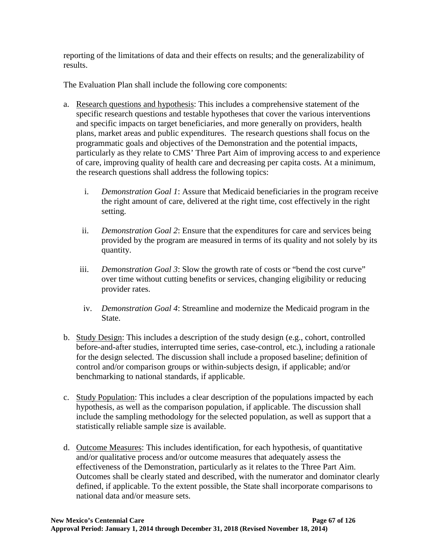reporting of the limitations of data and their effects on results; and the generalizability of results.

The Evaluation Plan shall include the following core components:

- a. Research questions and hypothesis: This includes a comprehensive statement of the specific research questions and testable hypotheses that cover the various interventions and specific impacts on target beneficiaries, and more generally on providers, health plans, market areas and public expenditures. The research questions shall focus on the programmatic goals and objectives of the Demonstration and the potential impacts, particularly as they relate to CMS' Three Part Aim of improving access to and experience of care, improving quality of health care and decreasing per capita costs. At a minimum, the research questions shall address the following topics:
	- i. *Demonstration Goal 1*: Assure that Medicaid beneficiaries in the program receive the right amount of care, delivered at the right time, cost effectively in the right setting.
	- ii. *Demonstration Goal 2*: Ensure that the expenditures for care and services being provided by the program are measured in terms of its quality and not solely by its quantity.
	- iii. *Demonstration Goal 3*: Slow the growth rate of costs or "bend the cost curve" over time without cutting benefits or services, changing eligibility or reducing provider rates.
	- iv. *Demonstration Goal 4*: Streamline and modernize the Medicaid program in the State.
- b. Study Design: This includes a description of the study design (e.g., cohort, controlled before-and-after studies, interrupted time series, case-control, etc.), including a rationale for the design selected. The discussion shall include a proposed baseline; definition of control and/or comparison groups or within-subjects design, if applicable; and/or benchmarking to national standards, if applicable.
- c. Study Population: This includes a clear description of the populations impacted by each hypothesis, as well as the comparison population, if applicable. The discussion shall include the sampling methodology for the selected population, as well as support that a statistically reliable sample size is available.
- d. Outcome Measures: This includes identification, for each hypothesis, of quantitative and/or qualitative process and/or outcome measures that adequately assess the effectiveness of the Demonstration, particularly as it relates to the Three Part Aim. Outcomes shall be clearly stated and described, with the numerator and dominator clearly defined, if applicable. To the extent possible, the State shall incorporate comparisons to national data and/or measure sets.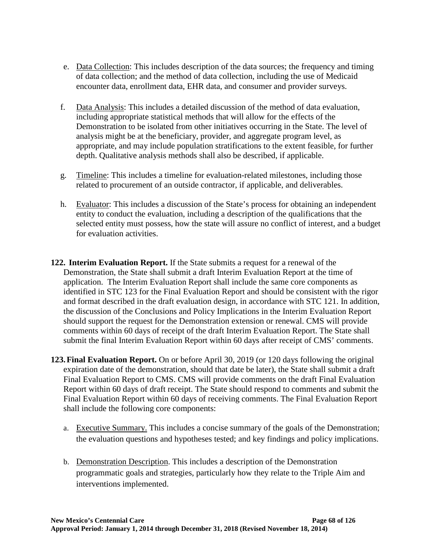- e. Data Collection: This includes description of the data sources; the frequency and timing of data collection; and the method of data collection, including the use of Medicaid encounter data, enrollment data, EHR data, and consumer and provider surveys.
- f. Data Analysis: This includes a detailed discussion of the method of data evaluation, including appropriate statistical methods that will allow for the effects of the Demonstration to be isolated from other initiatives occurring in the State. The level of analysis might be at the beneficiary, provider, and aggregate program level, as appropriate, and may include population stratifications to the extent feasible, for further depth. Qualitative analysis methods shall also be described, if applicable.
- g. Timeline: This includes a timeline for evaluation-related milestones, including those related to procurement of an outside contractor, if applicable, and deliverables.
- h. Evaluator: This includes a discussion of the State's process for obtaining an independent entity to conduct the evaluation, including a description of the qualifications that the selected entity must possess, how the state will assure no conflict of interest, and a budget for evaluation activities.
- **122. Interim Evaluation Report.** If the State submits a request for a renewal of the Demonstration, the State shall submit a draft Interim Evaluation Report at the time of application. The Interim Evaluation Report shall include the same core components as identified in STC [123](#page-73-0) for the Final Evaluation Report and should be consistent with the rigor and format described in the draft evaluation design, in accordance with STC [121.](#page-71-0) In addition, the discussion of the Conclusions and Policy Implications in the Interim Evaluation Report should support the request for the Demonstration extension or renewal. CMS will provide comments within 60 days of receipt of the draft Interim Evaluation Report. The State shall submit the final Interim Evaluation Report within 60 days after receipt of CMS' comments.
- <span id="page-73-0"></span>**123.Final Evaluation Report.** On or before April 30, 2019 (or 120 days following the original expiration date of the demonstration, should that date be later), the State shall submit a draft Final Evaluation Report to CMS. CMS will provide comments on the draft Final Evaluation Report within 60 days of draft receipt. The State should respond to comments and submit the Final Evaluation Report within 60 days of receiving comments. The Final Evaluation Report shall include the following core components:
	- a. Executive Summary. This includes a concise summary of the goals of the Demonstration; the evaluation questions and hypotheses tested; and key findings and policy implications.
	- b. Demonstration Description. This includes a description of the Demonstration programmatic goals and strategies, particularly how they relate to the Triple Aim and interventions implemented.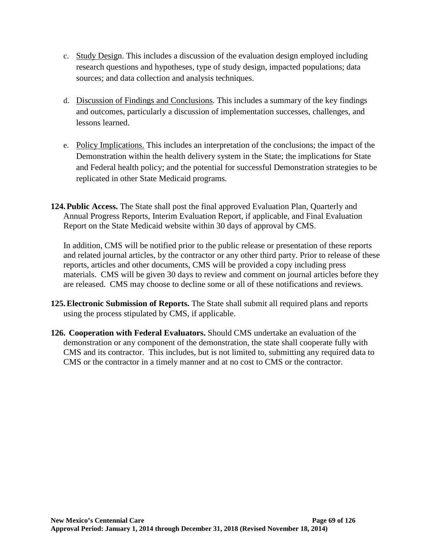- c. Study Design. This includes a discussion of the evaluation design employed including research questions and hypotheses, type of study design, impacted populations; data sources; and data collection and analysis techniques.
- d. Discussion of Findings and Conclusions. This includes a summary of the key findings and outcomes, particularly a discussion of implementation successes, challenges, and lessons learned.
- e. Policy Implications. This includes an interpretation of the conclusions; the impact of the Demonstration within the health delivery system in the State; the implications for State and Federal health policy; and the potential for successful Demonstration strategies to be replicated in other State Medicaid programs.
- **124.Public Access.** The State shall post the final approved Evaluation Plan, Quarterly and Annual Progress Reports, Interim Evaluation Report, if applicable, and Final Evaluation Report on the State Medicaid website within 30 days of approval by CMS.

In addition, CMS will be notified prior to the public release or presentation of these reports and related journal articles, by the contractor or any other third party. Prior to release of these reports, articles and other documents, CMS will be provided a copy including press materials. CMS will be given 30 days to review and comment on journal articles before they are released. CMS may choose to decline some or all of these notifications and reviews.

- **125.Electronic Submission of Reports.** The State shall submit all required plans and reports using the process stipulated by CMS, if applicable.
- **126. Cooperation with Federal Evaluators.** Should CMS undertake an evaluation of the demonstration or any component of the demonstration, the state shall cooperate fully with CMS and its contractor. This includes, but is not limited to, submitting any required data to CMS or the contractor in a timely manner and at no cost to CMS or the contractor.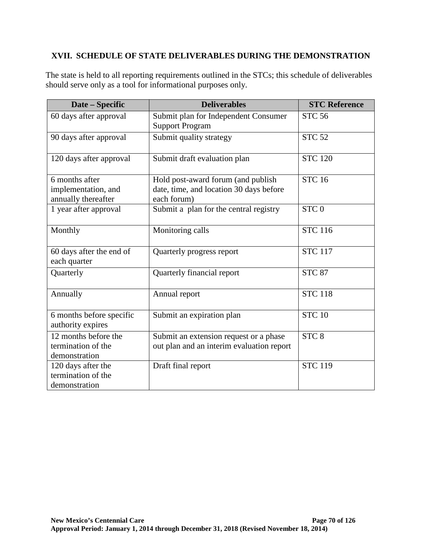## **XVII. SCHEDULE OF STATE DELIVERABLES DURING THE DEMONSTRATION**

The state is held to all reporting requirements outlined in the STCs; this schedule of deliverables should serve only as a tool for informational purposes only.

| Date - Specific                                              | <b>Deliverables</b>                                                                          | <b>STC Reference</b> |
|--------------------------------------------------------------|----------------------------------------------------------------------------------------------|----------------------|
| 60 days after approval                                       | Submit plan for Independent Consumer<br><b>Support Program</b>                               | <b>STC 56</b>        |
| 90 days after approval                                       | Submit quality strategy                                                                      | <b>STC 52</b>        |
| 120 days after approval                                      | Submit draft evaluation plan                                                                 | <b>STC 120</b>       |
| 6 months after<br>implementation, and<br>annually thereafter | Hold post-award forum (and publish<br>date, time, and location 30 days before<br>each forum) | <b>STC 16</b>        |
| 1 year after approval                                        | Submit a plan for the central registry                                                       | STC <sub>0</sub>     |
| Monthly                                                      | Monitoring calls                                                                             | <b>STC 116</b>       |
| 60 days after the end of<br>each quarter                     | Quarterly progress report                                                                    | <b>STC 117</b>       |
| Quarterly                                                    | Quarterly financial report                                                                   | <b>STC 87</b>        |
| Annually                                                     | Annual report                                                                                | <b>STC 118</b>       |
| 6 months before specific<br>authority expires                | Submit an expiration plan                                                                    | <b>STC 10</b>        |
| 12 months before the<br>termination of the<br>demonstration  | Submit an extension request or a phase<br>out plan and an interim evaluation report          | STC <sub>8</sub>     |
| 120 days after the<br>termination of the<br>demonstration    | Draft final report                                                                           | <b>STC 119</b>       |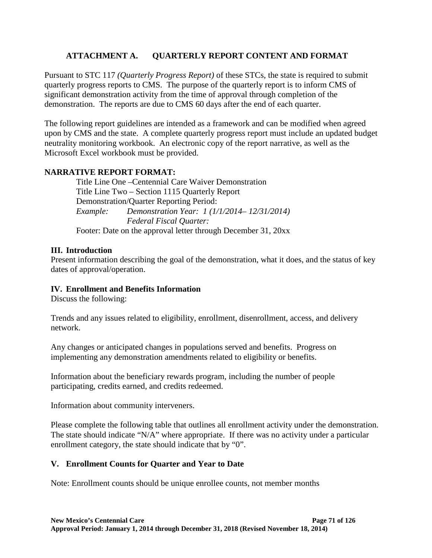## **ATTACHMENT A. QUARTERLY REPORT CONTENT AND FORMAT**

Pursuant to STC [117](#page-69-1) *(Quarterly Progress Report)* of these STCs, the state is required to submit quarterly progress reports to CMS. The purpose of the quarterly report is to inform CMS of significant demonstration activity from the time of approval through completion of the demonstration. The reports are due to CMS 60 days after the end of each quarter.

The following report guidelines are intended as a framework and can be modified when agreed upon by CMS and the state. A complete quarterly progress report must include an updated budget neutrality monitoring workbook. An electronic copy of the report narrative, as well as the Microsoft Excel workbook must be provided.

## **NARRATIVE REPORT FORMAT:**

Title Line One –Centennial Care Waiver Demonstration Title Line Two – Section 1115 Quarterly Report Demonstration/Quarter Reporting Period: *Example: Demonstration Year: 1 (1/1/2014– 12/31/2014) Federal Fiscal Quarter:*  Footer: Date on the approval letter through December 31, 20xx

## **III. Introduction**

Present information describing the goal of the demonstration, what it does, and the status of key dates of approval/operation.

## **IV. Enrollment and Benefits Information**

Discuss the following:

Trends and any issues related to eligibility, enrollment, disenrollment, access, and delivery network.

Any changes or anticipated changes in populations served and benefits. Progress on implementing any demonstration amendments related to eligibility or benefits.

Information about the beneficiary rewards program, including the number of people participating, credits earned, and credits redeemed.

Information about community interveners.

Please complete the following table that outlines all enrollment activity under the demonstration. The state should indicate "N/A" where appropriate. If there was no activity under a particular enrollment category, the state should indicate that by "0".

## **V. Enrollment Counts for Quarter and Year to Date**

Note: Enrollment counts should be unique enrollee counts, not member months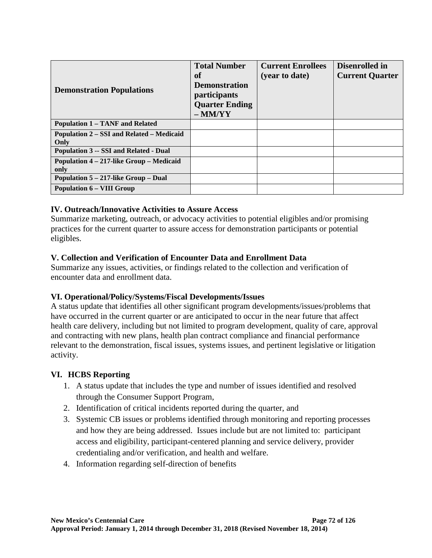| <b>Demonstration Populations</b>                  | <b>Total Number</b><br>of<br><b>Demonstration</b><br><i>participants</i><br><b>Quarter Ending</b><br>$-MM/YY$ | <b>Current Enrollees</b><br>(year to date) | Disenrolled in<br><b>Current Quarter</b> |
|---------------------------------------------------|---------------------------------------------------------------------------------------------------------------|--------------------------------------------|------------------------------------------|
| <b>Population 1 – TANF and Related</b>            |                                                                                                               |                                            |                                          |
| Population 2 – SSI and Related – Medicaid<br>Only |                                                                                                               |                                            |                                          |
| <b>Population 3 -- SSI and Related - Dual</b>     |                                                                                                               |                                            |                                          |
| Population 4 – 217-like Group – Medicaid<br>only  |                                                                                                               |                                            |                                          |
| Population 5 – 217-like Group – Dual              |                                                                                                               |                                            |                                          |
| <b>Population 6 – VIII Group</b>                  |                                                                                                               |                                            |                                          |

## **IV. Outreach/Innovative Activities to Assure Access**

Summarize marketing, outreach, or advocacy activities to potential eligibles and/or promising practices for the current quarter to assure access for demonstration participants or potential eligibles.

## **V. Collection and Verification of Encounter Data and Enrollment Data**

Summarize any issues, activities, or findings related to the collection and verification of encounter data and enrollment data.

## **VI. Operational/Policy/Systems/Fiscal Developments/Issues**

A status update that identifies all other significant program developments/issues/problems that have occurred in the current quarter or are anticipated to occur in the near future that affect health care delivery, including but not limited to program development, quality of care, approval and contracting with new plans, health plan contract compliance and financial performance relevant to the demonstration, fiscal issues, systems issues, and pertinent legislative or litigation activity.

# **VI. HCBS Reporting**

- 1. A status update that includes the type and number of issues identified and resolved through the Consumer Support Program,
- 2. Identification of critical incidents reported during the quarter, and
- 3. Systemic CB issues or problems identified through monitoring and reporting processes and how they are being addressed. Issues include but are not limited to: participant access and eligibility, participant-centered planning and service delivery, provider credentialing and/or verification, and health and welfare.
- 4. Information regarding self-direction of benefits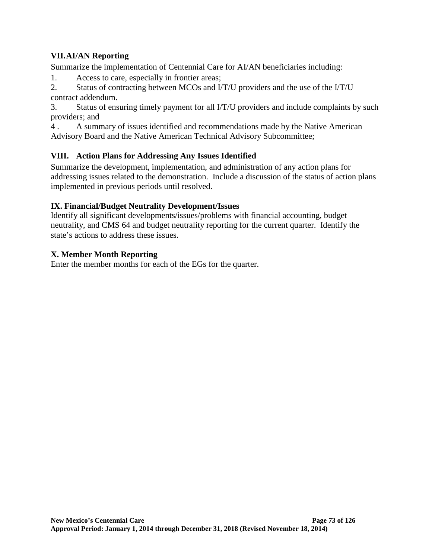## **VII.AI/AN Reporting**

Summarize the implementation of Centennial Care for AI/AN beneficiaries including:

1. Access to care, especially in frontier areas;

2. Status of contracting between MCOs and I/T/U providers and the use of the I/T/U contract addendum.

3. Status of ensuring timely payment for all I/T/U providers and include complaints by such providers; and

4 . A summary of issues identified and recommendations made by the Native American Advisory Board and the Native American Technical Advisory Subcommittee;

## **VIII. Action Plans for Addressing Any Issues Identified**

Summarize the development, implementation, and administration of any action plans for addressing issues related to the demonstration. Include a discussion of the status of action plans implemented in previous periods until resolved.

## **IX. Financial/Budget Neutrality Development/Issues**

Identify all significant developments/issues/problems with financial accounting, budget neutrality, and CMS 64 and budget neutrality reporting for the current quarter. Identify the state's actions to address these issues.

### **X. Member Month Reporting**

Enter the member months for each of the EGs for the quarter.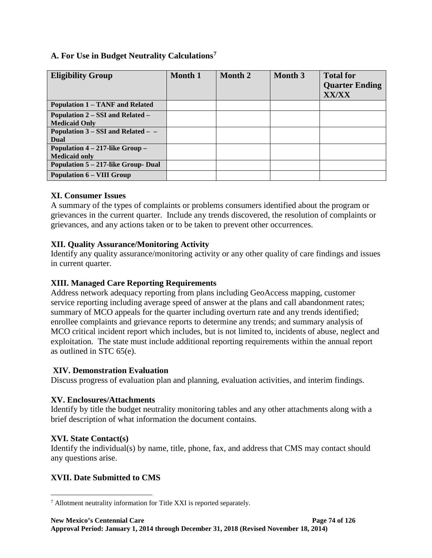## **A. For Use in Budget Neutrality Calculations[7](#page-79-0)**

| <b>Eligibility Group</b>                                     | Month 1 | Month 2 | Month 3 | <b>Total for</b><br><b>Quarter Ending</b><br><b>XX/XX</b> |
|--------------------------------------------------------------|---------|---------|---------|-----------------------------------------------------------|
| <b>Population 1 – TANF and Related</b>                       |         |         |         |                                                           |
| Population 2 – SSI and Related –<br><b>Medicaid Only</b>     |         |         |         |                                                           |
| Population $3 - SSI$ and Related $-$<br>Dual                 |         |         |         |                                                           |
| Population $4 - 217$ -like Group $-$<br><b>Medicaid only</b> |         |         |         |                                                           |
| Population 5 – 217-like Group- Dual                          |         |         |         |                                                           |
| <b>Population 6 – VIII Group</b>                             |         |         |         |                                                           |

## **XI. Consumer Issues**

A summary of the types of complaints or problems consumers identified about the program or grievances in the current quarter. Include any trends discovered, the resolution of complaints or grievances, and any actions taken or to be taken to prevent other occurrences.

## **XII. Quality Assurance/Monitoring Activity**

Identify any quality assurance/monitoring activity or any other quality of care findings and issues in current quarter.

## **XIII. Managed Care Reporting Requirements**

Address network adequacy reporting from plans including GeoAccess mapping, customer service reporting including average speed of answer at the plans and call abandonment rates; summary of MCO appeals for the quarter including overturn rate and any trends identified; enrollee complaints and grievance reports to determine any trends; and summary analysis of MCO critical incident report which includes, but is not limited to, incidents of abuse, neglect and exploitation. The state must include additional reporting requirements within the annual report as outlined in STC 65(e).

## **XIV. Demonstration Evaluation**

Discuss progress of evaluation plan and planning, evaluation activities, and interim findings.

## **XV. Enclosures/Attachments**

Identify by title the budget neutrality monitoring tables and any other attachments along with a brief description of what information the document contains.

## **XVI. State Contact(s)**

Identify the individual(s) by name, title, phone, fax, and address that CMS may contact should any questions arise.

# **XVII. Date Submitted to CMS**

<span id="page-79-0"></span><sup>7</sup> Allotment neutrality information for Title XXI is reported separately.  $\overline{a}$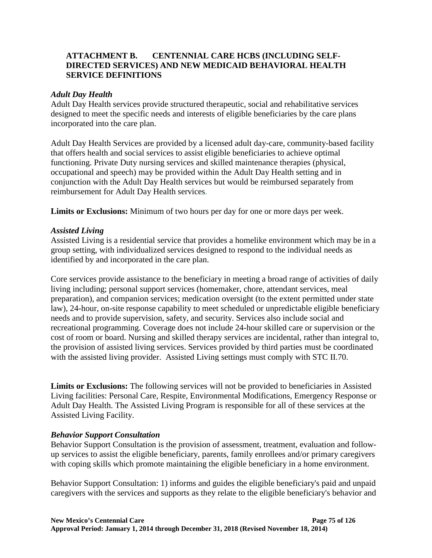## **ATTACHMENT B. CENTENNIAL CARE HCBS (INCLUDING SELF-DIRECTED SERVICES) AND NEW MEDICAID BEHAVIORAL HEALTH SERVICE DEFINITIONS**

#### *Adult Day Health*

Adult Day Health services provide structured therapeutic, social and rehabilitative services designed to meet the specific needs and interests of eligible beneficiaries by the care plans incorporated into the care plan.

Adult Day Health Services are provided by a licensed adult day-care, community-based facility that offers health and social services to assist eligible beneficiaries to achieve optimal functioning. Private Duty nursing services and skilled maintenance therapies (physical, occupational and speech) may be provided within the Adult Day Health setting and in conjunction with the Adult Day Health services but would be reimbursed separately from reimbursement for Adult Day Health services.

**Limits or Exclusions:** Minimum of two hours per day for one or more days per week.

### *Assisted Living*

Assisted Living is a residential service that provides a homelike environment which may be in a group setting, with individualized services designed to respond to the individual needs as identified by and incorporated in the care plan.

Core services provide assistance to the beneficiary in meeting a broad range of activities of daily living including; personal support services (homemaker, chore, attendant services, meal preparation), and companion services; medication oversight (to the extent permitted under state law), 24-hour, on-site response capability to meet scheduled or unpredictable eligible beneficiary needs and to provide supervision, safety, and security. Services also include social and recreational programming. Coverage does not include 24-hour skilled care or supervision or the cost of room or board. Nursing and skilled therapy services are incidental, rather than integral to, the provision of assisted living services. Services provided by third parties must be coordinated with the assisted living provider. Assisted Living settings must comply with STC [II.70.](#page-46-0)

**Limits or Exclusions:** The following services will not be provided to beneficiaries in Assisted Living facilities: Personal Care, Respite, Environmental Modifications, Emergency Response or Adult Day Health. The Assisted Living Program is responsible for all of these services at the Assisted Living Facility.

#### *Behavior Support Consultation*

Behavior Support Consultation is the provision of assessment, treatment, evaluation and followup services to assist the eligible beneficiary, parents, family enrollees and/or primary caregivers with coping skills which promote maintaining the eligible beneficiary in a home environment.

Behavior Support Consultation: 1) informs and guides the eligible beneficiary's paid and unpaid caregivers with the services and supports as they relate to the eligible beneficiary's behavior and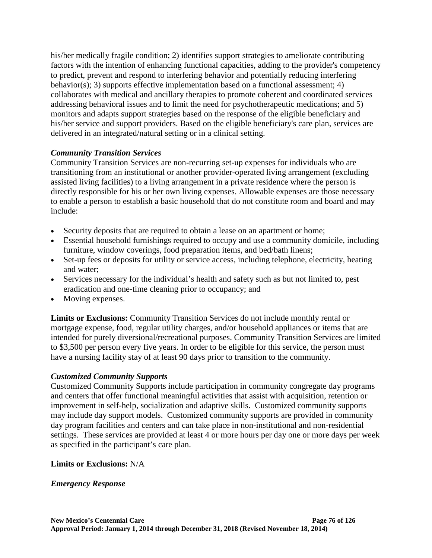his/her medically fragile condition; 2) identifies support strategies to ameliorate contributing factors with the intention of enhancing functional capacities, adding to the provider's competency to predict, prevent and respond to interfering behavior and potentially reducing interfering behavior(s); 3) supports effective implementation based on a functional assessment; 4) collaborates with medical and ancillary therapies to promote coherent and coordinated services addressing behavioral issues and to limit the need for psychotherapeutic medications; and 5) monitors and adapts support strategies based on the response of the eligible beneficiary and his/her service and support providers. Based on the eligible beneficiary's care plan, services are delivered in an integrated/natural setting or in a clinical setting.

## *Community Transition Services*

Community Transition Services are non-recurring set-up expenses for individuals who are transitioning from an institutional or another provider-operated living arrangement (excluding assisted living facilities) to a living arrangement in a private residence where the person is directly responsible for his or her own living expenses. Allowable expenses are those necessary to enable a person to establish a basic household that do not constitute room and board and may include:

- Security deposits that are required to obtain a lease on an apartment or home;
- Essential household furnishings required to occupy and use a community domicile, including furniture, window coverings, food preparation items, and bed/bath linens;
- Set-up fees or deposits for utility or service access, including telephone, electricity, heating and water;
- Services necessary for the individual's health and safety such as but not limited to, pest eradication and one-time cleaning prior to occupancy; and
- Moving expenses.

**Limits or Exclusions:** Community Transition Services do not include monthly rental or mortgage expense, food, regular utility charges, and/or household appliances or items that are intended for purely diversional/recreational purposes. Community Transition Services are limited to \$3,500 per person every five years. In order to be eligible for this service, the person must have a nursing facility stay of at least 90 days prior to transition to the community.

#### *Customized Community Supports*

Customized Community Supports include participation in community congregate day programs and centers that offer functional meaningful activities that assist with acquisition, retention or improvement in self-help, socialization and adaptive skills. Customized community supports may include day support models. Customized community supports are provided in community day program facilities and centers and can take place in non-institutional and non-residential settings. These services are provided at least 4 or more hours per day one or more days per week as specified in the participant's care plan.

#### **Limits or Exclusions:** N/A

#### *Emergency Response*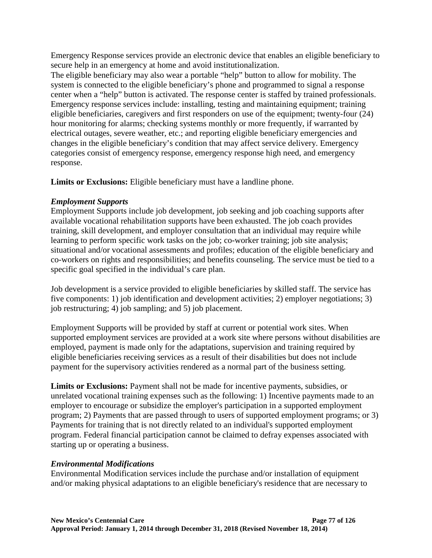Emergency Response services provide an electronic device that enables an eligible beneficiary to secure help in an emergency at home and avoid institutionalization.

The eligible beneficiary may also wear a portable "help" button to allow for mobility. The system is connected to the eligible beneficiary's phone and programmed to signal a response center when a "help" button is activated. The response center is staffed by trained professionals. Emergency response services include: installing, testing and maintaining equipment; training eligible beneficiaries, caregivers and first responders on use of the equipment; twenty-four (24) hour monitoring for alarms; checking systems monthly or more frequently, if warranted by electrical outages, severe weather, etc.; and reporting eligible beneficiary emergencies and changes in the eligible beneficiary's condition that may affect service delivery. Emergency categories consist of emergency response, emergency response high need, and emergency response.

**Limits or Exclusions:** Eligible beneficiary must have a landline phone.

## *Employment Supports*

Employment Supports include job development, job seeking and job coaching supports after available vocational rehabilitation supports have been exhausted. The job coach provides training, skill development, and employer consultation that an individual may require while learning to perform specific work tasks on the job; co-worker training; job site analysis; situational and/or vocational assessments and profiles; education of the eligible beneficiary and co-workers on rights and responsibilities; and benefits counseling. The service must be tied to a specific goal specified in the individual's care plan.

Job development is a service provided to eligible beneficiaries by skilled staff. The service has five components: 1) job identification and development activities; 2) employer negotiations; 3) job restructuring; 4) job sampling; and 5) job placement.

Employment Supports will be provided by staff at current or potential work sites. When supported employment services are provided at a work site where persons without disabilities are employed, payment is made only for the adaptations, supervision and training required by eligible beneficiaries receiving services as a result of their disabilities but does not include payment for the supervisory activities rendered as a normal part of the business setting.

**Limits or Exclusions:** Payment shall not be made for incentive payments, subsidies, or unrelated vocational training expenses such as the following: 1) Incentive payments made to an employer to encourage or subsidize the employer's participation in a supported employment program; 2) Payments that are passed through to users of supported employment programs; or 3) Payments for training that is not directly related to an individual's supported employment program. Federal financial participation cannot be claimed to defray expenses associated with starting up or operating a business.

# *Environmental Modifications*

Environmental Modification services include the purchase and/or installation of equipment and/or making physical adaptations to an eligible beneficiary's residence that are necessary to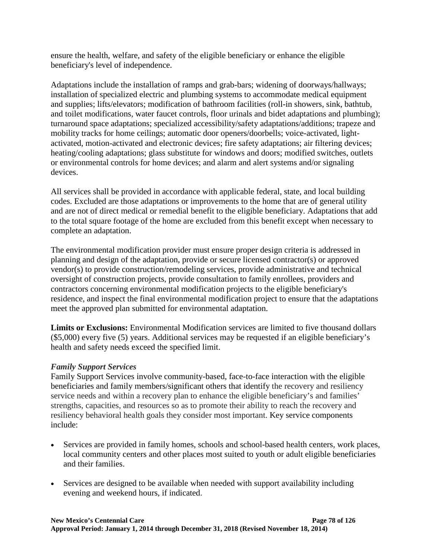ensure the health, welfare, and safety of the eligible beneficiary or enhance the eligible beneficiary's level of independence.

Adaptations include the installation of ramps and grab-bars; widening of doorways/hallways; installation of specialized electric and plumbing systems to accommodate medical equipment and supplies; lifts/elevators; modification of bathroom facilities (roll-in showers, sink, bathtub, and toilet modifications, water faucet controls, floor urinals and bidet adaptations and plumbing); turnaround space adaptations; specialized accessibility/safety adaptations/additions; trapeze and mobility tracks for home ceilings; automatic door openers/doorbells; voice-activated, lightactivated, motion-activated and electronic devices; fire safety adaptations; air filtering devices; heating/cooling adaptations; glass substitute for windows and doors; modified switches, outlets or environmental controls for home devices; and alarm and alert systems and/or signaling devices.

All services shall be provided in accordance with applicable federal, state, and local building codes. Excluded are those adaptations or improvements to the home that are of general utility and are not of direct medical or remedial benefit to the eligible beneficiary. Adaptations that add to the total square footage of the home are excluded from this benefit except when necessary to complete an adaptation.

The environmental modification provider must ensure proper design criteria is addressed in planning and design of the adaptation, provide or secure licensed contractor(s) or approved vendor(s) to provide construction/remodeling services, provide administrative and technical oversight of construction projects, provide consultation to family enrollees, providers and contractors concerning environmental modification projects to the eligible beneficiary's residence, and inspect the final environmental modification project to ensure that the adaptations meet the approved plan submitted for environmental adaptation.

**Limits or Exclusions:** Environmental Modification services are limited to five thousand dollars (\$5,000) every five (5) years. Additional services may be requested if an eligible beneficiary's health and safety needs exceed the specified limit.

## *Family Support Services*

Family Support Services involve community-based, face-to-face interaction with the eligible beneficiaries and family members/significant others that identify the recovery and resiliency service needs and within a recovery plan to enhance the eligible beneficiary's and families' strengths, capacities, and resources so as to promote their ability to reach the recovery and resiliency behavioral health goals they consider most important. Key service components include:

- Services are provided in family homes, schools and school-based health centers, work places, local community centers and other places most suited to youth or adult eligible beneficiaries and their families.
- Services are designed to be available when needed with support availability including evening and weekend hours, if indicated.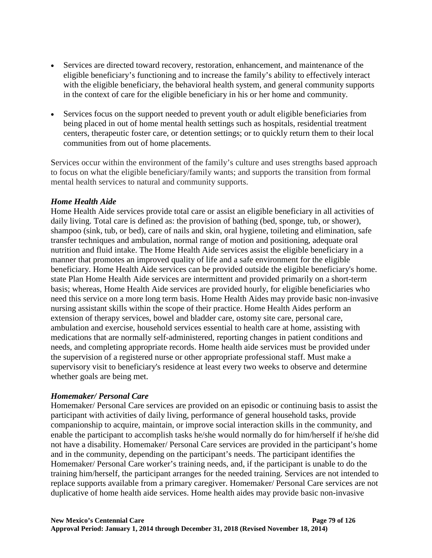- Services are directed toward recovery, restoration, enhancement, and maintenance of the eligible beneficiary's functioning and to increase the family's ability to effectively interact with the eligible beneficiary, the behavioral health system, and general community supports in the context of care for the eligible beneficiary in his or her home and community.
- Services focus on the support needed to prevent youth or adult eligible beneficiaries from being placed in out of home mental health settings such as hospitals, residential treatment centers, therapeutic foster care, or detention settings; or to quickly return them to their local communities from out of home placements.

Services occur within the environment of the family's culture and uses strengths based approach to focus on what the eligible beneficiary/family wants; and supports the transition from formal mental health services to natural and community supports.

### *Home Health Aide*

Home Health Aide services provide total care or assist an eligible beneficiary in all activities of daily living. Total care is defined as: the provision of bathing (bed, sponge, tub, or shower), shampoo (sink, tub, or bed), care of nails and skin, oral hygiene, toileting and elimination, safe transfer techniques and ambulation, normal range of motion and positioning, adequate oral nutrition and fluid intake. The Home Health Aide services assist the eligible beneficiary in a manner that promotes an improved quality of life and a safe environment for the eligible beneficiary. Home Health Aide services can be provided outside the eligible beneficiary's home. state Plan Home Health Aide services are intermittent and provided primarily on a short-term basis; whereas, Home Health Aide services are provided hourly, for eligible beneficiaries who need this service on a more long term basis. Home Health Aides may provide basic non-invasive nursing assistant skills within the scope of their practice. Home Health Aides perform an extension of therapy services, bowel and bladder care, ostomy site care, personal care, ambulation and exercise, household services essential to health care at home, assisting with medications that are normally self-administered, reporting changes in patient conditions and needs, and completing appropriate records. Home health aide services must be provided under the supervision of a registered nurse or other appropriate professional staff. Must make a supervisory visit to beneficiary's residence at least every two weeks to observe and determine whether goals are being met.

#### *Homemaker/ Personal Care*

Homemaker/ Personal Care services are provided on an episodic or continuing basis to assist the participant with activities of daily living, performance of general household tasks, provide companionship to acquire, maintain, or improve social interaction skills in the community, and enable the participant to accomplish tasks he/she would normally do for him/herself if he/she did not have a disability. Homemaker/ Personal Care services are provided in the participant's home and in the community, depending on the participant's needs. The participant identifies the Homemaker/ Personal Care worker's training needs, and, if the participant is unable to do the training him/herself, the participant arranges for the needed training. Services are not intended to replace supports available from a primary caregiver. Homemaker/ Personal Care services are not duplicative of home health aide services. Home health aides may provide basic non-invasive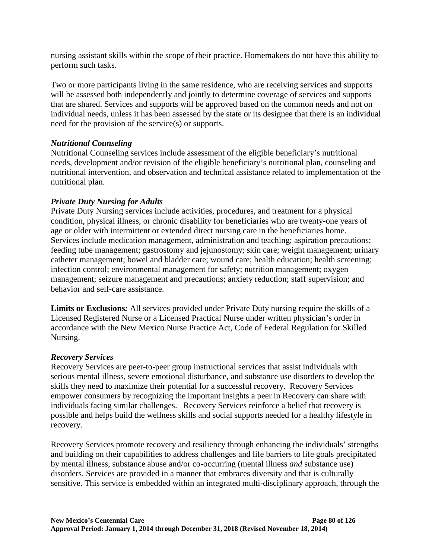nursing assistant skills within the scope of their practice. Homemakers do not have this ability to perform such tasks.

Two or more participants living in the same residence, who are receiving services and supports will be assessed both independently and jointly to determine coverage of services and supports that are shared. Services and supports will be approved based on the common needs and not on individual needs, unless it has been assessed by the state or its designee that there is an individual need for the provision of the service(s) or supports.

### *Nutritional Counseling*

Nutritional Counseling services include assessment of the eligible beneficiary's nutritional needs, development and/or revision of the eligible beneficiary's nutritional plan, counseling and nutritional intervention, and observation and technical assistance related to implementation of the nutritional plan.

### *Private Duty Nursing for Adults*

Private Duty Nursing services include activities, procedures, and treatment for a physical condition, physical illness, or chronic disability for beneficiaries who are twenty-one years of age or older with intermittent or extended direct nursing care in the beneficiaries home. Services include medication management, administration and teaching; aspiration precautions; feeding tube management; gastrostomy and jejunostomy; skin care; weight management; urinary catheter management; bowel and bladder care; wound care; health education; health screening; infection control; environmental management for safety; nutrition management; oxygen management; seizure management and precautions; anxiety reduction; staff supervision; and behavior and self-care assistance.

**Limits or Exclusions***:* All services provided under Private Duty nursing require the skills of a Licensed Registered Nurse or a Licensed Practical Nurse under written physician's order in accordance with the New Mexico Nurse Practice Act, Code of Federal Regulation for Skilled Nursing.

#### *Recovery Services*

Recovery Services are peer-to-peer group instructional services that assist individuals with serious mental illness, severe emotional disturbance, and substance use disorders to develop the skills they need to maximize their potential for a successful recovery. Recovery Services empower consumers by recognizing the important insights a peer in Recovery can share with individuals facing similar challenges. Recovery Services reinforce a belief that recovery is possible and helps build the wellness skills and social supports needed for a healthy lifestyle in recovery.

Recovery Services promote recovery and resiliency through enhancing the individuals' strengths and building on their capabilities to address challenges and life barriers to life goals precipitated by mental illness, substance abuse and/or co-occurring (mental illness *and* substance use) disorders. Services are provided in a manner that embraces diversity and that is culturally sensitive. This service is embedded within an integrated multi-disciplinary approach, through the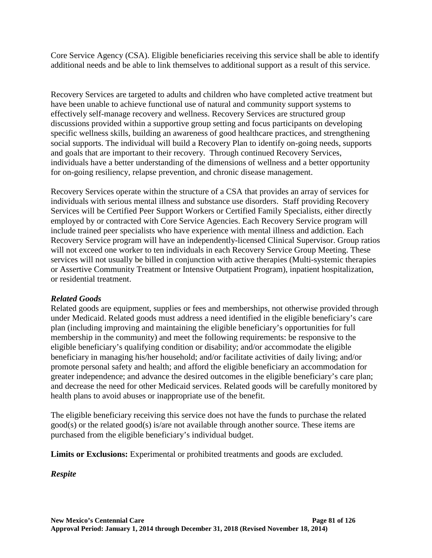Core Service Agency (CSA). Eligible beneficiaries receiving this service shall be able to identify additional needs and be able to link themselves to additional support as a result of this service.

Recovery Services are targeted to adults and children who have completed active treatment but have been unable to achieve functional use of natural and community support systems to effectively self-manage recovery and wellness. Recovery Services are structured group discussions provided within a supportive group setting and focus participants on developing specific wellness skills, building an awareness of good healthcare practices, and strengthening social supports. The individual will build a Recovery Plan to identify on-going needs, supports and goals that are important to their recovery. Through continued Recovery Services, individuals have a better understanding of the dimensions of wellness and a better opportunity for on-going resiliency, relapse prevention, and chronic disease management.

Recovery Services operate within the structure of a CSA that provides an array of services for individuals with serious mental illness and substance use disorders. Staff providing Recovery Services will be Certified Peer Support Workers or Certified Family Specialists, either directly employed by or contracted with Core Service Agencies. Each Recovery Service program will include trained peer specialists who have experience with mental illness and addiction. Each Recovery Service program will have an independently-licensed Clinical Supervisor. Group ratios will not exceed one worker to ten individuals in each Recovery Service Group Meeting. These services will not usually be billed in conjunction with active therapies (Multi-systemic therapies or Assertive Community Treatment or Intensive Outpatient Program), inpatient hospitalization, or residential treatment.

## *Related Goods*

Related goods are equipment, supplies or fees and memberships, not otherwise provided through under Medicaid. Related goods must address a need identified in the eligible beneficiary's care plan (including improving and maintaining the eligible beneficiary's opportunities for full membership in the community) and meet the following requirements: be responsive to the eligible beneficiary's qualifying condition or disability; and/or accommodate the eligible beneficiary in managing his/her household; and/or facilitate activities of daily living; and/or promote personal safety and health; and afford the eligible beneficiary an accommodation for greater independence; and advance the desired outcomes in the eligible beneficiary's care plan; and decrease the need for other Medicaid services. Related goods will be carefully monitored by health plans to avoid abuses or inappropriate use of the benefit.

The eligible beneficiary receiving this service does not have the funds to purchase the related good(s) or the related good(s) is/are not available through another source. These items are purchased from the eligible beneficiary's individual budget.

**Limits or Exclusions:** Experimental or prohibited treatments and goods are excluded.

*Respite*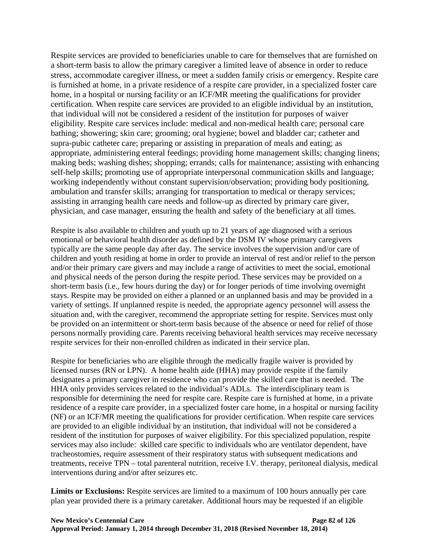Respite services are provided to beneficiaries unable to care for themselves that are furnished on a short-term basis to allow the primary caregiver a limited leave of absence in order to reduce stress, accommodate caregiver illness, or meet a sudden family crisis or emergency. Respite care is furnished at home, in a private residence of a respite care provider, in a specialized foster care home, in a hospital or nursing facility or an ICF/MR meeting the qualifications for provider certification. When respite care services are provided to an eligible individual by an institution, that individual will not be considered a resident of the institution for purposes of waiver eligibility. Respite care services include: medical and non-medical health care; personal care bathing; showering; skin care; grooming; oral hygiene; bowel and bladder car; catheter and supra-pubic catheter care; preparing or assisting in preparation of meals and eating; as appropriate, administering enteral feedings; providing home management skills; changing linens; making beds; washing dishes; shopping; errands; calls for maintenance; assisting with enhancing self-help skills; promoting use of appropriate interpersonal communication skills and language; working independently without constant supervision/observation; providing body positioning, ambulation and transfer skills; arranging for transportation to medical or therapy services; assisting in arranging health care needs and follow-up as directed by primary care giver, physician, and case manager, ensuring the health and safety of the beneficiary at all times.

Respite is also available to children and youth up to 21 years of age diagnosed with a serious emotional or behavioral health disorder as defined by the DSM IV whose primary caregivers typically are the same people day after day. The service involves the supervision and/or care of children and youth residing at home in order to provide an interval of rest and/or relief to the person and/or their primary care givers and may include a range of activities to meet the social, emotional and physical needs of the person during the respite period. These services may be provided on a short-term basis (i.e., few hours during the day) or for longer periods of time involving overnight stays. Respite may be provided on either a planned or an unplanned basis and may be provided in a variety of settings. If unplanned respite is needed, the appropriate agency personnel will assess the situation and, with the caregiver, recommend the appropriate setting for respite. Services must only be provided on an intermittent or short-term basis because of the absence or need for relief of those persons normally providing care. Parents receiving behavioral health services may receive necessary respite services for their non-enrolled children as indicated in their service plan.

Respite for beneficiaries who are eligible through the medically fragile waiver is provided by licensed nurses (RN or LPN). A home health aide (HHA) may provide respite if the family designates a primary caregiver in residence who can provide the skilled care that is needed. The HHA only provides services related to the individual's ADLs. The interdisciplinary team is responsible for determining the need for respite care. Respite care is furnished at home, in a private residence of a respite care provider, in a specialized foster care home, in a hospital or nursing facility (NF) or an ICF/MR meeting the qualifications for provider certification. When respite care services are provided to an eligible individual by an institution, that individual will not be considered a resident of the institution for purposes of waiver eligibility. For this specialized population, respite services may also include: skilled care specific to individuals who are ventilator dependent, have tracheostomies, require assessment of their respiratory status with subsequent medications and treatments, receive TPN – total parenteral nutrition, receive I.V. therapy, peritoneal dialysis, medical interventions during and/or after seizures etc.

**Limits or Exclusions:** Respite services are limited to a maximum of 100 hours annually per care plan year provided there is a primary caretaker. Additional hours may be requested if an eligible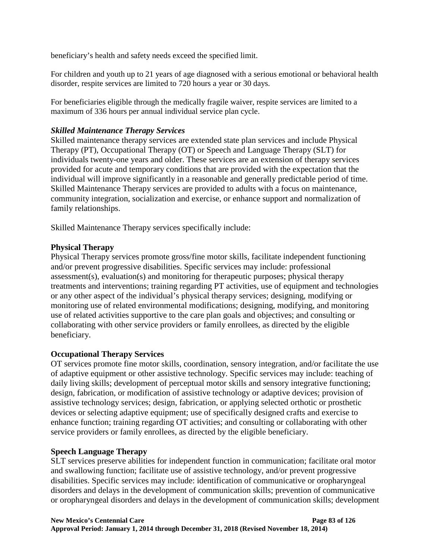beneficiary's health and safety needs exceed the specified limit.

For children and youth up to 21 years of age diagnosed with a serious emotional or behavioral health disorder, respite services are limited to 720 hours a year or 30 days.

For beneficiaries eligible through the medically fragile waiver, respite services are limited to a maximum of 336 hours per annual individual service plan cycle.

## *Skilled Maintenance Therapy Services*

Skilled maintenance therapy services are extended state plan services and include Physical Therapy (PT), Occupational Therapy (OT) or Speech and Language Therapy (SLT) for individuals twenty-one years and older. These services are an extension of therapy services provided for acute and temporary conditions that are provided with the expectation that the individual will improve significantly in a reasonable and generally predictable period of time. Skilled Maintenance Therapy services are provided to adults with a focus on maintenance, community integration, socialization and exercise, or enhance support and normalization of family relationships.

Skilled Maintenance Therapy services specifically include:

## **Physical Therapy**

Physical Therapy services promote gross/fine motor skills, facilitate independent functioning and/or prevent progressive disabilities. Specific services may include: professional assessment(s), evaluation(s) and monitoring for therapeutic purposes; physical therapy treatments and interventions; training regarding PT activities, use of equipment and technologies or any other aspect of the individual's physical therapy services; designing, modifying or monitoring use of related environmental modifications; designing, modifying, and monitoring use of related activities supportive to the care plan goals and objectives; and consulting or collaborating with other service providers or family enrollees, as directed by the eligible beneficiary.

## **Occupational Therapy Services**

OT services promote fine motor skills, coordination, sensory integration, and/or facilitate the use of adaptive equipment or other assistive technology. Specific services may include: teaching of daily living skills; development of perceptual motor skills and sensory integrative functioning; design, fabrication, or modification of assistive technology or adaptive devices; provision of assistive technology services; design, fabrication, or applying selected orthotic or prosthetic devices or selecting adaptive equipment; use of specifically designed crafts and exercise to enhance function; training regarding OT activities; and consulting or collaborating with other service providers or family enrollees, as directed by the eligible beneficiary.

## **Speech Language Therapy**

SLT services preserve abilities for independent function in communication; facilitate oral motor and swallowing function; facilitate use of assistive technology, and/or prevent progressive disabilities. Specific services may include: identification of communicative or oropharyngeal disorders and delays in the development of communication skills; prevention of communicative or oropharyngeal disorders and delays in the development of communication skills; development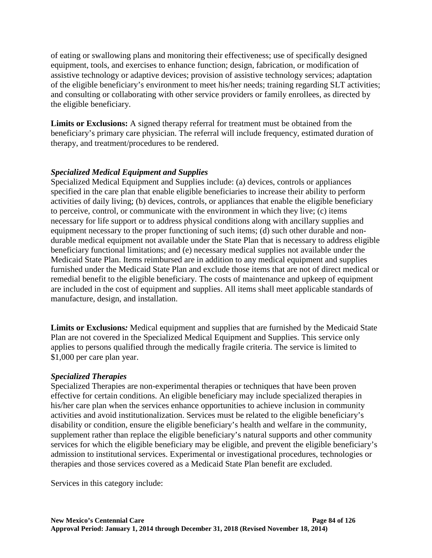of eating or swallowing plans and monitoring their effectiveness; use of specifically designed equipment, tools, and exercises to enhance function; design, fabrication, or modification of assistive technology or adaptive devices; provision of assistive technology services; adaptation of the eligible beneficiary's environment to meet his/her needs; training regarding SLT activities; and consulting or collaborating with other service providers or family enrollees, as directed by the eligible beneficiary.

**Limits or Exclusions:** A signed therapy referral for treatment must be obtained from the beneficiary's primary care physician. The referral will include frequency, estimated duration of therapy, and treatment/procedures to be rendered.

## *Specialized Medical Equipment and Supplies*

Specialized Medical Equipment and Supplies include: (a) devices, controls or appliances specified in the care plan that enable eligible beneficiaries to increase their ability to perform activities of daily living; (b) devices, controls, or appliances that enable the eligible beneficiary to perceive, control, or communicate with the environment in which they live; (c) items necessary for life support or to address physical conditions along with ancillary supplies and equipment necessary to the proper functioning of such items; (d) such other durable and nondurable medical equipment not available under the State Plan that is necessary to address eligible beneficiary functional limitations; and (e) necessary medical supplies not available under the Medicaid State Plan. Items reimbursed are in addition to any medical equipment and supplies furnished under the Medicaid State Plan and exclude those items that are not of direct medical or remedial benefit to the eligible beneficiary. The costs of maintenance and upkeep of equipment are included in the cost of equipment and supplies. All items shall meet applicable standards of manufacture, design, and installation.

**Limits or Exclusions***:* Medical equipment and supplies that are furnished by the Medicaid State Plan are not covered in the Specialized Medical Equipment and Supplies. This service only applies to persons qualified through the medically fragile criteria. The service is limited to \$1,000 per care plan year.

## *Specialized Therapies*

Specialized Therapies are non-experimental therapies or techniques that have been proven effective for certain conditions. An eligible beneficiary may include specialized therapies in his/her care plan when the services enhance opportunities to achieve inclusion in community activities and avoid institutionalization. Services must be related to the eligible beneficiary's disability or condition, ensure the eligible beneficiary's health and welfare in the community, supplement rather than replace the eligible beneficiary's natural supports and other community services for which the eligible beneficiary may be eligible, and prevent the eligible beneficiary's admission to institutional services. Experimental or investigational procedures, technologies or therapies and those services covered as a Medicaid State Plan benefit are excluded.

Services in this category include: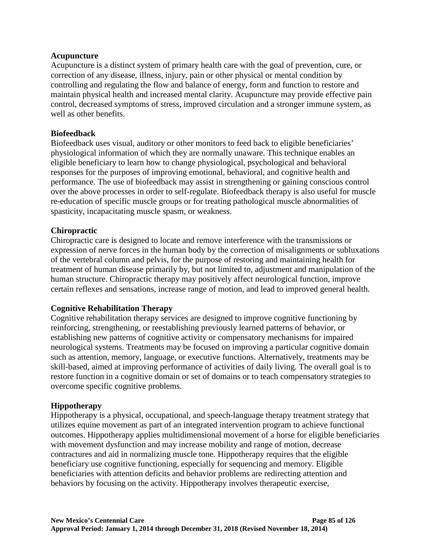#### **Acupuncture**

Acupuncture is a distinct system of primary health care with the goal of prevention, cure, or correction of any disease, illness, injury, pain or other physical or mental condition by controlling and regulating the flow and balance of energy, form and function to restore and maintain physical health and increased mental clarity. Acupuncture may provide effective pain control, decreased symptoms of stress, improved circulation and a stronger immune system, as well as other benefits.

#### **Biofeedback**

Biofeedback uses visual, auditory or other monitors to feed back to eligible beneficiaries' physiological information of which they are normally unaware. This technique enables an eligible beneficiary to learn how to change physiological, psychological and behavioral responses for the purposes of improving emotional, behavioral, and cognitive health and performance. The use of biofeedback may assist in strengthening or gaining conscious control over the above processes in order to self-regulate. Biofeedback therapy is also useful for muscle re-education of specific muscle groups or for treating pathological muscle abnormalities of spasticity, incapacitating muscle spasm, or weakness.

### **Chiropractic**

Chiropractic care is designed to locate and remove interference with the transmissions or expression of nerve forces in the human body by the correction of misalignments or subluxations of the vertebral column and pelvis, for the purpose of restoring and maintaining health for treatment of human disease primarily by, but not limited to, adjustment and manipulation of the human structure. Chiropractic therapy may positively affect neurological function, improve certain reflexes and sensations, increase range of motion, and lead to improved general health.

#### **Cognitive Rehabilitation Therapy**

Cognitive rehabilitation therapy services are designed to improve cognitive functioning by reinforcing, strengthening, or reestablishing previously learned patterns of behavior, or establishing new patterns of cognitive activity or compensatory mechanisms for impaired neurological systems. Treatments may be focused on improving a particular cognitive domain such as attention, memory, language, or executive functions. Alternatively, treatments may be skill-based, aimed at improving performance of activities of daily living. The overall goal is to restore function in a cognitive domain or set of domains or to teach compensatory strategies to overcome specific cognitive problems.

## **Hippotherapy**

Hippotherapy is a physical, occupational, and speech-language therapy treatment strategy that utilizes equine movement as part of an integrated intervention program to achieve functional outcomes. Hippotherapy applies multidimensional movement of a horse for eligible beneficiaries with movement dysfunction and may increase mobility and range of motion, decrease contractures and aid in normalizing muscle tone. Hippotherapy requires that the eligible beneficiary use cognitive functioning, especially for sequencing and memory. Eligible beneficiaries with attention deficits and behavior problems are redirecting attention and behaviors by focusing on the activity. Hippotherapy involves therapeutic exercise,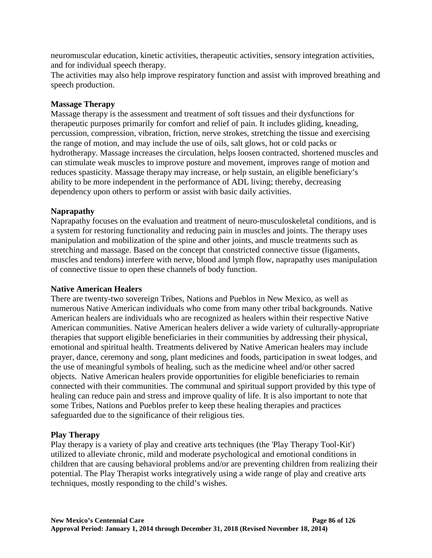neuromuscular education, kinetic activities, therapeutic activities, sensory integration activities, and for individual speech therapy.

The activities may also help improve respiratory function and assist with improved breathing and speech production.

### **Massage Therapy**

Massage therapy is the assessment and treatment of soft tissues and their dysfunctions for therapeutic purposes primarily for comfort and relief of pain. It includes gliding, kneading, percussion, compression, vibration, friction, nerve strokes, stretching the tissue and exercising the range of motion, and may include the use of oils, salt glows, hot or cold packs or hydrotherapy. Massage increases the circulation, helps loosen contracted, shortened muscles and can stimulate weak muscles to improve posture and movement, improves range of motion and reduces spasticity. Massage therapy may increase, or help sustain, an eligible beneficiary's ability to be more independent in the performance of ADL living; thereby, decreasing dependency upon others to perform or assist with basic daily activities.

### **Naprapathy**

Naprapathy focuses on the evaluation and treatment of neuro-musculoskeletal conditions, and is a system for restoring functionality and reducing pain in muscles and joints. The therapy uses manipulation and mobilization of the spine and other joints, and muscle treatments such as stretching and massage. Based on the concept that constricted connective tissue (ligaments, muscles and tendons) interfere with nerve, blood and lymph flow, naprapathy uses manipulation of connective tissue to open these channels of body function.

#### **Native American Healers**

There are twenty-two sovereign Tribes, Nations and Pueblos in New Mexico, as well as numerous Native American individuals who come from many other tribal backgrounds. Native American healers are individuals who are recognized as healers within their respective Native American communities. Native American healers deliver a wide variety of culturally-appropriate therapies that support eligible beneficiaries in their communities by addressing their physical, emotional and spiritual health. Treatments delivered by Native American healers may include prayer, dance, ceremony and song, plant medicines and foods, participation in sweat lodges, and the use of meaningful symbols of healing, such as the medicine wheel and/or other sacred objects. Native American healers provide opportunities for eligible beneficiaries to remain connected with their communities. The communal and spiritual support provided by this type of healing can reduce pain and stress and improve quality of life. It is also important to note that some Tribes, Nations and Pueblos prefer to keep these healing therapies and practices safeguarded due to the significance of their religious ties.

## **Play Therapy**

Play therapy is a variety of play and creative arts techniques (the 'Play Therapy Tool-Kit') utilized to alleviate chronic, mild and moderate psychological and emotional conditions in children that are causing behavioral problems and/or are preventing children from realizing their potential. The Play Therapist works integratively using a wide range of play and creative arts techniques, mostly responding to the child's wishes.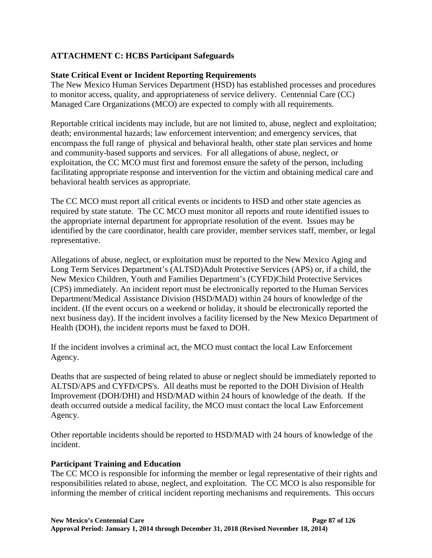## **ATTACHMENT C: HCBS Participant Safeguards**

### **State Critical Event or Incident Reporting Requirements**

The New Mexico Human Services Department (HSD) has established processes and procedures to monitor access, quality, and appropriateness of service delivery. Centennial Care (CC) Managed Care Organizations (MCO) are expected to comply with all requirements.

Reportable critical incidents may include, but are not limited to, abuse, neglect and exploitation; death; environmental hazards; law enforcement intervention; and emergency services, that encompass the full range of physical and behavioral health, other state plan services and home and community-based supports and services. For all allegations of abuse, neglect, or exploitation, the CC MCO must first and foremost ensure the safety of the person, including facilitating appropriate response and intervention for the victim and obtaining medical care and behavioral health services as appropriate.

The CC MCO must report all critical events or incidents to HSD and other state agencies as required by state statute. The CC MCO must monitor all reports and route identified issues to the appropriate internal department for appropriate resolution of the event. Issues may be identified by the care coordinator, health care provider, member services staff, member, or legal representative.

Allegations of abuse, neglect, or exploitation must be reported to the New Mexico Aging and Long Term Services Department's (ALTSD)Adult Protective Services (APS) or, if a child, the New Mexico Children, Youth and Families Department's (CYFD)Child Protective Services (CPS) immediately. An incident report must be electronically reported to the Human Services Department/Medical Assistance Division (HSD/MAD) within 24 hours of knowledge of the incident. (If the event occurs on a weekend or holiday, it should be electronically reported the next business day). If the incident involves a facility licensed by the New Mexico Department of Health (DOH), the incident reports must be faxed to DOH.

If the incident involves a criminal act, the MCO must contact the local Law Enforcement Agency.

Deaths that are suspected of being related to abuse or neglect should be immediately reported to ALTSD/APS and CYFD/CPS's. All deaths must be reported to the DOH Division of Health Improvement (DOH/DHI) and HSD/MAD within 24 hours of knowledge of the death. If the death occurred outside a medical facility, the MCO must contact the local Law Enforcement Agency.

Other reportable incidents should be reported to HSD/MAD with 24 hours of knowledge of the incident.

#### **Participant Training and Education**

The CC MCO is responsible for informing the member or legal representative of their rights and responsibilities related to abuse, neglect, and exploitation. The CC MCO is also responsible for informing the member of critical incident reporting mechanisms and requirements. This occurs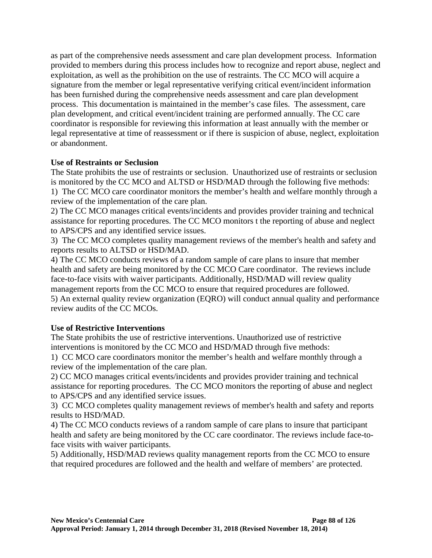as part of the comprehensive needs assessment and care plan development process. Information provided to members during this process includes how to recognize and report abuse, neglect and exploitation, as well as the prohibition on the use of restraints. The CC MCO will acquire a signature from the member or legal representative verifying critical event/incident information has been furnished during the comprehensive needs assessment and care plan development process. This documentation is maintained in the member's case files. The assessment, care plan development, and critical event/incident training are performed annually. The CC care coordinator is responsible for reviewing this information at least annually with the member or legal representative at time of reassessment or if there is suspicion of abuse, neglect, exploitation or abandonment.

## **Use of Restraints or Seclusion**

The State prohibits the use of restraints or seclusion. Unauthorized use of restraints or seclusion is monitored by the CC MCO and ALTSD or HSD/MAD through the following five methods: 1) The CC MCO care coordinator monitors the member's health and welfare monthly through a review of the implementation of the care plan.

2) The CC MCO manages critical events/incidents and provides provider training and technical assistance for reporting procedures. The CC MCO monitors t the reporting of abuse and neglect to APS/CPS and any identified service issues.

3) The CC MCO completes quality management reviews of the member's health and safety and reports results to ALTSD or HSD/MAD.

4) The CC MCO conducts reviews of a random sample of care plans to insure that member health and safety are being monitored by the CC MCO Care coordinator. The reviews include face-to-face visits with waiver participants. Additionally, HSD/MAD will review quality management reports from the CC MCO to ensure that required procedures are followed. 5) An external quality review organization (EQRO) will conduct annual quality and performance review audits of the CC MCOs.

## **Use of Restrictive Interventions**

The State prohibits the use of restrictive interventions. Unauthorized use of restrictive interventions is monitored by the CC MCO and HSD/MAD through five methods:

1) CC MCO care coordinators monitor the member's health and welfare monthly through a review of the implementation of the care plan.

2) CC MCO manages critical events/incidents and provides provider training and technical assistance for reporting procedures. The CC MCO monitors the reporting of abuse and neglect to APS/CPS and any identified service issues.

3) CC MCO completes quality management reviews of member's health and safety and reports results to HSD/MAD.

4) The CC MCO conducts reviews of a random sample of care plans to insure that participant health and safety are being monitored by the CC care coordinator. The reviews include face-toface visits with waiver participants.

5) Additionally, HSD/MAD reviews quality management reports from the CC MCO to ensure that required procedures are followed and the health and welfare of members' are protected.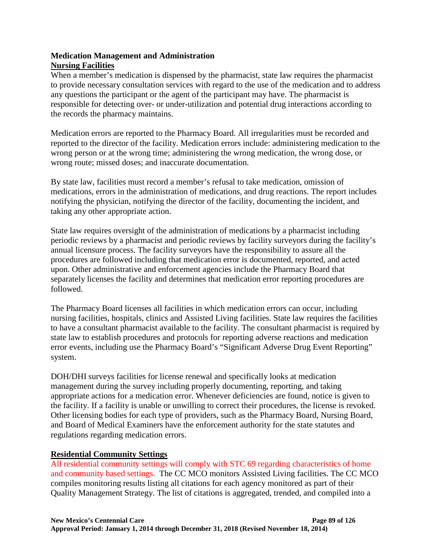## **Medication Management and Administration Nursing Facilities**

When a member's medication is dispensed by the pharmacist, state law requires the pharmacist to provide necessary consultation services with regard to the use of the medication and to address any questions the participant or the agent of the participant may have. The pharmacist is responsible for detecting over- or under-utilization and potential drug interactions according to the records the pharmacy maintains.

Medication errors are reported to the Pharmacy Board. All irregularities must be recorded and reported to the director of the facility. Medication errors include: administering medication to the wrong person or at the wrong time; administering the wrong medication, the wrong dose, or wrong route; missed doses; and inaccurate documentation.

By state law, facilities must record a member's refusal to take medication, omission of medications, errors in the administration of medications, and drug reactions. The report includes notifying the physician, notifying the director of the facility, documenting the incident, and taking any other appropriate action.

State law requires oversight of the administration of medications by a pharmacist including periodic reviews by a pharmacist and periodic reviews by facility surveyors during the facility's annual licensure process. The facility surveyors have the responsibility to assure all the procedures are followed including that medication error is documented, reported, and acted upon. Other administrative and enforcement agencies include the Pharmacy Board that separately licenses the facility and determines that medication error reporting procedures are followed.

The Pharmacy Board licenses all facilities in which medication errors can occur, including nursing facilities, hospitals, clinics and Assisted Living facilities. State law requires the facilities to have a consultant pharmacist available to the facility. The consultant pharmacist is required by state law to establish procedures and protocols for reporting adverse reactions and medication error events, including use the Pharmacy Board's "Significant Adverse Drug Event Reporting" system.

DOH/DHI surveys facilities for license renewal and specifically looks at medication management during the survey including properly documenting, reporting, and taking appropriate actions for a medication error. Whenever deficiencies are found, notice is given to the facility. If a facility is unable or unwilling to correct their procedures, the license is revoked. Other licensing bodies for each type of providers, such as the Pharmacy Board, Nursing Board, and Board of Medical Examiners have the enforcement authority for the state statutes and regulations regarding medication errors.

## **Residential Community Settings**

All residential community settings will comply with STC 69 regarding characteristics of home and community based settings. The CC MCO monitors Assisted Living facilities. The CC MCO compiles monitoring results listing all citations for each agency monitored as part of their Quality Management Strategy. The list of citations is aggregated, trended, and compiled into a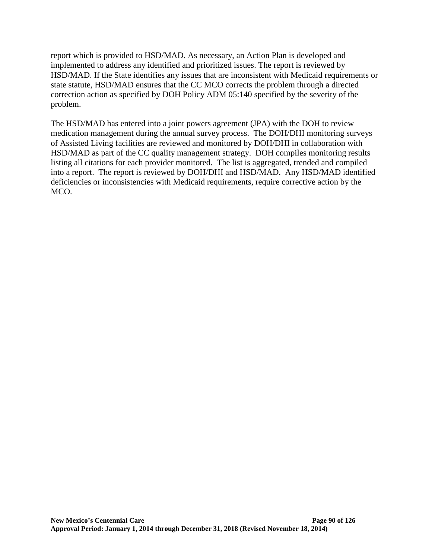report which is provided to HSD/MAD. As necessary, an Action Plan is developed and implemented to address any identified and prioritized issues. The report is reviewed by HSD/MAD. If the State identifies any issues that are inconsistent with Medicaid requirements or state statute, HSD/MAD ensures that the CC MCO corrects the problem through a directed correction action as specified by DOH Policy ADM 05:140 specified by the severity of the problem.

The HSD/MAD has entered into a joint powers agreement (JPA) with the DOH to review medication management during the annual survey process. The DOH/DHI monitoring surveys of Assisted Living facilities are reviewed and monitored by DOH/DHI in collaboration with HSD/MAD as part of the CC quality management strategy. DOH compiles monitoring results listing all citations for each provider monitored. The list is aggregated, trended and compiled into a report. The report is reviewed by DOH/DHI and HSD/MAD. Any HSD/MAD identified deficiencies or inconsistencies with Medicaid requirements, require corrective action by the MCO.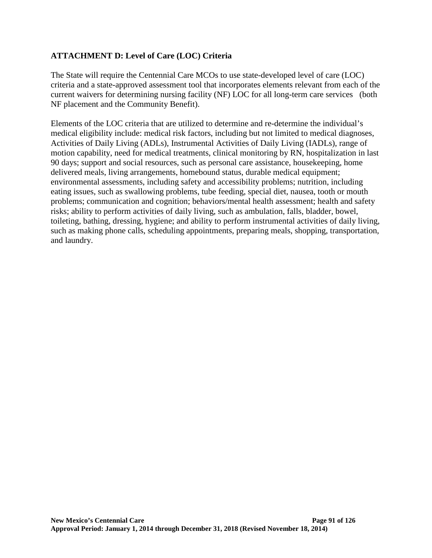# **ATTACHMENT D: Level of Care (LOC) Criteria**

The State will require the Centennial Care MCOs to use state-developed level of care (LOC) criteria and a state-approved assessment tool that incorporates elements relevant from each of the current waivers for determining nursing facility (NF) LOC for all long-term care services (both NF placement and the Community Benefit).

Elements of the LOC criteria that are utilized to determine and re-determine the individual's medical eligibility include: medical risk factors, including but not limited to medical diagnoses, Activities of Daily Living (ADLs), Instrumental Activities of Daily Living (IADLs), range of motion capability, need for medical treatments, clinical monitoring by RN, hospitalization in last 90 days; support and social resources, such as personal care assistance, housekeeping, home delivered meals, living arrangements, homebound status, durable medical equipment; environmental assessments, including safety and accessibility problems; nutrition, including eating issues, such as swallowing problems, tube feeding, special diet, nausea, tooth or mouth problems; communication and cognition; behaviors/mental health assessment; health and safety risks; ability to perform activities of daily living, such as ambulation, falls, bladder, bowel, toileting, bathing, dressing, hygiene; and ability to perform instrumental activities of daily living, such as making phone calls, scheduling appointments, preparing meals, shopping, transportation, and laundry.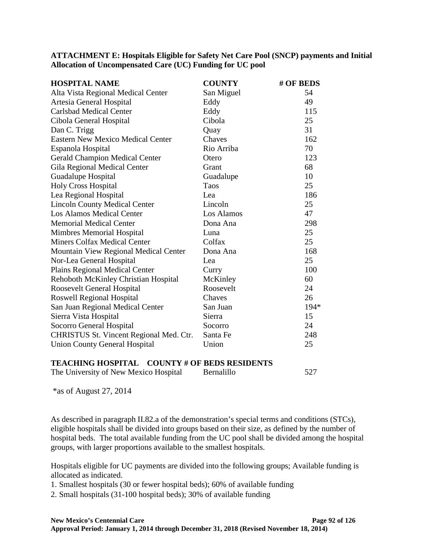**ATTACHMENT E: Hospitals Eligible for Safety Net Care Pool (SNCP) payments and Initial Allocation of Uncompensated Care (UC) Funding for UC pool** 

| <b>HOSPITAL NAME</b>                                | <b>COUNTY</b> | # OF BEDS |
|-----------------------------------------------------|---------------|-----------|
| Alta Vista Regional Medical Center                  | San Miguel    | 54        |
| Artesia General Hospital                            | Eddy          | 49        |
| <b>Carlsbad Medical Center</b>                      | Eddy          | 115       |
| Cibola General Hospital                             | Cibola        | 25        |
| Dan C. Trigg                                        | Quay          | 31        |
| <b>Eastern New Mexico Medical Center</b>            | Chaves        | 162       |
| Espanola Hospital                                   | Rio Arriba    | 70        |
| <b>Gerald Champion Medical Center</b>               | Otero         | 123       |
| Gila Regional Medical Center                        | Grant         | 68        |
| Guadalupe Hospital                                  | Guadalupe     | 10        |
| <b>Holy Cross Hospital</b>                          | Taos          | 25        |
| Lea Regional Hospital                               | Lea           | 186       |
| <b>Lincoln County Medical Center</b>                | Lincoln       | 25        |
| <b>Los Alamos Medical Center</b>                    | Los Alamos    | 47        |
| <b>Memorial Medical Center</b>                      | Dona Ana      | 298       |
| Mimbres Memorial Hospital                           | Luna          | 25        |
| <b>Miners Colfax Medical Center</b>                 | Colfax        | 25        |
| Mountain View Regional Medical Center               | Dona Ana      | 168       |
| Nor-Lea General Hospital                            | Lea           | 25        |
| Plains Regional Medical Center                      | Curry         | 100       |
| Rehoboth McKinley Christian Hospital                | McKinley      | 60        |
| Roosevelt General Hospital                          | Roosevelt     | 24        |
| Roswell Regional Hospital                           | Chaves        | 26        |
| San Juan Regional Medical Center                    | San Juan      | 194*      |
| Sierra Vista Hospital                               | Sierra        | 15        |
| Socorro General Hospital                            | Socorro       | 24        |
| CHRISTUS St. Vincent Regional Med. Ctr.             | Santa Fe      | 248       |
| <b>Union County General Hospital</b>                | Union         | 25        |
| <b>TEACHING HOSPITAL COUNTY # OF BEDS RESIDENTS</b> |               |           |

The University of New Mexico Hospital Bernalillo 527

\*as of August 27, 2014

As described in paragraph II.82.a of the demonstration's special terms and conditions (STCs), eligible hospitals shall be divided into groups based on their size, as defined by the number of hospital beds. The total available funding from the UC pool shall be divided among the hospital groups, with larger proportions available to the smallest hospitals.

Hospitals eligible for UC payments are divided into the following groups; Available funding is allocated as indicated.

1. Smallest hospitals (30 or fewer hospital beds); 60% of available funding

2. Small hospitals (31-100 hospital beds); 30% of available funding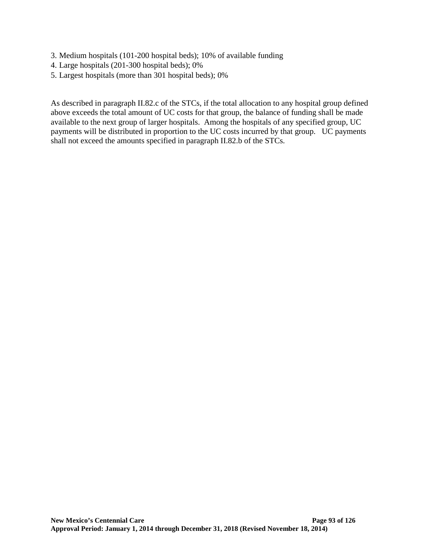- 3. Medium hospitals (101-200 hospital beds); 10% of available funding
- 4. Large hospitals (201-300 hospital beds); 0%
- 5. Largest hospitals (more than 301 hospital beds); 0%

As described in paragraph II.82.c of the STCs, if the total allocation to any hospital group defined above exceeds the total amount of UC costs for that group, the balance of funding shall be made available to the next group of larger hospitals. Among the hospitals of any specified group, UC payments will be distributed in proportion to the UC costs incurred by that group. UC payments shall not exceed the amounts specified in paragraph II.82.b of the STCs.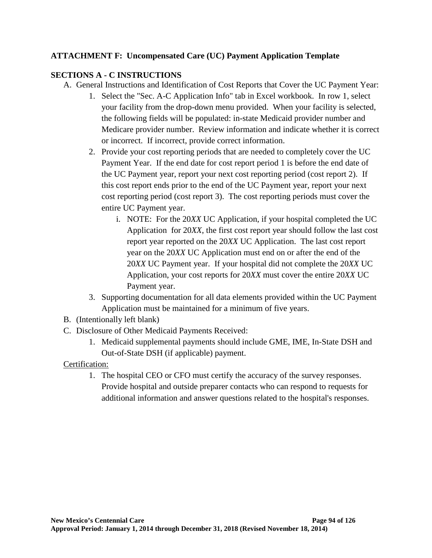# **ATTACHMENT F: Uncompensated Care (UC) Payment Application Template**

## **SECTIONS A - C INSTRUCTIONS**

- A. General Instructions and Identification of Cost Reports that Cover the UC Payment Year:
	- 1. Select the "Sec. A-C Application Info" tab in Excel workbook. In row 1, select your facility from the drop-down menu provided. When your facility is selected, the following fields will be populated: in-state Medicaid provider number and Medicare provider number. Review information and indicate whether it is correct or incorrect. If incorrect, provide correct information.
	- 2. Provide your cost reporting periods that are needed to completely cover the UC Payment Year. If the end date for cost report period 1 is before the end date of the UC Payment year, report your next cost reporting period (cost report 2). If this cost report ends prior to the end of the UC Payment year, report your next cost reporting period (cost report 3). The cost reporting periods must cover the entire UC Payment year.
		- i. NOTE: For the 20*XX* UC Application, if your hospital completed the UC Application for 20*XX*, the first cost report year should follow the last cost report year reported on the 20*XX* UC Application. The last cost report year on the 20*XX* UC Application must end on or after the end of the 20*XX* UC Payment year. If your hospital did not complete the 20*XX* UC Application, your cost reports for 20*XX* must cover the entire 20*XX* UC Payment year.
	- 3. Supporting documentation for all data elements provided within the UC Payment Application must be maintained for a minimum of five years.
- B. (Intentionally left blank)
- C. Disclosure of Other Medicaid Payments Received:
	- 1. Medicaid supplemental payments should include GME, IME, In-State DSH and Out-of-State DSH (if applicable) payment.

## Certification:

1. The hospital CEO or CFO must certify the accuracy of the survey responses. Provide hospital and outside preparer contacts who can respond to requests for additional information and answer questions related to the hospital's responses.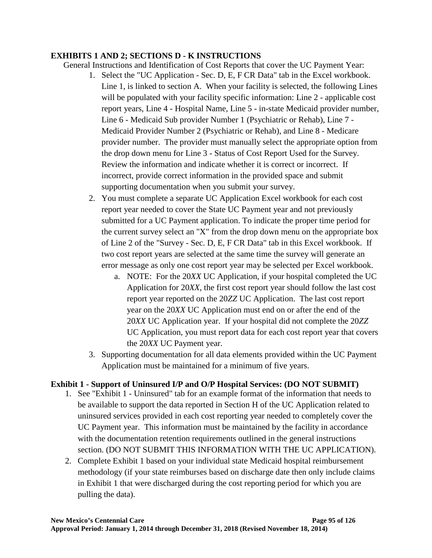### **EXHIBITS 1 AND 2; SECTIONS D - K INSTRUCTIONS**

General Instructions and Identification of Cost Reports that cover the UC Payment Year:

- 1. Select the "UC Application Sec. D, E, F CR Data" tab in the Excel workbook. Line 1, is linked to section A. When your facility is selected, the following Lines will be populated with your facility specific information: Line 2 - applicable cost report years, Line 4 - Hospital Name, Line 5 - in-state Medicaid provider number, Line 6 - Medicaid Sub provider Number 1 (Psychiatric or Rehab), Line 7 - Medicaid Provider Number 2 (Psychiatric or Rehab), and Line 8 - Medicare provider number. The provider must manually select the appropriate option from the drop down menu for Line 3 - Status of Cost Report Used for the Survey. Review the information and indicate whether it is correct or incorrect. If incorrect, provide correct information in the provided space and submit supporting documentation when you submit your survey.
- 2. You must complete a separate UC Application Excel workbook for each cost report year needed to cover the State UC Payment year and not previously submitted for a UC Payment application. To indicate the proper time period for the current survey select an "X" from the drop down menu on the appropriate box of Line 2 of the "Survey - Sec. D, E, F CR Data" tab in this Excel workbook. If two cost report years are selected at the same time the survey will generate an error message as only one cost report year may be selected per Excel workbook.
	- a. NOTE: For the 20*XX* UC Application, if your hospital completed the UC Application for 20*XX*, the first cost report year should follow the last cost report year reported on the 20*ZZ* UC Application. The last cost report year on the 20*XX* UC Application must end on or after the end of the 20*XX* UC Application year. If your hospital did not complete the 20*ZZ* UC Application, you must report data for each cost report year that covers the 20*XX* UC Payment year.
- 3. Supporting documentation for all data elements provided within the UC Payment Application must be maintained for a minimum of five years.

## **Exhibit 1 - Support of Uninsured I/P and O/P Hospital Services: (DO NOT SUBMIT)**

- 1. See "Exhibit 1 Uninsured" tab for an example format of the information that needs to be available to support the data reported in Section H of the UC Application related to uninsured services provided in each cost reporting year needed to completely cover the UC Payment year. This information must be maintained by the facility in accordance with the documentation retention requirements outlined in the general instructions section. (DO NOT SUBMIT THIS INFORMATION WITH THE UC APPLICATION).
- 2. Complete Exhibit 1 based on your individual state Medicaid hospital reimbursement methodology (if your state reimburses based on discharge date then only include claims in Exhibit 1 that were discharged during the cost reporting period for which you are pulling the data).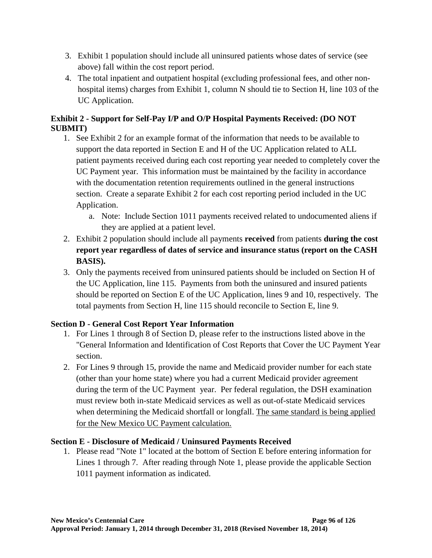- 3. Exhibit 1 population should include all uninsured patients whose dates of service (see above) fall within the cost report period.
- 4. The total inpatient and outpatient hospital (excluding professional fees, and other nonhospital items) charges from Exhibit 1, column N should tie to Section H, line 103 of the UC Application.

# **Exhibit 2 - Support for Self-Pay I/P and O/P Hospital Payments Received: (DO NOT SUBMIT)**

- 1. See Exhibit 2 for an example format of the information that needs to be available to support the data reported in Section E and H of the UC Application related to ALL patient payments received during each cost reporting year needed to completely cover the UC Payment year. This information must be maintained by the facility in accordance with the documentation retention requirements outlined in the general instructions section. Create a separate Exhibit 2 for each cost reporting period included in the UC Application.
	- a. Note: Include Section 1011 payments received related to undocumented aliens if they are applied at a patient level.
- 2. Exhibit 2 population should include all payments **received** from patients **during the cost report year regardless of dates of service and insurance status (report on the CASH BASIS).**
- 3. Only the payments received from uninsured patients should be included on Section H of the UC Application, line 115. Payments from both the uninsured and insured patients should be reported on Section E of the UC Application, lines 9 and 10, respectively. The total payments from Section H, line 115 should reconcile to Section E, line 9.

# **Section D - General Cost Report Year Information**

- 1. For Lines 1 through 8 of Section D, please refer to the instructions listed above in the "General Information and Identification of Cost Reports that Cover the UC Payment Year section.
- 2. For Lines 9 through 15, provide the name and Medicaid provider number for each state (other than your home state) where you had a current Medicaid provider agreement during the term of the UC Payment year. Per federal regulation, the DSH examination must review both in-state Medicaid services as well as out-of-state Medicaid services when determining the Medicaid shortfall or longfall. The same standard is being applied for the New Mexico UC Payment calculation.

# **Section E - Disclosure of Medicaid / Uninsured Payments Received**

1. Please read "Note 1" located at the bottom of Section E before entering information for Lines 1 through 7. After reading through Note 1, please provide the applicable Section 1011 payment information as indicated.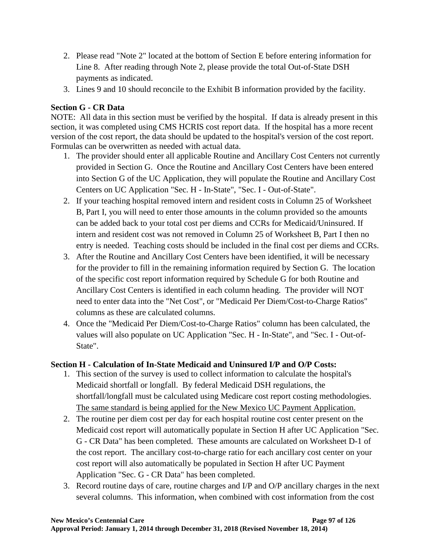- 2. Please read "Note 2" located at the bottom of Section E before entering information for Line 8. After reading through Note 2, please provide the total Out-of-State DSH payments as indicated.
- 3. Lines 9 and 10 should reconcile to the Exhibit B information provided by the facility.

## **Section G - CR Data**

NOTE: All data in this section must be verified by the hospital. If data is already present in this section, it was completed using CMS HCRIS cost report data. If the hospital has a more recent version of the cost report, the data should be updated to the hospital's version of the cost report. Formulas can be overwritten as needed with actual data.

- 1. The provider should enter all applicable Routine and Ancillary Cost Centers not currently provided in Section G. Once the Routine and Ancillary Cost Centers have been entered into Section G of the UC Application, they will populate the Routine and Ancillary Cost Centers on UC Application "Sec. H - In-State", "Sec. I - Out-of-State".
- 2. If your teaching hospital removed intern and resident costs in Column 25 of Worksheet B, Part I, you will need to enter those amounts in the column provided so the amounts can be added back to your total cost per diems and CCRs for Medicaid/Uninsured. If intern and resident cost was not removed in Column 25 of Worksheet B, Part I then no entry is needed. Teaching costs should be included in the final cost per diems and CCRs.
- 3. After the Routine and Ancillary Cost Centers have been identified, it will be necessary for the provider to fill in the remaining information required by Section G. The location of the specific cost report information required by Schedule G for both Routine and Ancillary Cost Centers is identified in each column heading. The provider will NOT need to enter data into the "Net Cost", or "Medicaid Per Diem/Cost-to-Charge Ratios" columns as these are calculated columns.
- 4. Once the "Medicaid Per Diem/Cost-to-Charge Ratios" column has been calculated, the values will also populate on UC Application "Sec. H - In-State", and "Sec. I - Out-of-State".

# **Section H - Calculation of In-State Medicaid and Uninsured I/P and O/P Costs:**

- 1. This section of the survey is used to collect information to calculate the hospital's Medicaid shortfall or longfall. By federal Medicaid DSH regulations, the shortfall/longfall must be calculated using Medicare cost report costing methodologies. The same standard is being applied for the New Mexico UC Payment Application.
- 2. The routine per diem cost per day for each hospital routine cost center present on the Medicaid cost report will automatically populate in Section H after UC Application "Sec. G - CR Data" has been completed. These amounts are calculated on Worksheet D-1 of the cost report. The ancillary cost-to-charge ratio for each ancillary cost center on your cost report will also automatically be populated in Section H after UC Payment Application "Sec. G - CR Data" has been completed.
- 3. Record routine days of care, routine charges and I/P and O/P ancillary charges in the next several columns. This information, when combined with cost information from the cost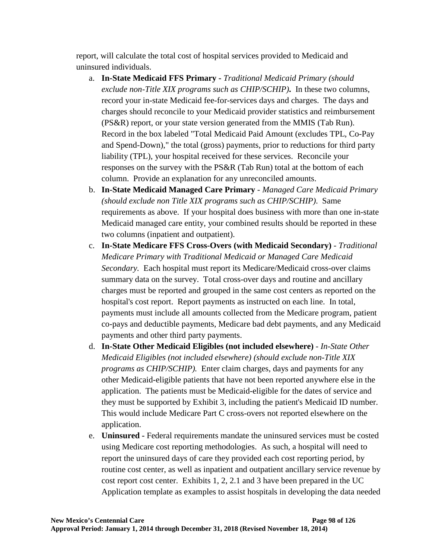report, will calculate the total cost of hospital services provided to Medicaid and uninsured individuals.

- a. **In-State Medicaid FFS Primary -** *Traditional Medicaid Primary (should exclude non-Title XIX programs such as CHIP/SCHIP)***.** In these two columns, record your in-state Medicaid fee-for-services days and charges. The days and charges should reconcile to your Medicaid provider statistics and reimbursement (PS&R) report, or your state version generated from the MMIS (Tab Run). Record in the box labeled "Total Medicaid Paid Amount (excludes TPL, Co-Pay and Spend-Down)," the total (gross) payments, prior to reductions for third party liability (TPL), your hospital received for these services. Reconcile your responses on the survey with the PS&R (Tab Run) total at the bottom of each column. Provide an explanation for any unreconciled amounts.
- b. **In-State Medicaid Managed Care Primary** *Managed Care Medicaid Primary (should exclude non Title XIX programs such as CHIP/SCHIP)*. Same requirements as above. If your hospital does business with more than one in-state Medicaid managed care entity, your combined results should be reported in these two columns (inpatient and outpatient).
- c. **In-State Medicare FFS Cross-Overs (with Medicaid Secondary)** *Traditional Medicare Primary with Traditional Medicaid or Managed Care Medicaid Secondary.* Each hospital must report its Medicare/Medicaid cross-over claims summary data on the survey. Total cross-over days and routine and ancillary charges must be reported and grouped in the same cost centers as reported on the hospital's cost report. Report payments as instructed on each line. In total, payments must include all amounts collected from the Medicare program, patient co-pays and deductible payments, Medicare bad debt payments, and any Medicaid payments and other third party payments.
- d. **In-State Other Medicaid Eligibles (not included elsewhere)** *In-State Other Medicaid Eligibles (not included elsewhere) (should exclude non-Title XIX programs as CHIP/SCHIP).* Enter claim charges, days and payments for any other Medicaid-eligible patients that have not been reported anywhere else in the application. The patients must be Medicaid-eligible for the dates of service and they must be supported by Exhibit 3, including the patient's Medicaid ID number. This would include Medicare Part C cross-overs not reported elsewhere on the application.
- e. **Uninsured -** Federal requirements mandate the uninsured services must be costed using Medicare cost reporting methodologies. As such, a hospital will need to report the uninsured days of care they provided each cost reporting period, by routine cost center, as well as inpatient and outpatient ancillary service revenue by cost report cost center. Exhibits 1, 2, 2.1 and 3 have been prepared in the UC Application template as examples to assist hospitals in developing the data needed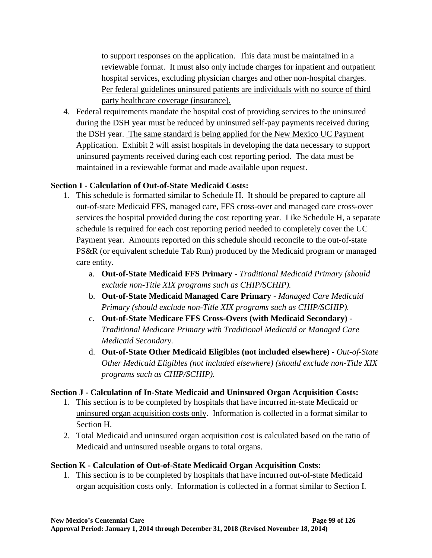to support responses on the application. This data must be maintained in a reviewable format. It must also only include charges for inpatient and outpatient hospital services, excluding physician charges and other non-hospital charges. Per federal guidelines uninsured patients are individuals with no source of third party healthcare coverage (insurance).

4. Federal requirements mandate the hospital cost of providing services to the uninsured during the DSH year must be reduced by uninsured self-pay payments received during the DSH year. The same standard is being applied for the New Mexico UC Payment Application. Exhibit 2 will assist hospitals in developing the data necessary to support uninsured payments received during each cost reporting period. The data must be maintained in a reviewable format and made available upon request.

## **Section I - Calculation of Out-of-State Medicaid Costs:**

- 1. This schedule is formatted similar to Schedule H. It should be prepared to capture all out-of-state Medicaid FFS, managed care, FFS cross-over and managed care cross-over services the hospital provided during the cost reporting year. Like Schedule H, a separate schedule is required for each cost reporting period needed to completely cover the UC Payment year. Amounts reported on this schedule should reconcile to the out-of-state PS&R (or equivalent schedule Tab Run) produced by the Medicaid program or managed care entity.
	- a. **Out-of-State Medicaid FFS Primary** *Traditional Medicaid Primary (should exclude non-Title XIX programs such as CHIP/SCHIP).*
	- b. **Out-of-State Medicaid Managed Care Primary** *Managed Care Medicaid Primary (should exclude non-Title XIX programs such as CHIP/SCHIP).*
	- c. **Out-of-State Medicare FFS Cross-Overs (with Medicaid Secondary)** *Traditional Medicare Primary with Traditional Medicaid or Managed Care Medicaid Secondary.*
	- d. **Out-of-State Other Medicaid Eligibles (not included elsewhere)** *Out-of-State Other Medicaid Eligibles (not included elsewhere) (should exclude non-Title XIX programs such as CHIP/SCHIP).*

## **Section J - Calculation of In-State Medicaid and Uninsured Organ Acquisition Costs:**

- 1. This section is to be completed by hospitals that have incurred in-state Medicaid or uninsured organ acquisition costs only. Information is collected in a format similar to Section H.
- 2. Total Medicaid and uninsured organ acquisition cost is calculated based on the ratio of Medicaid and uninsured useable organs to total organs.

## **Section K - Calculation of Out-of-State Medicaid Organ Acquisition Costs:**

1. This section is to be completed by hospitals that have incurred out-of-state Medicaid organ acquisition costs only. Information is collected in a format similar to Section I.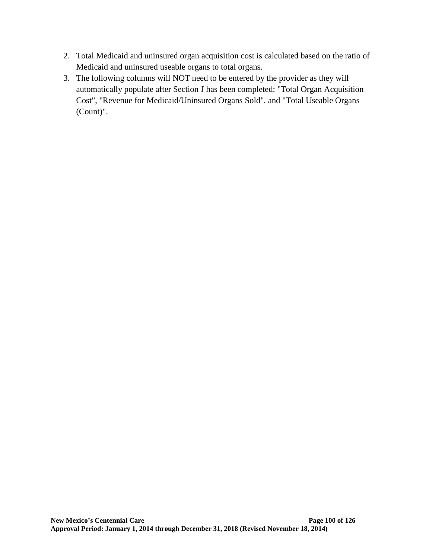- 2. Total Medicaid and uninsured organ acquisition cost is calculated based on the ratio of Medicaid and uninsured useable organs to total organs.
- 3. The following columns will NOT need to be entered by the provider as they will automatically populate after Section J has been completed: "Total Organ Acquisition Cost", "Revenue for Medicaid/Uninsured Organs Sold", and "Total Useable Organs (Count)".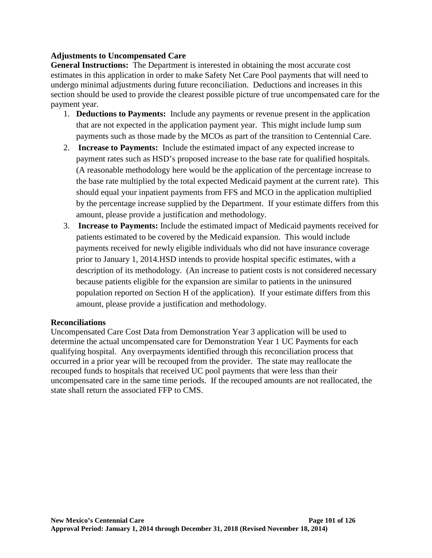## **Adjustments to Uncompensated Care**

**General Instructions:** The Department is interested in obtaining the most accurate cost estimates in this application in order to make Safety Net Care Pool payments that will need to undergo minimal adjustments during future reconciliation. Deductions and increases in this section should be used to provide the clearest possible picture of true uncompensated care for the payment year.

- 1. **Deductions to Payments:** Include any payments or revenue present in the application that are not expected in the application payment year. This might include lump sum payments such as those made by the MCOs as part of the transition to Centennial Care.
- 2. **Increase to Payments:** Include the estimated impact of any expected increase to payment rates such as HSD's proposed increase to the base rate for qualified hospitals. (A reasonable methodology here would be the application of the percentage increase to the base rate multiplied by the total expected Medicaid payment at the current rate). This should equal your inpatient payments from FFS and MCO in the application multiplied by the percentage increase supplied by the Department. If your estimate differs from this amount, please provide a justification and methodology.
- 3. **Increase to Payments:** Include the estimated impact of Medicaid payments received for patients estimated to be covered by the Medicaid expansion. This would include payments received for newly eligible individuals who did not have insurance coverage prior to January 1, 2014.HSD intends to provide hospital specific estimates, with a description of its methodology. (An increase to patient costs is not considered necessary because patients eligible for the expansion are similar to patients in the uninsured population reported on Section H of the application). If your estimate differs from this amount, please provide a justification and methodology.

#### **Reconciliations**

Uncompensated Care Cost Data from Demonstration Year 3 application will be used to determine the actual uncompensated care for Demonstration Year 1 UC Payments for each qualifying hospital. Any overpayments identified through this reconciliation process that occurred in a prior year will be recouped from the provider. The state may reallocate the recouped funds to hospitals that received UC pool payments that were less than their uncompensated care in the same time periods. If the recouped amounts are not reallocated, the state shall return the associated FFP to CMS.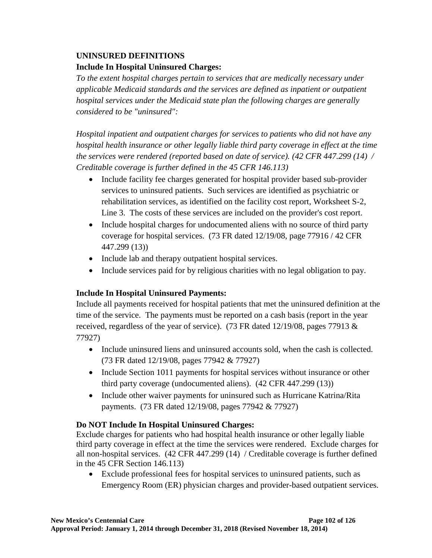# **UNINSURED DEFINITIONS Include In Hospital Uninsured Charges:**

*To the extent hospital charges pertain to services that are medically necessary under applicable Medicaid standards and the services are defined as inpatient or outpatient hospital services under the Medicaid state plan the following charges are generally considered to be "uninsured":*

*Hospital inpatient and outpatient charges for services to patients who did not have any hospital health insurance or other legally liable third party coverage in effect at the time the services were rendered (reported based on date of service). (42 CFR 447.299 (14) / Creditable coverage is further defined in the 45 CFR 146.113)*

- Include facility fee charges generated for hospital provider based sub-provider services to uninsured patients. Such services are identified as psychiatric or rehabilitation services, as identified on the facility cost report, Worksheet S-2, Line 3. The costs of these services are included on the provider's cost report.
- Include hospital charges for undocumented aliens with no source of third party coverage for hospital services. (73 FR dated 12/19/08, page 77916 / 42 CFR 447.299 (13))
- Include lab and therapy outpatient hospital services.
- Include services paid for by religious charities with no legal obligation to pay.

# **Include In Hospital Uninsured Payments:**

Include all payments received for hospital patients that met the uninsured definition at the time of the service. The payments must be reported on a cash basis (report in the year received, regardless of the year of service). (73 FR dated 12/19/08, pages 77913 & 77927)

- Include uninsured liens and uninsured accounts sold, when the cash is collected. (73 FR dated 12/19/08, pages 77942 & 77927)
- Include Section 1011 payments for hospital services without insurance or other third party coverage (undocumented aliens). (42 CFR 447.299 (13))
- Include other waiver payments for uninsured such as Hurricane Katrina/Rita payments. (73 FR dated 12/19/08, pages 77942 & 77927)

# **Do NOT Include In Hospital Uninsured Charges:**

Exclude charges for patients who had hospital health insurance or other legally liable third party coverage in effect at the time the services were rendered. Exclude charges for all non-hospital services. (42 CFR 447.299 (14) / Creditable coverage is further defined in the 45 CFR Section 146.113)

• Exclude professional fees for hospital services to uninsured patients, such as Emergency Room (ER) physician charges and provider-based outpatient services.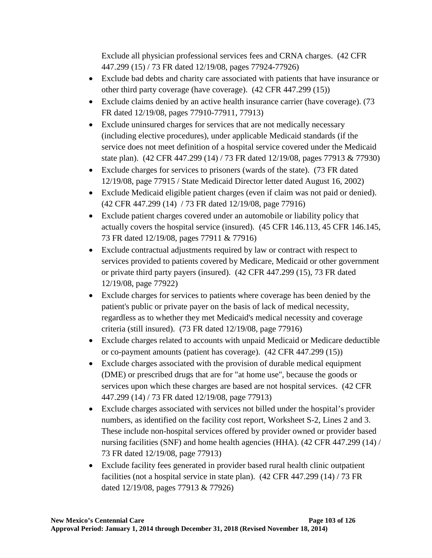Exclude all physician professional services fees and CRNA charges. (42 CFR 447.299 (15) / 73 FR dated 12/19/08, pages 77924-77926)

- Exclude bad debts and charity care associated with patients that have insurance or other third party coverage (have coverage). (42 CFR 447.299 (15))
- Exclude claims denied by an active health insurance carrier (have coverage). (73 FR dated 12/19/08, pages 77910-77911, 77913)
- Exclude uninsured charges for services that are not medically necessary (including elective procedures), under applicable Medicaid standards (if the service does not meet definition of a hospital service covered under the Medicaid state plan). (42 CFR 447.299 (14) / 73 FR dated 12/19/08, pages 77913 & 77930)
- Exclude charges for services to prisoners (wards of the state). (73 FR dated 12/19/08, page 77915 / State Medicaid Director letter dated August 16, 2002)
- Exclude Medicaid eligible patient charges (even if claim was not paid or denied). (42 CFR 447.299 (14) / 73 FR dated 12/19/08, page 77916)
- Exclude patient charges covered under an automobile or liability policy that actually covers the hospital service (insured). (45 CFR 146.113, 45 CFR 146.145, 73 FR dated 12/19/08, pages 77911 & 77916)
- Exclude contractual adjustments required by law or contract with respect to services provided to patients covered by Medicare, Medicaid or other government or private third party payers (insured). (42 CFR 447.299 (15), 73 FR dated 12/19/08, page 77922)
- Exclude charges for services to patients where coverage has been denied by the patient's public or private payer on the basis of lack of medical necessity, regardless as to whether they met Medicaid's medical necessity and coverage criteria (still insured). (73 FR dated 12/19/08, page 77916)
- Exclude charges related to accounts with unpaid Medicaid or Medicare deductible or co-payment amounts (patient has coverage). (42 CFR 447.299 (15))
- Exclude charges associated with the provision of durable medical equipment (DME) or prescribed drugs that are for "at home use", because the goods or services upon which these charges are based are not hospital services. (42 CFR 447.299 (14) / 73 FR dated 12/19/08, page 77913)
- Exclude charges associated with services not billed under the hospital's provider numbers, as identified on the facility cost report, Worksheet S-2, Lines 2 and 3. These include non-hospital services offered by provider owned or provider based nursing facilities (SNF) and home health agencies (HHA). (42 CFR 447.299 (14) / 73 FR dated 12/19/08, page 77913)
- Exclude facility fees generated in provider based rural health clinic outpatient facilities (not a hospital service in state plan). (42 CFR 447.299 (14) / 73 FR dated 12/19/08, pages 77913 & 77926)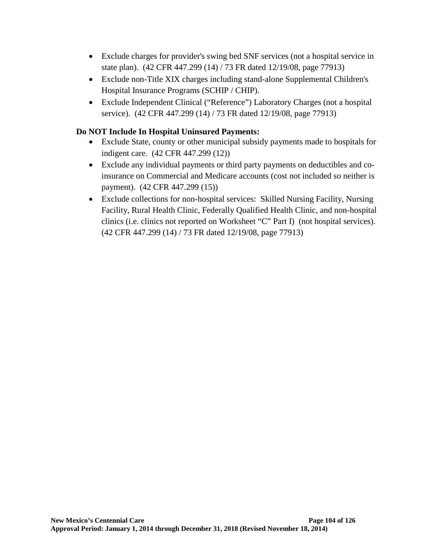- Exclude charges for provider's swing bed SNF services (not a hospital service in state plan). (42 CFR 447.299 (14) / 73 FR dated 12/19/08, page 77913)
- Exclude non-Title XIX charges including stand-alone Supplemental Children's Hospital Insurance Programs (SCHIP / CHIP).
- Exclude Independent Clinical ("Reference") Laboratory Charges (not a hospital service). (42 CFR 447.299 (14) / 73 FR dated 12/19/08, page 77913)

# **Do NOT Include In Hospital Uninsured Payments:**

- Exclude State, county or other municipal subsidy payments made to hospitals for indigent care. (42 CFR 447.299 (12))
- Exclude any individual payments or third party payments on deductibles and coinsurance on Commercial and Medicare accounts (cost not included so neither is payment). (42 CFR 447.299 (15))
- Exclude collections for non-hospital services: Skilled Nursing Facility, Nursing Facility, Rural Health Clinic, Federally Qualified Health Clinic, and non-hospital clinics (i.e. clinics not reported on Worksheet "C" Part I) (not hospital services). (42 CFR 447.299 (14) / 73 FR dated 12/19/08, page 77913)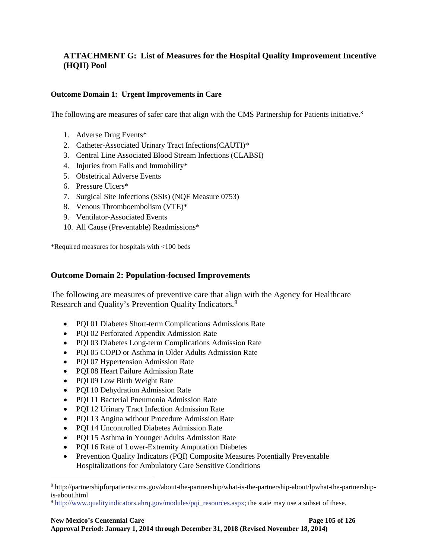## **ATTACHMENT G: List of Measures for the Hospital Quality Improvement Incentive (HQII) Pool**

#### **Outcome Domain 1: Urgent Improvements in Care**

The following are measures of safer care that align with the CMS Partnership for Patients initiative.<sup>[8](#page-110-0)</sup>

- 1. Adverse Drug Events\*
- 2. Catheter-Associated Urinary Tract Infections(CAUTI)\*
- 3. Central Line Associated Blood Stream Infections (CLABSI)
- 4. Injuries from Falls and Immobility\*
- 5. Obstetrical Adverse Events
- 6. Pressure Ulcers\*
- 7. Surgical Site Infections (SSIs) (NQF Measure 0753)
- 8. Venous Thromboembolism (VTE)\*
- 9. Ventilator-Associated Events
- 10. All Cause (Preventable) Readmissions\*

\*Required measures for hospitals with <100 beds

#### **Outcome Domain 2: Population-focused Improvements**

The following are measures of preventive care that align with the Agency for Healthcare Research and Quality's Prevention Quality Indicators.<sup>[9](#page-110-1)</sup>

- PQI 01 Diabetes Short-term Complications Admissions Rate
- PQI 02 Perforated Appendix Admission Rate
- PQI 03 Diabetes Long-term Complications Admission Rate
- PQI 05 COPD or Asthma in Older Adults Admission Rate
- PQI 07 Hypertension Admission Rate
- PQI 08 Heart Failure Admission Rate
- POI 09 Low Birth Weight Rate

 $\overline{a}$ 

- POI 10 Dehydration Admission Rate
- PQI 11 Bacterial Pneumonia Admission Rate
- PQI 12 Urinary Tract Infection Admission Rate
- PQI 13 Angina without Procedure Admission Rate
- POI 14 Uncontrolled Diabetes Admission Rate
- PQI 15 Asthma in Younger Adults Admission Rate
- PQI 16 Rate of Lower-Extremity Amputation Diabetes
- Prevention Quality Indicators (PQI) Composite Measures Potentially Preventable Hospitalizations for Ambulatory Care Sensitive Conditions

<span id="page-110-0"></span><sup>8</sup> http://partnershipforpatients.cms.gov/about-the-partnership/what-is-the-partnership-about/lpwhat-the-partnershipis-about.html

<span id="page-110-1"></span><sup>9</sup> [http://www.qualityindicators.ahrq.gov/modules/pqi\\_resources.aspx;](http://www.qualityindicators.ahrq.gov/modules/pqi_resources.aspx) the state may use a subset of these.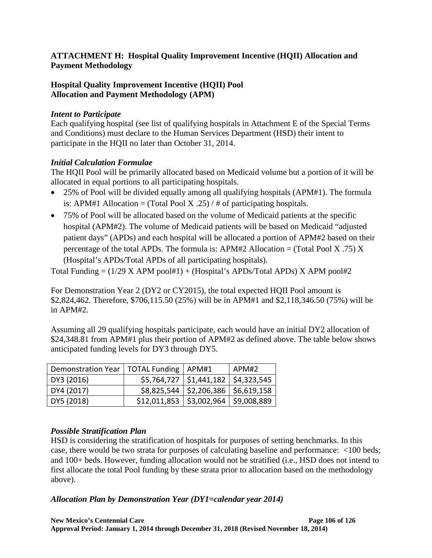## **ATTACHMENT H: Hospital Quality Improvement Incentive (HQII) Allocation and Payment Methodology**

## **Hospital Quality Improvement Incentive (HQII) Pool Allocation and Payment Methodology (APM)**

#### *Intent to Participate*

Each qualifying hospital (see list of qualifying hospitals in Attachment E of the Special Terms and Conditions) must declare to the Human Services Department (HSD) their intent to participate in the HQII no later than October 31, 2014.

#### *Initial Calculation Formulae*

The HQII Pool will be primarily allocated based on Medicaid volume but a portion of it will be allocated in equal portions to all participating hospitals.

- 25% of Pool will be divided equally among all qualifying hospitals (APM#1). The formula is: APM#1 Allocation = (Total Pool X .25) / # of participating hospitals.
- 75% of Pool will be allocated based on the volume of Medicaid patients at the specific hospital (APM#2). The volume of Medicaid patients will be based on Medicaid "adjusted patient days" (APDs) and each hospital will be allocated a portion of APM#2 based on their percentage of the total APDs. The formula is: APM#2 Allocation = (Total Pool X .75) X (Hospital's APDs/Total APDs of all participating hospitals).

Total Funding  $= (1/29 \text{ X APM pool#1}) + (Hospital's APDs/Total APDs) \times APR pool#2$ 

For Demonstration Year 2 (DY2 or CY2015), the total expected HQII Pool amount is \$2,824,462. Therefore, \$706,115.50 (25%) will be in APM#1 and \$2,118,346.50 (75%) will be in APM#2.

Assuming all 29 qualifying hospitals participate, each would have an initial DY2 allocation of \$24,348.81 from APM#1 plus their portion of APM#2 as defined above. The table below shows anticipated funding levels for DY3 through DY5.

| Demonstration Year   TOTAL Funding   APM#1 |                                               |                                           | APM#2 |
|--------------------------------------------|-----------------------------------------------|-------------------------------------------|-------|
| DY3 (2016)                                 |                                               | $$5,764,727$   $$1,441,182$   \$4,323,545 |       |
| DY4 (2017)                                 |                                               | $$8,825,544$   \$2,206,386   \$6,619,158  |       |
| DY5 (2018)                                 | $$12,011,853 \mid $3,002,964 \mid $9,008,889$ |                                           |       |

## *Possible Stratification Plan*

HSD is considering the stratification of hospitals for purposes of setting benchmarks. In this case, there would be two strata for purposes of calculating baseline and performance: <100 beds; and 100+ beds. However, funding allocation would not be stratified (i.e., HSD does not intend to first allocate the total Pool funding by these strata prior to allocation based on the methodology above).

## *Allocation Plan by Demonstration Year (DY1=calendar year 2014)*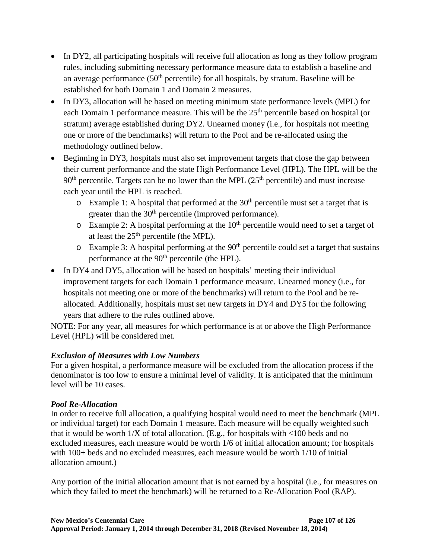- In DY2, all participating hospitals will receive full allocation as long as they follow program rules, including submitting necessary performance measure data to establish a baseline and an average performance  $(50<sup>th</sup>$  percentile) for all hospitals, by stratum. Baseline will be established for both Domain 1 and Domain 2 measures.
- In DY3, allocation will be based on meeting minimum state performance levels (MPL) for each Domain 1 performance measure. This will be the 25<sup>th</sup> percentile based on hospital (or stratum) average established during DY2. Unearned money (i.e., for hospitals not meeting one or more of the benchmarks) will return to the Pool and be re-allocated using the methodology outlined below.
- Beginning in DY3, hospitals must also set improvement targets that close the gap between their current performance and the state High Performance Level (HPL). The HPL will be the  $90<sup>th</sup>$  percentile. Targets can be no lower than the MPL ( $25<sup>th</sup>$  percentile) and must increase each year until the HPL is reached.
	- $\circ$  Example 1: A hospital that performed at the 30<sup>th</sup> percentile must set a target that is greater than the 30<sup>th</sup> percentile (improved performance).
	- $\circ$  Example 2: A hospital performing at the 10<sup>th</sup> percentile would need to set a target of at least the  $25<sup>th</sup>$  percentile (the MPL).
	- $\circ$  Example 3: A hospital performing at the 90<sup>th</sup> percentile could set a target that sustains performance at the 90<sup>th</sup> percentile (the HPL).
- In DY4 and DY5, allocation will be based on hospitals' meeting their individual improvement targets for each Domain 1 performance measure. Unearned money (i.e., for hospitals not meeting one or more of the benchmarks) will return to the Pool and be reallocated. Additionally, hospitals must set new targets in DY4 and DY5 for the following years that adhere to the rules outlined above.

NOTE: For any year, all measures for which performance is at or above the High Performance Level (HPL) will be considered met.

## *Exclusion of Measures with Low Numbers*

For a given hospital, a performance measure will be excluded from the allocation process if the denominator is too low to ensure a minimal level of validity. It is anticipated that the minimum level will be 10 cases.

## *Pool Re-Allocation*

In order to receive full allocation, a qualifying hospital would need to meet the benchmark (MPL or individual target) for each Domain 1 measure. Each measure will be equally weighted such that it would be worth 1/X of total allocation. (E.g., for hospitals with <100 beds and no excluded measures, each measure would be worth 1/6 of initial allocation amount; for hospitals with 100+ beds and no excluded measures, each measure would be worth 1/10 of initial allocation amount.)

Any portion of the initial allocation amount that is not earned by a hospital (i.e., for measures on which they failed to meet the benchmark) will be returned to a Re-Allocation Pool (RAP).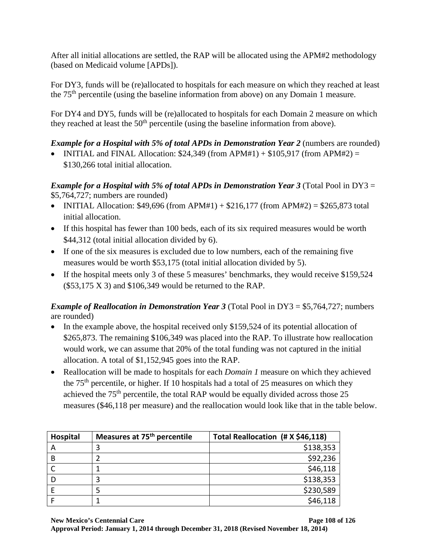After all initial allocations are settled, the RAP will be allocated using the APM#2 methodology (based on Medicaid volume [APDs]).

For DY3, funds will be (re)allocated to hospitals for each measure on which they reached at least the 75th percentile (using the baseline information from above) on any Domain 1 measure.

For DY4 and DY5, funds will be (re)allocated to hospitals for each Domain 2 measure on which they reached at least the  $50<sup>th</sup>$  percentile (using the baseline information from above).

# *Example for a Hospital with 5% of total APDs in Demonstration Year 2* (numbers are rounded)

• INITIAL and FINAL Allocation:  $$24,349$  (from APM#1) +  $$105,917$  (from APM#2) = \$130,266 total initial allocation.

*Example for a Hospital with 5% of total APDs in Demonstration Year 3* (Total Pool in DY3 = \$5,764,727; numbers are rounded)

- INITIAL Allocation:  $$49,696$  (from APM#1) +  $$216,177$  (from APM#2) =  $$265,873$  total initial allocation.
- If this hospital has fewer than 100 beds, each of its six required measures would be worth \$44,312 (total initial allocation divided by 6).
- If one of the six measures is excluded due to low numbers, each of the remaining five measures would be worth \$53,175 (total initial allocation divided by 5).
- If the hospital meets only 3 of these 5 measures' benchmarks, they would receive \$159,524  $($53,175 \text{ X } 3)$  and  $$106,349$  would be returned to the RAP.

*Example of Reallocation in Demonstration Year 3* (Total Pool in DY3 = \$5,764,727; numbers are rounded)

- In the example above, the hospital received only \$159,524 of its potential allocation of \$265,873. The remaining \$106,349 was placed into the RAP. To illustrate how reallocation would work, we can assume that 20% of the total funding was not captured in the initial allocation. A total of \$1,152,945 goes into the RAP.
- Reallocation will be made to hospitals for each *Domain 1* measure on which they achieved the  $75<sup>th</sup>$  percentile, or higher. If 10 hospitals had a total of 25 measures on which they achieved the 75<sup>th</sup> percentile, the total RAP would be equally divided across those 25 measures (\$46,118 per measure) and the reallocation would look like that in the table below.

| Hospital | Measures at 75 <sup>th</sup> percentile | Total Reallocation (# X \$46,118) |
|----------|-----------------------------------------|-----------------------------------|
|          |                                         | \$138,353                         |
| B        |                                         | \$92,236                          |
|          |                                         | \$46,118                          |
|          |                                         | \$138,353                         |
|          |                                         | \$230,589                         |
|          |                                         | \$46,118                          |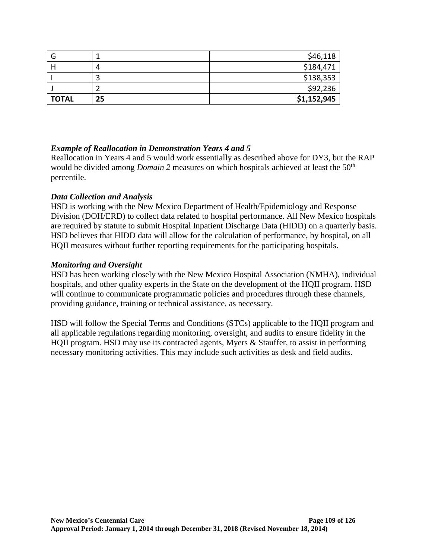| G            |    | \$46,118    |
|--------------|----|-------------|
|              | Д  | \$184,471   |
|              |    | \$138,353   |
|              |    | \$92,236    |
| <b>TOTAL</b> | 25 | \$1,152,945 |

#### *Example of Reallocation in Demonstration Years 4 and 5*

Reallocation in Years 4 and 5 would work essentially as described above for DY3, but the RAP would be divided among *Domain 2* measures on which hospitals achieved at least the 50<sup>th</sup> percentile.

#### *Data Collection and Analysis*

HSD is working with the New Mexico Department of Health/Epidemiology and Response Division (DOH/ERD) to collect data related to hospital performance. All New Mexico hospitals are required by statute to submit Hospital Inpatient Discharge Data (HIDD) on a quarterly basis. HSD believes that HIDD data will allow for the calculation of performance, by hospital, on all HQII measures without further reporting requirements for the participating hospitals.

#### *Monitoring and Oversight*

HSD has been working closely with the New Mexico Hospital Association (NMHA), individual hospitals, and other quality experts in the State on the development of the HQII program. HSD will continue to communicate programmatic policies and procedures through these channels, providing guidance, training or technical assistance, as necessary.

HSD will follow the Special Terms and Conditions (STCs) applicable to the HQII program and all applicable regulations regarding monitoring, oversight, and audits to ensure fidelity in the HQII program. HSD may use its contracted agents, Myers & Stauffer, to assist in performing necessary monitoring activities. This may include such activities as desk and field audits.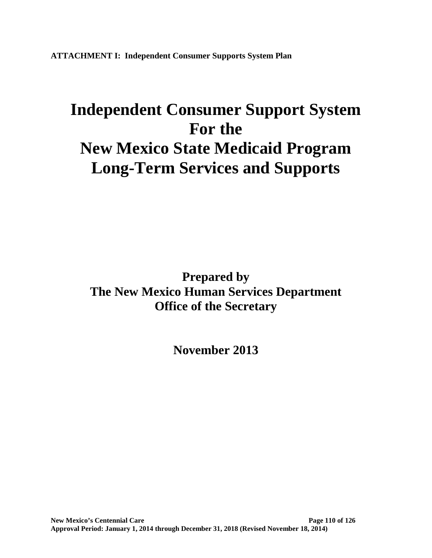**ATTACHMENT I: Independent Consumer Supports System Plan**

# **Independent Consumer Support System For the New Mexico State Medicaid Program Long-Term Services and Supports**

**Prepared by The New Mexico Human Services Department Office of the Secretary**

**November 2013**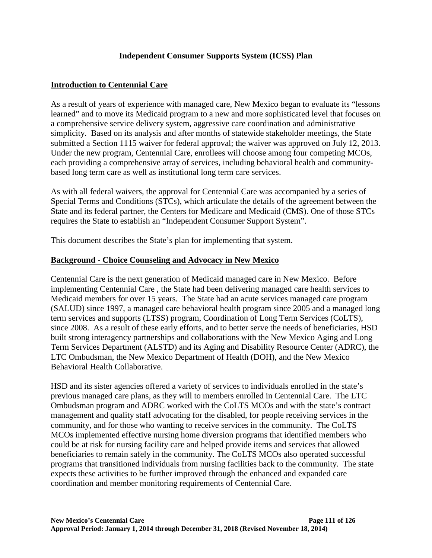## **Independent Consumer Supports System (ICSS) Plan**

#### **Introduction to Centennial Care**

As a result of years of experience with managed care, New Mexico began to evaluate its "lessons learned" and to move its Medicaid program to a new and more sophisticated level that focuses on a comprehensive service delivery system, aggressive care coordination and administrative simplicity. Based on its analysis and after months of statewide stakeholder meetings, the State submitted a Section 1115 waiver for federal approval; the waiver was approved on July 12, 2013. Under the new program, Centennial Care, enrollees will choose among four competing MCOs, each providing a comprehensive array of services, including behavioral health and communitybased long term care as well as institutional long term care services.

As with all federal waivers, the approval for Centennial Care was accompanied by a series of Special Terms and Conditions (STCs), which articulate the details of the agreement between the State and its federal partner, the Centers for Medicare and Medicaid (CMS). One of those STCs requires the State to establish an "Independent Consumer Support System".

This document describes the State's plan for implementing that system.

#### **Background - Choice Counseling and Advocacy in New Mexico**

Centennial Care is the next generation of Medicaid managed care in New Mexico. Before implementing Centennial Care , the State had been delivering managed care health services to Medicaid members for over 15 years. The State had an acute services managed care program (SALUD) since 1997, a managed care behavioral health program since 2005 and a managed long term services and supports (LTSS) program, Coordination of Long Term Services (CoLTS), since 2008. As a result of these early efforts, and to better serve the needs of beneficiaries, HSD built strong interagency partnerships and collaborations with the New Mexico Aging and Long Term Services Department (ALSTD) and its Aging and Disability Resource Center (ADRC), the LTC Ombudsman, the New Mexico Department of Health (DOH), and the New Mexico Behavioral Health Collaborative.

HSD and its sister agencies offered a variety of services to individuals enrolled in the state's previous managed care plans, as they will to members enrolled in Centennial Care. The LTC Ombudsman program and ADRC worked with the CoLTS MCOs and with the state's contract management and quality staff advocating for the disabled, for people receiving services in the community, and for those who wanting to receive services in the community. The CoLTS MCOs implemented effective nursing home diversion programs that identified members who could be at risk for nursing facility care and helped provide items and services that allowed beneficiaries to remain safely in the community. The CoLTS MCOs also operated successful programs that transitioned individuals from nursing facilities back to the community. The state expects these activities to be further improved through the enhanced and expanded care coordination and member monitoring requirements of Centennial Care.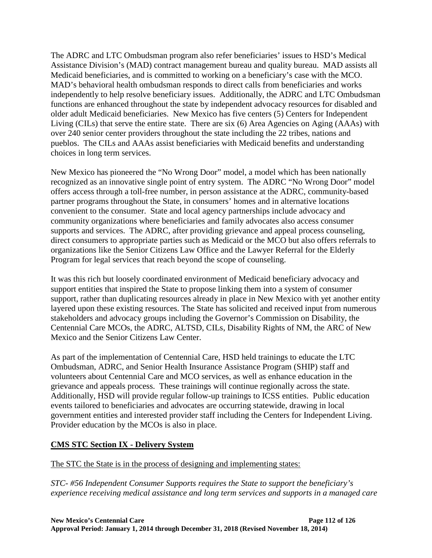The ADRC and LTC Ombudsman program also refer beneficiaries' issues to HSD's Medical Assistance Division's (MAD) contract management bureau and quality bureau. MAD assists all Medicaid beneficiaries, and is committed to working on a beneficiary's case with the MCO. MAD's behavioral health ombudsman responds to direct calls from beneficiaries and works independently to help resolve beneficiary issues. Additionally, the ADRC and LTC Ombudsman functions are enhanced throughout the state by independent advocacy resources for disabled and older adult Medicaid beneficiaries. New Mexico has five centers (5) Centers for Independent Living (CILs) that serve the entire state. There are six (6) Area Agencies on Aging (AAAs) with over 240 senior center providers throughout the state including the 22 tribes, nations and pueblos. The CILs and AAAs assist beneficiaries with Medicaid benefits and understanding choices in long term services.

New Mexico has pioneered the "No Wrong Door" model, a model which has been nationally recognized as an innovative single point of entry system. The ADRC "No Wrong Door" model offers access through a toll-free number, in person assistance at the ADRC, community-based partner programs throughout the State, in consumers' homes and in alternative locations convenient to the consumer. State and local agency partnerships include advocacy and community organizations where beneficiaries and family advocates also access consumer supports and services. The ADRC, after providing grievance and appeal process counseling, direct consumers to appropriate parties such as Medicaid or the MCO but also offers referrals to organizations like the Senior Citizens Law Office and the Lawyer Referral for the Elderly Program for legal services that reach beyond the scope of counseling.

It was this rich but loosely coordinated environment of Medicaid beneficiary advocacy and support entities that inspired the State to propose linking them into a system of consumer support, rather than duplicating resources already in place in New Mexico with yet another entity layered upon these existing resources. The State has solicited and received input from numerous stakeholders and advocacy groups including the Governor's Commission on Disability, the Centennial Care MCOs, the ADRC, ALTSD, CILs, Disability Rights of NM, the ARC of New Mexico and the Senior Citizens Law Center.

As part of the implementation of Centennial Care, HSD held trainings to educate the LTC Ombudsman, ADRC, and Senior Health Insurance Assistance Program (SHIP) staff and volunteers about Centennial Care and MCO services, as well as enhance education in the grievance and appeals process. These trainings will continue regionally across the state. Additionally, HSD will provide regular follow-up trainings to ICSS entities. Public education events tailored to beneficiaries and advocates are occurring statewide, drawing in local government entities and interested provider staff including the Centers for Independent Living. Provider education by the MCOs is also in place.

## **CMS STC Section IX - Delivery System**

The STC the State is in the process of designing and implementing states:

*STC- #56 Independent Consumer Supports requires the State to support the beneficiary's experience receiving medical assistance and long term services and supports in a managed care*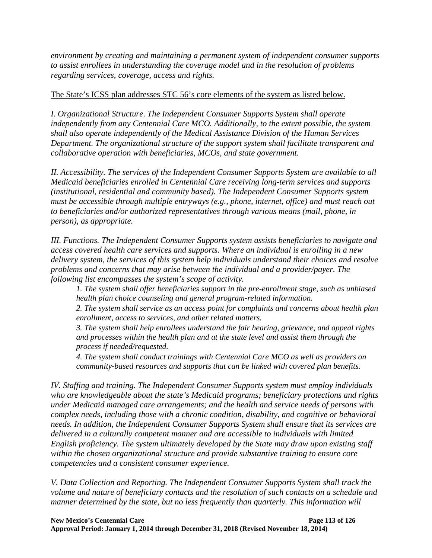*environment by creating and maintaining a permanent system of independent consumer supports to assist enrollees in understanding the coverage model and in the resolution of problems regarding services, coverage, access and rights.*

## The State's ICSS plan addresses STC 56's core elements of the system as listed below.

*I. Organizational Structure*. *The Independent Consumer Supports System shall operate independently from any Centennial Care MCO. Additionally, to the extent possible, the system shall also operate independently of the Medical Assistance Division of the Human Services Department. The organizational structure of the support system shall facilitate transparent and collaborative operation with beneficiaries, MCOs, and state government.* 

*II. Accessibility. The services of the Independent Consumer Supports System are available to all Medicaid beneficiaries enrolled in Centennial Care receiving long-term services and supports (institutional, residential and community based). The Independent Consumer Supports system must be accessible through multiple entryways (e.g., phone, internet, office) and must reach out to beneficiaries and/or authorized representatives through various means (mail, phone, in person), as appropriate.* 

*III. Functions. The Independent Consumer Supports system assists beneficiaries to navigate and access covered health care services and supports. Where an individual is enrolling in a new delivery system, the services of this system help individuals understand their choices and resolve problems and concerns that may arise between the individual and a provider/payer. The following list encompasses the system's scope of activity.* 

*1. The system shall offer beneficiaries support in the pre-enrollment stage, such as unbiased health plan choice counseling and general program-related information.* 

*2. The system shall service as an access point for complaints and concerns about health plan enrollment, access to services, and other related matters.* 

*3. The system shall help enrollees understand the fair hearing, grievance, and appeal rights and processes within the health plan and at the state level and assist them through the process if needed/requested.* 

*4. The system shall conduct trainings with Centennial Care MCO as well as providers on community-based resources and supports that can be linked with covered plan benefits.* 

*IV. Staffing and training. The Independent Consumer Supports system must employ individuals who are knowledgeable about the state's Medicaid programs; beneficiary protections and rights under Medicaid managed care arrangements; and the health and service needs of persons with complex needs, including those with a chronic condition, disability, and cognitive or behavioral needs. In addition, the Independent Consumer Supports System shall ensure that its services are delivered in a culturally competent manner and are accessible to individuals with limited English proficiency. The system ultimately developed by the State may draw upon existing staff within the chosen organizational structure and provide substantive training to ensure core competencies and a consistent consumer experience.* 

*V. Data Collection and Reporting. The Independent Consumer Supports System shall track the volume and nature of beneficiary contacts and the resolution of such contacts on a schedule and manner determined by the state, but no less frequently than quarterly. This information will*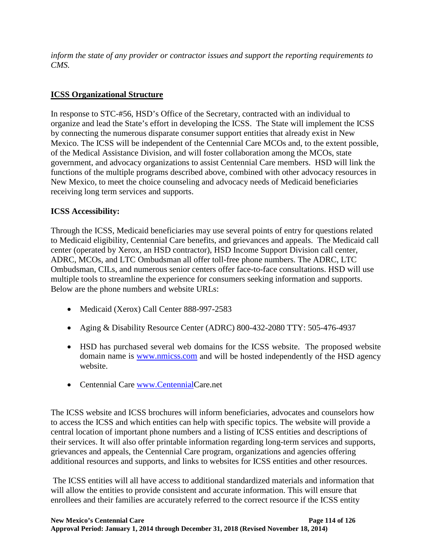*inform the state of any provider or contractor issues and support the reporting requirements to CMS.* 

## **ICSS Organizational Structure**

In response to STC-#56, HSD's Office of the Secretary, contracted with an individual to organize and lead the State's effort in developing the ICSS. The State will implement the ICSS by connecting the numerous disparate consumer support entities that already exist in New Mexico. The ICSS will be independent of the Centennial Care MCOs and, to the extent possible, of the Medical Assistance Division, and will foster collaboration among the MCOs, state government, and advocacy organizations to assist Centennial Care members. HSD will link the functions of the multiple programs described above, combined with other advocacy resources in New Mexico, to meet the choice counseling and advocacy needs of Medicaid beneficiaries receiving long term services and supports.

# **ICSS Accessibility:**

Through the ICSS, Medicaid beneficiaries may use several points of entry for questions related to Medicaid eligibility, Centennial Care benefits, and grievances and appeals. The Medicaid call center (operated by Xerox, an HSD contractor), HSD Income Support Division call center, ADRC, MCOs, and LTC Ombudsman all offer toll-free phone numbers. The ADRC, LTC Ombudsman, CILs, and numerous senior centers offer face-to-face consultations. HSD will use multiple tools to streamline the experience for consumers seeking information and supports. Below are the phone numbers and website URLs:

- Medicaid (Xerox) Call Center 888-997-2583
- Aging & Disability Resource Center (ADRC) 800-432-2080 TTY: 505-476-4937
- HSD has purchased several web domains for the ICSS website. The proposed website domain name is [www.nmicss.com](http://www.nmicss.com/) and will be hosted independently of the HSD agency website.
- Centennial Care [www.CentennialC](http://www.centennial/)are.net

The ICSS website and ICSS brochures will inform beneficiaries, advocates and counselors how to access the ICSS and which entities can help with specific topics. The website will provide a central location of important phone numbers and a listing of ICSS entities and descriptions of their services. It will also offer printable information regarding long-term services and supports, grievances and appeals, the Centennial Care program, organizations and agencies offering additional resources and supports, and links to websites for ICSS entities and other resources.

The ICSS entities will all have access to additional standardized materials and information that will allow the entities to provide consistent and accurate information. This will ensure that enrollees and their families are accurately referred to the correct resource if the ICSS entity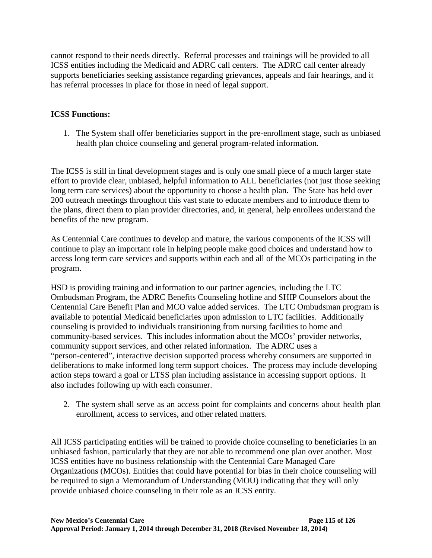cannot respond to their needs directly. Referral processes and trainings will be provided to all ICSS entities including the Medicaid and ADRC call centers. The ADRC call center already supports beneficiaries seeking assistance regarding grievances, appeals and fair hearings, and it has referral processes in place for those in need of legal support.

## **ICSS Functions:**

1. The System shall offer beneficiaries support in the pre-enrollment stage, such as unbiased health plan choice counseling and general program-related information.

The ICSS is still in final development stages and is only one small piece of a much larger state effort to provide clear, unbiased, helpful information to ALL beneficiaries (not just those seeking long term care services) about the opportunity to choose a health plan. The State has held over 200 outreach meetings throughout this vast state to educate members and to introduce them to the plans, direct them to plan provider directories, and, in general, help enrollees understand the benefits of the new program.

As Centennial Care continues to develop and mature, the various components of the ICSS will continue to play an important role in helping people make good choices and understand how to access long term care services and supports within each and all of the MCOs participating in the program.

HSD is providing training and information to our partner agencies, including the LTC Ombudsman Program, the ADRC Benefits Counseling hotline and SHIP Counselors about the Centennial Care Benefit Plan and MCO value added services. The LTC Ombudsman program is available to potential Medicaid beneficiaries upon admission to LTC facilities. Additionally counseling is provided to individuals transitioning from nursing facilities to home and community-based services. This includes information about the MCOs' provider networks, community support services, and other related information. The ADRC uses a "person-centered", interactive decision supported process whereby consumers are supported in deliberations to make informed long term support choices. The process may include developing action steps toward a goal or LTSS plan including assistance in accessing support options. It also includes following up with each consumer.

2. The system shall serve as an access point for complaints and concerns about health plan enrollment, access to services, and other related matters.

All ICSS participating entities will be trained to provide choice counseling to beneficiaries in an unbiased fashion, particularly that they are not able to recommend one plan over another. Most ICSS entities have no business relationship with the Centennial Care Managed Care Organizations (MCOs). Entities that could have potential for bias in their choice counseling will be required to sign a Memorandum of Understanding (MOU) indicating that they will only provide unbiased choice counseling in their role as an ICSS entity.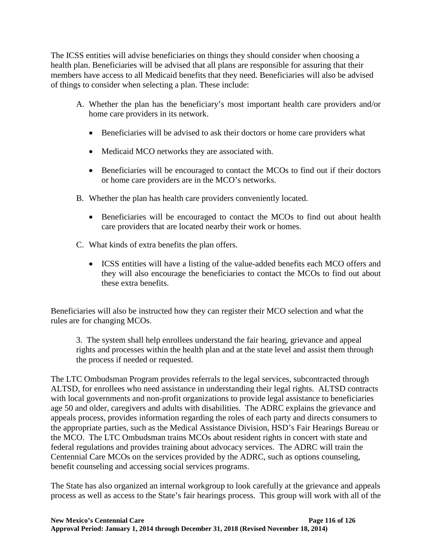The ICSS entities will advise beneficiaries on things they should consider when choosing a health plan. Beneficiaries will be advised that all plans are responsible for assuring that their members have access to all Medicaid benefits that they need. Beneficiaries will also be advised of things to consider when selecting a plan. These include:

- A. Whether the plan has the beneficiary's most important health care providers and/or home care providers in its network.
	- Beneficiaries will be advised to ask their doctors or home care providers what
	- Medicaid MCO networks they are associated with.
	- Beneficiaries will be encouraged to contact the MCOs to find out if their doctors or home care providers are in the MCO's networks.
- B. Whether the plan has health care providers conveniently located.
	- Beneficiaries will be encouraged to contact the MCOs to find out about health care providers that are located nearby their work or homes.
- C. What kinds of extra benefits the plan offers.
	- ICSS entities will have a listing of the value-added benefits each MCO offers and they will also encourage the beneficiaries to contact the MCOs to find out about these extra benefits.

Beneficiaries will also be instructed how they can register their MCO selection and what the rules are for changing MCOs.

3. The system shall help enrollees understand the fair hearing, grievance and appeal rights and processes within the health plan and at the state level and assist them through the process if needed or requested.

The LTC Ombudsman Program provides referrals to the legal services, subcontracted through ALTSD, for enrollees who need assistance in understanding their legal rights. ALTSD contracts with local governments and non-profit organizations to provide legal assistance to beneficiaries age 50 and older, caregivers and adults with disabilities. The ADRC explains the grievance and appeals process, provides information regarding the roles of each party and directs consumers to the appropriate parties, such as the Medical Assistance Division, HSD's Fair Hearings Bureau or the MCO. The LTC Ombudsman trains MCOs about resident rights in concert with state and federal regulations and provides training about advocacy services. The ADRC will train the Centennial Care MCOs on the services provided by the ADRC, such as options counseling, benefit counseling and accessing social services programs.

The State has also organized an internal workgroup to look carefully at the grievance and appeals process as well as access to the State's fair hearings process. This group will work with all of the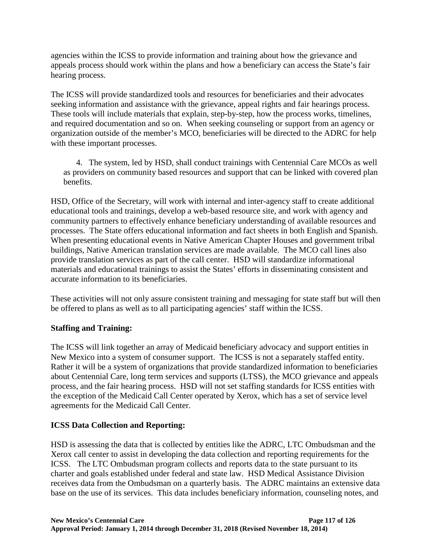agencies within the ICSS to provide information and training about how the grievance and appeals process should work within the plans and how a beneficiary can access the State's fair hearing process.

The ICSS will provide standardized tools and resources for beneficiaries and their advocates seeking information and assistance with the grievance, appeal rights and fair hearings process. These tools will include materials that explain, step-by-step, how the process works, timelines, and required documentation and so on. When seeking counseling or support from an agency or organization outside of the member's MCO, beneficiaries will be directed to the ADRC for help with these important processes.

 4. The system, led by HSD, shall conduct trainings with Centennial Care MCOs as well as providers on community based resources and support that can be linked with covered plan benefits.

HSD, Office of the Secretary, will work with internal and inter-agency staff to create additional educational tools and trainings, develop a web-based resource site, and work with agency and community partners to effectively enhance beneficiary understanding of available resources and processes. The State offers educational information and fact sheets in both English and Spanish. When presenting educational events in Native American Chapter Houses and government tribal buildings, Native American translation services are made available. The MCO call lines also provide translation services as part of the call center. HSD will standardize informational materials and educational trainings to assist the States' efforts in disseminating consistent and accurate information to its beneficiaries.

These activities will not only assure consistent training and messaging for state staff but will then be offered to plans as well as to all participating agencies' staff within the ICSS.

## **Staffing and Training:**

The ICSS will link together an array of Medicaid beneficiary advocacy and support entities in New Mexico into a system of consumer support. The ICSS is not a separately staffed entity. Rather it will be a system of organizations that provide standardized information to beneficiaries about Centennial Care, long term services and supports (LTSS), the MCO grievance and appeals process, and the fair hearing process. HSD will not set staffing standards for ICSS entities with the exception of the Medicaid Call Center operated by Xerox, which has a set of service level agreements for the Medicaid Call Center.

## **ICSS Data Collection and Reporting:**

HSD is assessing the data that is collected by entities like the ADRC, LTC Ombudsman and the Xerox call center to assist in developing the data collection and reporting requirements for the ICSS. The LTC Ombudsman program collects and reports data to the state pursuant to its charter and goals established under federal and state law. HSD Medical Assistance Division receives data from the Ombudsman on a quarterly basis. The ADRC maintains an extensive data base on the use of its services. This data includes beneficiary information, counseling notes, and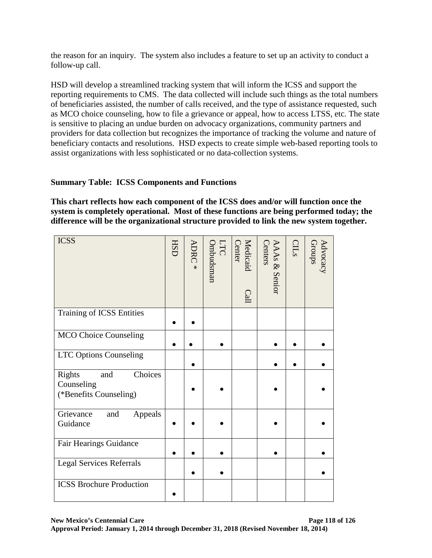the reason for an inquiry. The system also includes a feature to set up an activity to conduct a follow-up call.

HSD will develop a streamlined tracking system that will inform the ICSS and support the reporting requirements to CMS. The data collected will include such things as the total numbers of beneficiaries assisted, the number of calls received, and the type of assistance requested, such as MCO choice counseling, how to file a grievance or appeal, how to access LTSS, etc. The state is sensitive to placing an undue burden on advocacy organizations, community partners and providers for data collection but recognizes the importance of tracking the volume and nature of beneficiary contacts and resolutions. HSD expects to create simple web-based reporting tools to assist organizations with less sophisticated or no data-collection systems.

## **Summary Table: ICSS Components and Functions**

**This chart reflects how each component of the ICSS does and/or will function once the system is completely operational. Most of these functions are being performed today; the difference will be the organizational structure provided to link the new system together.**

| <b>ICSS</b>                                                      | <b>HSD</b> | ADRC<br>$\overline{\ast}$ | LTC<br>Ombudsman | Medicaid<br><b>Center</b><br>Call | Centers<br><b>AAAs &amp; Senior</b> | CILs | Advocacy<br>Groups |
|------------------------------------------------------------------|------------|---------------------------|------------------|-----------------------------------|-------------------------------------|------|--------------------|
| Training of ICSS Entities                                        |            |                           |                  |                                   |                                     |      |                    |
| <b>MCO</b> Choice Counseling                                     |            |                           |                  |                                   |                                     |      |                    |
| <b>LTC Options Counseling</b>                                    |            |                           |                  |                                   |                                     |      |                    |
| Choices<br>Rights<br>and<br>Counseling<br>(*Benefits Counseling) |            |                           |                  |                                   |                                     |      |                    |
| Grievance<br>and<br>Appeals<br>Guidance                          |            |                           |                  |                                   |                                     |      |                    |
| Fair Hearings Guidance                                           |            |                           |                  |                                   |                                     |      |                    |
| <b>Legal Services Referrals</b>                                  |            |                           |                  |                                   |                                     |      |                    |
| <b>ICSS Brochure Production</b>                                  |            |                           |                  |                                   |                                     |      |                    |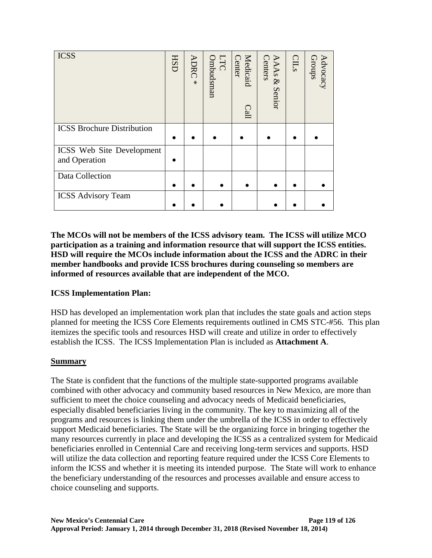| <b>ICSS</b>                                       | <b>HSD</b> | <b>ADRC</b><br>$\ast$ | Ombudsman<br>LTC | Medicaid<br>Center<br>Call | <b>Centers</b><br>AAAs &<br><b>Senior</b> | CLLs | Advocacy<br>Groups |
|---------------------------------------------------|------------|-----------------------|------------------|----------------------------|-------------------------------------------|------|--------------------|
| <b>ICSS Brochure Distribution</b>                 |            |                       |                  |                            |                                           |      |                    |
| <b>ICSS</b> Web Site Development<br>and Operation |            |                       |                  |                            |                                           |      |                    |
| Data Collection                                   |            |                       |                  |                            |                                           |      |                    |
| <b>ICSS Advisory Team</b>                         |            |                       |                  |                            |                                           |      |                    |

**The MCOs will not be members of the ICSS advisory team. The ICSS will utilize MCO participation as a training and information resource that will support the ICSS entities. HSD will require the MCOs include information about the ICSS and the ADRC in their member handbooks and provide ICSS brochures during counseling so members are informed of resources available that are independent of the MCO.**

## **ICSS Implementation Plan:**

HSD has developed an implementation work plan that includes the state goals and action steps planned for meeting the ICSS Core Elements requirements outlined in CMS STC-#56. This plan itemizes the specific tools and resources HSD will create and utilize in order to effectively establish the ICSS. The ICSS Implementation Plan is included as **Attachment A**.

## **Summary**

The State is confident that the functions of the multiple state-supported programs available combined with other advocacy and community based resources in New Mexico, are more than sufficient to meet the choice counseling and advocacy needs of Medicaid beneficiaries, especially disabled beneficiaries living in the community. The key to maximizing all of the programs and resources is linking them under the umbrella of the ICSS in order to effectively support Medicaid beneficiaries. The State will be the organizing force in bringing together the many resources currently in place and developing the ICSS as a centralized system for Medicaid beneficiaries enrolled in Centennial Care and receiving long-term services and supports. HSD will utilize the data collection and reporting feature required under the ICSS Core Elements to inform the ICSS and whether it is meeting its intended purpose. The State will work to enhance the beneficiary understanding of the resources and processes available and ensure access to choice counseling and supports.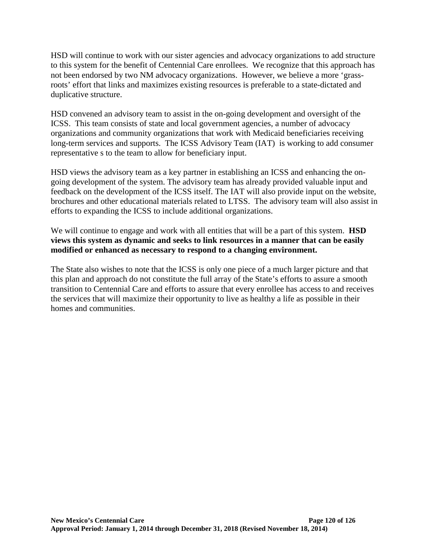HSD will continue to work with our sister agencies and advocacy organizations to add structure to this system for the benefit of Centennial Care enrollees. We recognize that this approach has not been endorsed by two NM advocacy organizations. However, we believe a more 'grassroots' effort that links and maximizes existing resources is preferable to a state-dictated and duplicative structure.

HSD convened an advisory team to assist in the on-going development and oversight of the ICSS. This team consists of state and local government agencies, a number of advocacy organizations and community organizations that work with Medicaid beneficiaries receiving long-term services and supports. The ICSS Advisory Team (IAT) is working to add consumer representative s to the team to allow for beneficiary input.

HSD views the advisory team as a key partner in establishing an ICSS and enhancing the ongoing development of the system. The advisory team has already provided valuable input and feedback on the development of the ICSS itself. The IAT will also provide input on the website, brochures and other educational materials related to LTSS. The advisory team will also assist in efforts to expanding the ICSS to include additional organizations.

We will continue to engage and work with all entities that will be a part of this system. **HSD views this system as dynamic and seeks to link resources in a manner that can be easily modified or enhanced as necessary to respond to a changing environment.**

The State also wishes to note that the ICSS is only one piece of a much larger picture and that this plan and approach do not constitute the full array of the State's efforts to assure a smooth transition to Centennial Care and efforts to assure that every enrollee has access to and receives the services that will maximize their opportunity to live as healthy a life as possible in their homes and communities.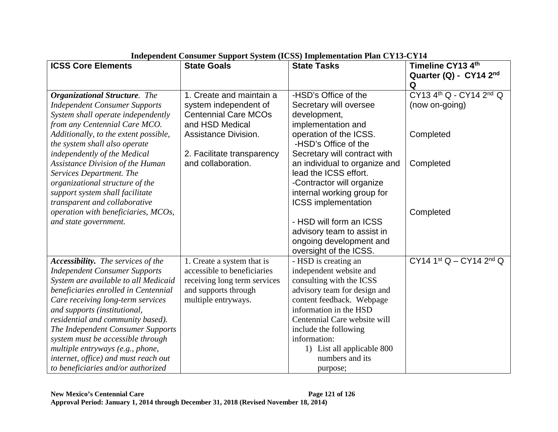| <b>ICSS Core Elements</b>                 | <b>State Goals</b>           | <b>State Tasks</b>            | Timeline CY13 4th       |
|-------------------------------------------|------------------------------|-------------------------------|-------------------------|
|                                           |                              |                               | Quarter (Q) - CY14 2nd  |
|                                           |                              |                               | Q                       |
| <b>Organizational Structure.</b> The      | 1. Create and maintain a     | -HSD's Office of the          | CY13 4th Q - CY14 2nd Q |
| <b>Independent Consumer Supports</b>      | system independent of        | Secretary will oversee        | (now on-going)          |
| System shall operate independently        | <b>Centennial Care MCOs</b>  | development,                  |                         |
| from any Centennial Care MCO.             | and HSD Medical              | implementation and            |                         |
| Additionally, to the extent possible,     | <b>Assistance Division.</b>  | operation of the ICSS.        | Completed               |
| the system shall also operate             |                              | -HSD's Office of the          |                         |
| independently of the Medical              | 2. Facilitate transparency   | Secretary will contract with  |                         |
| <b>Assistance Division of the Human</b>   | and collaboration.           | an individual to organize and | Completed               |
| Services Department. The                  |                              | lead the ICSS effort.         |                         |
| organizational structure of the           |                              | -Contractor will organize     |                         |
| support system shall facilitate           |                              | internal working group for    |                         |
| transparent and collaborative             |                              | <b>ICSS</b> implementation    |                         |
| operation with beneficiaries, MCOs,       |                              |                               | Completed               |
| and state government.                     |                              | - HSD will form an ICSS       |                         |
|                                           |                              | advisory team to assist in    |                         |
|                                           |                              | ongoing development and       |                         |
|                                           |                              | oversight of the ICSS.        |                         |
| <b>Accessibility.</b> The services of the | 1. Create a system that is   | - HSD is creating an          | CY14 1st Q - CY14 2nd Q |
| <b>Independent Consumer Supports</b>      | accessible to beneficiaries  | independent website and       |                         |
| System are available to all Medicaid      | receiving long term services | consulting with the ICSS      |                         |
| beneficiaries enrolled in Centennial      | and supports through         | advisory team for design and  |                         |
| Care receiving long-term services         | multiple entryways.          | content feedback. Webpage     |                         |
| and supports (institutional,              |                              | information in the HSD        |                         |
| residential and community based).         |                              | Centennial Care website will  |                         |
| The Independent Consumer Supports         |                              | include the following         |                         |
| system must be accessible through         |                              | information:                  |                         |
| multiple entryways (e.g., phone,          |                              | 1) List all applicable 800    |                         |
| internet, office) and must reach out      |                              | numbers and its               |                         |
| to beneficiaries and/or authorized        |                              | purpose;                      |                         |

# **Independent Consumer Support System (ICSS) Implementation Plan CY13-CY14**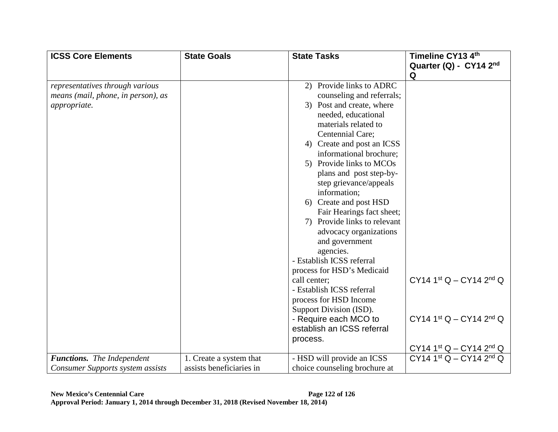| <b>ICSS Core Elements</b>               | <b>State Goals</b>       | <b>State Tasks</b>            | Timeline CY13 4th         |
|-----------------------------------------|--------------------------|-------------------------------|---------------------------|
|                                         |                          |                               | Quarter (Q) - CY14 2nd    |
|                                         |                          |                               | Q                         |
| representatives through various         |                          | 2) Provide links to ADRC      |                           |
| means (mail, phone, in person), as      |                          | counseling and referrals;     |                           |
| appropriate.                            |                          | 3) Post and create, where     |                           |
|                                         |                          | needed, educational           |                           |
|                                         |                          | materials related to          |                           |
|                                         |                          | Centennial Care;              |                           |
|                                         |                          | 4) Create and post an ICSS    |                           |
|                                         |                          | informational brochure;       |                           |
|                                         |                          | 5) Provide links to MCOs      |                           |
|                                         |                          | plans and post step-by-       |                           |
|                                         |                          | step grievance/appeals        |                           |
|                                         |                          | information;                  |                           |
|                                         |                          | Create and post HSD<br>6)     |                           |
|                                         |                          | Fair Hearings fact sheet;     |                           |
|                                         |                          | 7) Provide links to relevant  |                           |
|                                         |                          | advocacy organizations        |                           |
|                                         |                          | and government                |                           |
|                                         |                          | agencies.                     |                           |
|                                         |                          | - Establish ICSS referral     |                           |
|                                         |                          | process for HSD's Medicaid    |                           |
|                                         |                          | call center;                  | CY14 1st Q - CY14 2nd Q   |
|                                         |                          | - Establish ICSS referral     |                           |
|                                         |                          | process for HSD Income        |                           |
|                                         |                          | Support Division (ISD).       |                           |
|                                         |                          | - Require each MCO to         | $CY14 1st Q - CY14 2nd Q$ |
|                                         |                          | establish an ICSS referral    |                           |
|                                         |                          | process.                      |                           |
|                                         |                          |                               | $CY14 1st Q - CY14 2nd Q$ |
| <b>Functions.</b> The Independent       | 1. Create a system that  | - HSD will provide an ICSS    | $CY14 1st Q - CY14 2nd Q$ |
| <b>Consumer Supports system assists</b> | assists beneficiaries in | choice counseling brochure at |                           |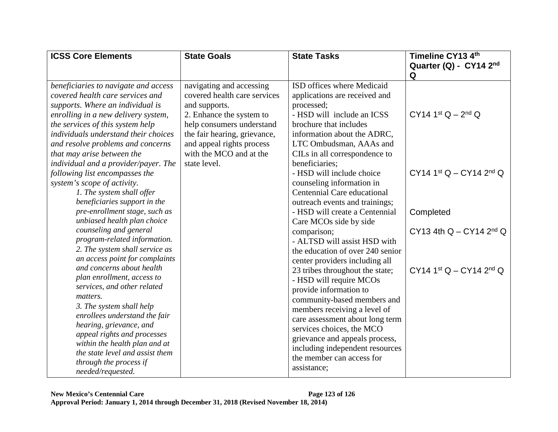| <b>ICSS Core Elements</b>            | <b>State Goals</b>           | <b>State Tasks</b>               | Timeline CY13 4th                      |
|--------------------------------------|------------------------------|----------------------------------|----------------------------------------|
|                                      |                              |                                  | Quarter (Q) - CY14 2nd                 |
|                                      |                              |                                  | Q                                      |
| beneficiaries to navigate and access | navigating and accessing     | ISD offices where Medicaid       |                                        |
| covered health care services and     | covered health care services | applications are received and    |                                        |
| supports. Where an individual is     | and supports.                | processed;                       |                                        |
| enrolling in a new delivery system,  | 2. Enhance the system to     | - HSD will include an ICSS       | $CY14 1st Q - 2nd Q$                   |
| the services of this system help     | help consumers understand    | brochure that includes           |                                        |
| individuals understand their choices | the fair hearing, grievance, | information about the ADRC,      |                                        |
| and resolve problems and concerns    | and appeal rights process    | LTC Ombudsman, AAAs and          |                                        |
| that may arise between the           | with the MCO and at the      | CILs in all correspondence to    |                                        |
| individual and a provider/payer. The | state level.                 | beneficiaries;                   |                                        |
| following list encompasses the       |                              | - HSD will include choice        | CY14 1st $Q - CY$ 14 2 <sup>nd</sup> Q |
| system's scope of activity.          |                              | counseling information in        |                                        |
| 1. The system shall offer            |                              | Centennial Care educational      |                                        |
| beneficiaries support in the         |                              | outreach events and trainings;   |                                        |
| pre-enrollment stage, such as        |                              | - HSD will create a Centennial   | Completed                              |
| unbiased health plan choice          |                              | Care MCOs side by side           |                                        |
| counseling and general               |                              | comparison;                      | CY13 4th $Q - CY14$ 2 <sup>nd</sup> Q  |
| program-related information.         |                              | - ALTSD will assist HSD with     |                                        |
| 2. The system shall service as       |                              | the education of over 240 senior |                                        |
| an access point for complaints       |                              | center providers including all   |                                        |
| and concerns about health            |                              | 23 tribes throughout the state;  | $CY14 1st Q - CY14 2nd Q$              |
| plan enrollment, access to           |                              | - HSD will require MCOs          |                                        |
| services, and other related          |                              | provide information to           |                                        |
| matters.                             |                              | community-based members and      |                                        |
| 3. The system shall help             |                              | members receiving a level of     |                                        |
| enrollees understand the fair        |                              | care assessment about long term  |                                        |
| hearing, grievance, and              |                              | services choices, the MCO        |                                        |
| appeal rights and processes          |                              | grievance and appeals process,   |                                        |
| within the health plan and at        |                              | including independent resources  |                                        |
| the state level and assist them      |                              | the member can access for        |                                        |
| through the process if               |                              | assistance;                      |                                        |
| needed/requested.                    |                              |                                  |                                        |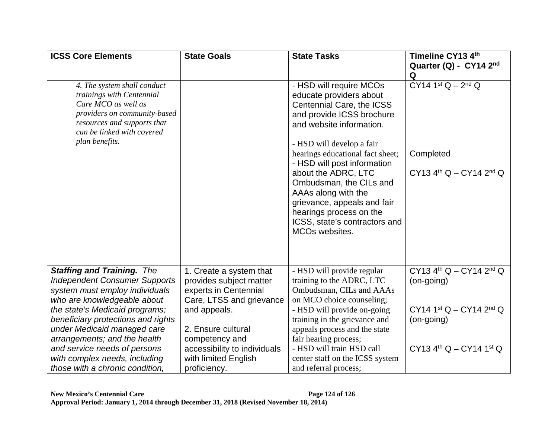| <b>ICSS Core Elements</b>                                 | <b>State Goals</b>           | <b>State Tasks</b>               | Timeline CY13 4th                                 |
|-----------------------------------------------------------|------------------------------|----------------------------------|---------------------------------------------------|
|                                                           |                              |                                  | Quarter (Q) - CY14 2nd                            |
|                                                           |                              |                                  | Q                                                 |
| 4. The system shall conduct                               |                              | - HSD will require MCOs          | $CY14$ 1st $Q - 2^{nd} Q$                         |
| trainings with Centennial                                 |                              | educate providers about          |                                                   |
| Care MCO as well as                                       |                              | Centennial Care, the ICSS        |                                                   |
| providers on community-based                              |                              | and provide ICSS brochure        |                                                   |
| resources and supports that<br>can be linked with covered |                              | and website information.         |                                                   |
| plan benefits.                                            |                              | - HSD will develop a fair        |                                                   |
|                                                           |                              | hearings educational fact sheet; | Completed                                         |
|                                                           |                              | - HSD will post information      |                                                   |
|                                                           |                              | about the ADRC, LTC              | $CY13$ 4 <sup>th</sup> Q - CY14 2 <sup>nd</sup> Q |
|                                                           |                              | Ombudsman, the CILs and          |                                                   |
|                                                           |                              | AAAs along with the              |                                                   |
|                                                           |                              | grievance, appeals and fair      |                                                   |
|                                                           |                              | hearings process on the          |                                                   |
|                                                           |                              | ICSS, state's contractors and    |                                                   |
|                                                           |                              | MCO <sub>s</sub> websites.       |                                                   |
|                                                           |                              |                                  |                                                   |
|                                                           |                              |                                  |                                                   |
|                                                           |                              |                                  |                                                   |
| <b>Staffing and Training. The</b>                         | 1. Create a system that      | - HSD will provide regular       | $CY13$ 4 <sup>th</sup> Q – CY14 2 <sup>nd</sup> Q |
| <b>Independent Consumer Supports</b>                      | provides subject matter      | training to the ADRC, LTC        | $(on-going)$                                      |
| system must employ individuals                            | experts in Centennial        | Ombudsman, CILs and AAAs         |                                                   |
| who are knowledgeable about                               | Care, LTSS and grievance     | on MCO choice counseling;        |                                                   |
| the state's Medicaid programs;                            | and appeals.                 | - HSD will provide on-going      | $CY14 1st Q - CY14 2nd Q$                         |
| beneficiary protections and rights                        |                              | training in the grievance and    | (on-going)                                        |
| under Medicaid managed care                               | 2. Ensure cultural           | appeals process and the state    |                                                   |
| arrangements; and the health                              | competency and               | fair hearing process;            |                                                   |
| and service needs of persons                              | accessibility to individuals | - HSD will train HSD call        | $CY13$ 4 <sup>th</sup> Q – CY14 1 <sup>st</sup> Q |
| with complex needs, including                             | with limited English         | center staff on the ICSS system  |                                                   |
| those with a chronic condition.                           | proficiency.                 | and referral process;            |                                                   |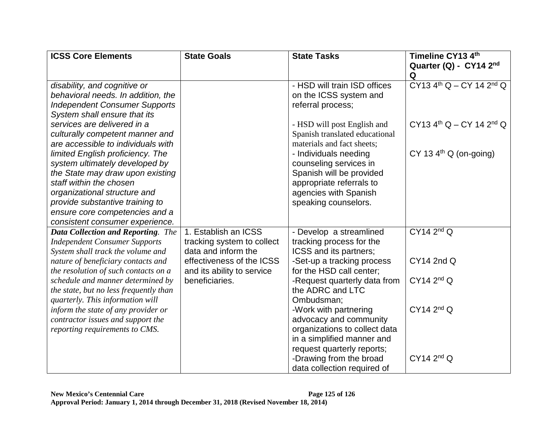| <b>ICSS Core Elements</b>                 | <b>State Goals</b>         | <b>State Tasks</b>             | Timeline CY13 4th                                  |
|-------------------------------------------|----------------------------|--------------------------------|----------------------------------------------------|
|                                           |                            |                                | Quarter (Q) - CY14 2nd                             |
|                                           |                            |                                | Q                                                  |
| disability, and cognitive or              |                            | - HSD will train ISD offices   | $CY13$ 4 <sup>th</sup> Q – CY 14 2 <sup>nd</sup> Q |
| behavioral needs. In addition, the        |                            | on the ICSS system and         |                                                    |
| <b>Independent Consumer Supports</b>      |                            | referral process;              |                                                    |
| System shall ensure that its              |                            |                                |                                                    |
| services are delivered in a               |                            | - HSD will post English and    | $CY13$ 4 <sup>th</sup> Q – CY 14 2 <sup>nd</sup> Q |
| culturally competent manner and           |                            | Spanish translated educational |                                                    |
| are accessible to individuals with        |                            | materials and fact sheets;     |                                                    |
| limited English proficiency. The          |                            | - Individuals needing          | CY 13 $4th$ Q (on-going)                           |
| system ultimately developed by            |                            | counseling services in         |                                                    |
| the State may draw upon existing          |                            | Spanish will be provided       |                                                    |
| staff within the chosen                   |                            | appropriate referrals to       |                                                    |
| organizational structure and              |                            | agencies with Spanish          |                                                    |
| provide substantive training to           |                            | speaking counselors.           |                                                    |
| ensure core competencies and a            |                            |                                |                                                    |
| consistent consumer experience.           |                            |                                |                                                    |
| <b>Data Collection and Reporting.</b> The | 1. Establish an ICSS       | - Develop a streamlined        | CY14 2 <sup>nd</sup> Q                             |
| <b>Independent Consumer Supports</b>      | tracking system to collect | tracking process for the       |                                                    |
| System shall track the volume and         | data and inform the        | ICSS and its partners;         |                                                    |
| nature of beneficiary contacts and        | effectiveness of the ICSS  | -Set-up a tracking process     | <b>CY14 2nd Q</b>                                  |
| the resolution of such contacts on a      | and its ability to service | for the HSD call center;       |                                                    |
| schedule and manner determined by         | beneficiaries.             | -Request quarterly data from   | CY14 2 <sup>nd</sup> Q                             |
| the state, but no less frequently than    |                            | the ADRC and LTC               |                                                    |
| quarterly. This information will          |                            | Ombudsman;                     |                                                    |
| inform the state of any provider or       |                            | -Work with partnering          | CY14 2 <sup>nd</sup> Q                             |
| contractor issues and support the         |                            | advocacy and community         |                                                    |
| reporting requirements to CMS.            |                            | organizations to collect data  |                                                    |
|                                           |                            | in a simplified manner and     |                                                    |
|                                           |                            | request quarterly reports;     |                                                    |
|                                           |                            | -Drawing from the broad        | CY14 2 <sup>nd</sup> Q                             |
|                                           |                            | data collection required of    |                                                    |